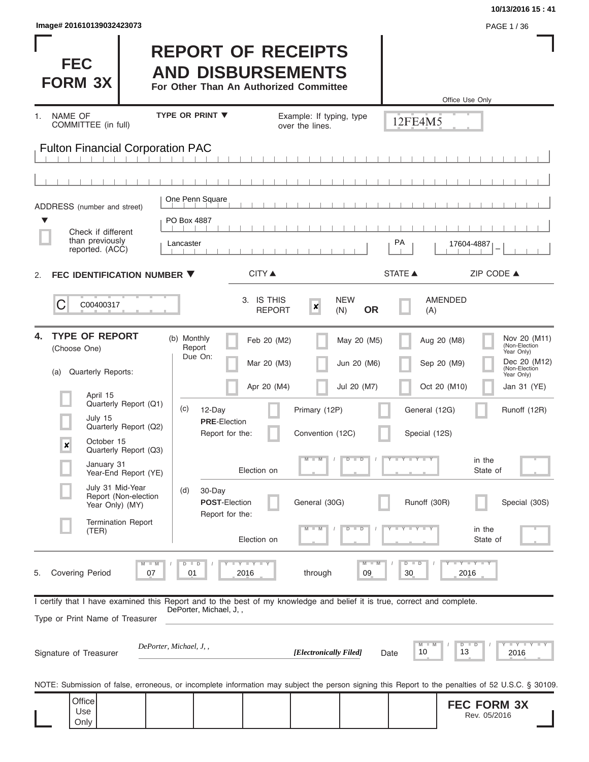| Image# 201610139032423073 | PAGE 1/36 |
|---------------------------|-----------|
|---------------------------|-----------|

**FEC FORM 3X**

# **REPORT OF RECEIPTS AND DISBURSEMENTS**

**For Other Than An Authorized Committee**

|                                                                                                                                                            |                                          |                                         |                             |                                             |                                       |                 | Office Use Only                             |                                                                                       |
|------------------------------------------------------------------------------------------------------------------------------------------------------------|------------------------------------------|-----------------------------------------|-----------------------------|---------------------------------------------|---------------------------------------|-----------------|---------------------------------------------|---------------------------------------------------------------------------------------|
| NAME OF<br>1.<br>COMMITTEE (in full)                                                                                                                       |                                          | <b>TYPE OR PRINT ▼</b>                  |                             | Example: If typing, type<br>over the lines. |                                       | 12FE4M5         |                                             |                                                                                       |
| <b>Fulton Financial Corporation PAC</b>                                                                                                                    |                                          |                                         |                             |                                             |                                       |                 |                                             |                                                                                       |
|                                                                                                                                                            |                                          |                                         |                             |                                             |                                       |                 |                                             |                                                                                       |
| ADDRESS (number and street)                                                                                                                                |                                          | One Penn Square                         |                             |                                             |                                       |                 |                                             |                                                                                       |
| ▼<br>Check if different<br>than previously<br>reported. (ACC)                                                                                              |                                          | PO Box 4887<br>Lancaster                |                             |                                             |                                       | PA              | 17604-4887                                  |                                                                                       |
| FEC IDENTIFICATION NUMBER ▼<br>2.                                                                                                                          |                                          |                                         | <b>CITY ▲</b>               |                                             |                                       | <b>STATE ▲</b>  |                                             | ZIP CODE ▲                                                                            |
| C<br>C00400317                                                                                                                                             |                                          |                                         | 3. IS THIS<br><b>REPORT</b> | $\boldsymbol{x}$                            | <b>NEW</b><br><b>OR</b><br>(N)        | (A)             | <b>AMENDED</b>                              |                                                                                       |
| <b>TYPE OF REPORT</b><br>4.<br>(Choose One)                                                                                                                |                                          | (b) Monthly<br>Report<br>Due On:        | Feb 20 (M2)                 |                                             | May 20 (M5)                           |                 | Aug 20 (M8)                                 | Nov 20 (M11)<br>(Non-Election<br>Year Only)                                           |
| Quarterly Reports:<br>(a)                                                                                                                                  |                                          |                                         | Mar 20 (M3)                 |                                             | Jun 20 (M6)                           |                 | Sep 20 (M9)                                 | Dec 20 (M12)<br>(Non-Election<br>Year Only)                                           |
| April 15                                                                                                                                                   | Quarterly Report (Q1)                    | (c)<br>12-Day                           | Apr 20 (M4)                 | Primary (12P)                               | Jul 20 (M7)                           | General (12G)   | Oct 20 (M10)                                | Jan 31 (YE)<br>Runoff (12R)                                                           |
| July 15                                                                                                                                                    | Quarterly Report (Q2)                    | <b>PRE-Election</b><br>Report for the:  |                             | Convention (12C)                            |                                       | Special (12S)   |                                             |                                                                                       |
| October 15<br>$\boldsymbol{x}$<br>January 31                                                                                                               | Quarterly Report (Q3)                    |                                         |                             | т                                           | $\overline{D}$<br>ᢧ                   | Y L Y L<br>т    | in the                                      |                                                                                       |
|                                                                                                                                                            | Year-End Report (YE)<br>July 31 Mid-Year | (d)<br>30-Day                           | Election on                 |                                             |                                       |                 | State of                                    |                                                                                       |
| Year Only) (MY)                                                                                                                                            | Report (Non-election                     | <b>POST-Election</b><br>Report for the: |                             | General (30G)                               |                                       | Runoff (30R)    |                                             | Special (30S)                                                                         |
| (TER)                                                                                                                                                      | <b>Termination Report</b>                |                                         |                             |                                             |                                       |                 | in the<br>State of                          |                                                                                       |
| <b>Covering Period</b><br>5.                                                                                                                               | 07                                       | $D$ $D$<br>01                           | Y I Y I Y<br>2016           | through                                     | $\overline{\mathsf{M}}$<br>$-M$<br>09 | $D$ $D$<br>30   | $T$ $T$ $T$ $T$ $T$ $T$ $T$ $T$ $T$<br>2016 |                                                                                       |
| I certify that I have examined this Report and to the best of my knowledge and belief it is true, correct and complete.<br>Type or Print Name of Treasurer |                                          | DePorter, Michael, J,,                  |                             |                                             |                                       |                 |                                             |                                                                                       |
| Signature of Treasurer                                                                                                                                     |                                          | DePorter, Michael, J,,                  |                             | [Electronically Filed]                      |                                       | M<br>10<br>Date | D<br>D<br>13                                | $\mathbf{I}$ $\mathbf{Y}$ $\mathbf{I}$ $\mathbf{Y}$ $\mathbf{I}$ $\mathbf{Y}$<br>2016 |
| NOTE: Submission of false, erroneous, or incomplete information may subject the person signing this Report to the penalties of 52 U.S.C. § 30109.          |                                          |                                         |                             |                                             |                                       |                 |                                             |                                                                                       |
| Office<br>Use<br>Only                                                                                                                                      |                                          |                                         |                             |                                             |                                       |                 | <b>FEC FORM 3X</b>                          | Rev. 05/2016                                                                          |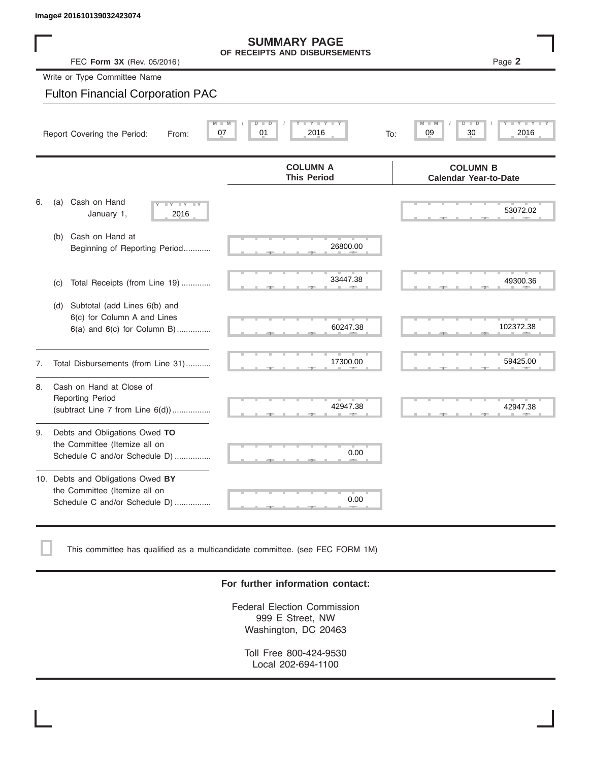|    | Image# 201610139032423074                                                                             |                                                                                   |                                                                   |  |  |  |  |  |  |
|----|-------------------------------------------------------------------------------------------------------|-----------------------------------------------------------------------------------|-------------------------------------------------------------------|--|--|--|--|--|--|
|    | <b>SUMMARY PAGE</b><br>OF RECEIPTS AND DISBURSEMENTS<br>Page 2<br>FEC Form 3X (Rev. 05/2016)          |                                                                                   |                                                                   |  |  |  |  |  |  |
|    | Write or Type Committee Name                                                                          |                                                                                   |                                                                   |  |  |  |  |  |  |
|    | <b>Fulton Financial Corporation PAC</b>                                                               |                                                                                   |                                                                   |  |  |  |  |  |  |
|    | $\overline{\mathsf{M}}$<br>Report Covering the Period:<br>From:                                       | $T - Y = Y + Y$<br>$\overline{D}$<br>$\overline{M}$<br>$\Box$<br>07<br>01<br>2016 | $Y = Y = Y$<br>$\overline{\mathsf{D}}$<br>09<br>30<br>2016<br>To: |  |  |  |  |  |  |
|    |                                                                                                       | <b>COLUMN A</b><br><b>This Period</b>                                             | <b>COLUMN B</b><br><b>Calendar Year-to-Date</b>                   |  |  |  |  |  |  |
| 6. | Cash on Hand<br>(a)<br><b>LY LY LY</b><br>January 1,<br>2016                                          |                                                                                   | 53072.02                                                          |  |  |  |  |  |  |
|    | Cash on Hand at<br>(b)<br>Beginning of Reporting Period                                               | 26800.00                                                                          |                                                                   |  |  |  |  |  |  |
|    | Total Receipts (from Line 19)<br>(c)                                                                  | 33447.38                                                                          | 49300.36                                                          |  |  |  |  |  |  |
|    | Subtotal (add Lines 6(b) and<br>(d)<br>6(c) for Column A and Lines<br>$6(a)$ and $6(c)$ for Column B) | 60247.38                                                                          | 102372.38                                                         |  |  |  |  |  |  |
| 7. | Total Disbursements (from Line 31)                                                                    | 17300.00                                                                          | 59425.00                                                          |  |  |  |  |  |  |
| 8. | Cash on Hand at Close of<br><b>Reporting Period</b><br>(subtract Line $7$ from Line $6(d)$ )          | 42947.38                                                                          | 42947.38                                                          |  |  |  |  |  |  |
| 9. | Debts and Obligations Owed TO<br>the Committee (Itemize all on<br>Schedule C and/or Schedule D)       | 0.00                                                                              |                                                                   |  |  |  |  |  |  |

## 10. Debts and Obligations Owed **BY** the Committee (Itemize all on Schedule C and/or Schedule D) ................

This committee has qualified as a multicandidate committee. (see FEC FORM 1M)

## **For further information contact:**

 ▲ ▲ ▲ , , .

0.00

Federal Election Commission 999 E Street, NW Washington, DC 20463

Toll Free 800-424-9530 Local 202-694-1100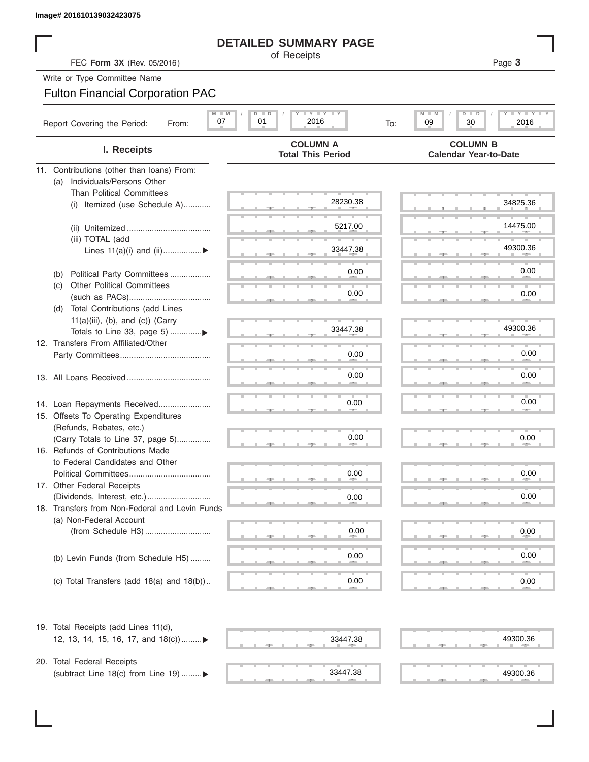# **DETAILED SUMMARY PAGE**

# Fulton Financial Corporation PAC

| Image# 201610139032423075                                                     |                                                                   |                                                           |  |  |  |  |
|-------------------------------------------------------------------------------|-------------------------------------------------------------------|-----------------------------------------------------------|--|--|--|--|
| <b>DETAILED SUMMARY PAGE</b>                                                  |                                                                   |                                                           |  |  |  |  |
| FEC Form 3X (Rev. 05/2016)                                                    | of Receipts                                                       | Page 3                                                    |  |  |  |  |
| Write or Type Committee Name                                                  |                                                                   |                                                           |  |  |  |  |
| <b>Fulton Financial Corporation PAC</b>                                       |                                                                   |                                                           |  |  |  |  |
| Report Covering the Period:<br>From:                                          | $I - Y - I - Y - I - Y$<br>$M$ $M$<br>$D$ $D$<br>01<br>07<br>2016 | Y LTY L<br>$M -$<br>$D$ $\Box$<br>09<br>30<br>2016<br>To: |  |  |  |  |
| I. Receipts                                                                   | <b>COLUMN A</b><br><b>Total This Period</b>                       | <b>COLUMN B</b><br><b>Calendar Year-to-Date</b>           |  |  |  |  |
| 11. Contributions (other than loans) From:                                    |                                                                   |                                                           |  |  |  |  |
| Individuals/Persons Other<br>(a)                                              |                                                                   |                                                           |  |  |  |  |
| <b>Than Political Committees</b>                                              | 28230.38                                                          | 34825.36                                                  |  |  |  |  |
| Itemized (use Schedule A)<br>(i)                                              |                                                                   |                                                           |  |  |  |  |
|                                                                               | 5217.00                                                           | 14475.00                                                  |  |  |  |  |
| (iii) TOTAL (add                                                              |                                                                   |                                                           |  |  |  |  |
| Lines $11(a)(i)$ and $(ii)$                                                   | 33447.38                                                          | 49300.36                                                  |  |  |  |  |
|                                                                               |                                                                   | 0.00                                                      |  |  |  |  |
| Political Party Committees<br>(b)<br><b>Other Political Committees</b><br>(C) | 0.00                                                              |                                                           |  |  |  |  |
|                                                                               | 0.00                                                              | 0.00                                                      |  |  |  |  |
| Total Contributions (add Lines<br>(d)                                         |                                                                   |                                                           |  |  |  |  |
| $11(a)(iii)$ , (b), and (c)) (Carry                                           |                                                                   |                                                           |  |  |  |  |
|                                                                               | 33447.38                                                          | 49300.36                                                  |  |  |  |  |
| 12. Transfers From Affiliated/Other                                           |                                                                   | 0.00                                                      |  |  |  |  |
|                                                                               | 0.00                                                              |                                                           |  |  |  |  |
|                                                                               | 0.00                                                              | 0.00                                                      |  |  |  |  |
|                                                                               |                                                                   |                                                           |  |  |  |  |
| 14. Loan Repayments Received                                                  | 0.00                                                              | 0.00                                                      |  |  |  |  |
| 15. Offsets To Operating Expenditures                                         |                                                                   |                                                           |  |  |  |  |
| (Refunds, Rebates, etc.)                                                      |                                                                   |                                                           |  |  |  |  |
| (Carry Totals to Line 37, page 5)                                             | 0.00                                                              | 0.00                                                      |  |  |  |  |
| 16. Refunds of Contributions Made                                             |                                                                   |                                                           |  |  |  |  |
| to Federal Candidates and Other<br>Political Committees                       | 0.00                                                              | 0.00                                                      |  |  |  |  |
| 17. Other Federal Receipts                                                    |                                                                   |                                                           |  |  |  |  |
|                                                                               | 0.00                                                              | 0.00                                                      |  |  |  |  |
| 18. Transfers from Non-Federal and Levin Funds                                |                                                                   |                                                           |  |  |  |  |
| (a) Non-Federal Account                                                       |                                                                   |                                                           |  |  |  |  |
|                                                                               | 0.00                                                              | 0.00                                                      |  |  |  |  |
|                                                                               |                                                                   |                                                           |  |  |  |  |
| (b) Levin Funds (from Schedule H5)                                            | 0.00                                                              | 0.00                                                      |  |  |  |  |
| (c) Total Transfers (add $18(a)$ and $18(b)$ )                                | 0.00                                                              | 0.00                                                      |  |  |  |  |
|                                                                               |                                                                   |                                                           |  |  |  |  |
| 19. Total Receipts (add Lines 11(d),                                          |                                                                   |                                                           |  |  |  |  |
| 12, 13, 14, 15, 16, 17, and 18(c))▶                                           | 33447.38                                                          | 49300.36                                                  |  |  |  |  |
| 20. Total Federal Receipts                                                    |                                                                   |                                                           |  |  |  |  |
| (subtract Line 18(c) from Line 19)▶                                           | 33447.38                                                          | 49300.36                                                  |  |  |  |  |

| ш. | -- | and the control |    | $-7-$   | - 11 | $\sim$                     | <b>AREA</b> |  |
|----|----|-----------------|----|---------|------|----------------------------|-------------|--|
|    |    |                 |    |         |      |                            |             |  |
|    |    |                 |    |         |      |                            |             |  |
|    |    |                 |    |         |      |                            | 0.00        |  |
| m. | -- | л               | ш. | $-7-$   |      | ш                          |             |  |
|    |    |                 |    |         |      |                            |             |  |
|    |    |                 |    |         |      |                            | 0.00        |  |
| a. | -- | - 11            |    | $-1$ 45 |      | $\mathcal{H}_{\text{max}}$ | <b>ALL</b>  |  |
|    |    |                 |    |         |      |                            |             |  |
|    |    |                 |    |         |      |                            |             |  |

| <b>The Contract of the Contract of the Contract of the Contract of the Contract of the Contract of the Contract of the Contract of the Contract of the Contract of the Contract of the Contract of the Contract of the Contract </b> | <b>AND</b> | <b>All All And</b> | $-7-$ |   | v.vv<br>489<br>ш                        |  |
|--------------------------------------------------------------------------------------------------------------------------------------------------------------------------------------------------------------------------------------|------------|--------------------|-------|---|-----------------------------------------|--|
|                                                                                                                                                                                                                                      |            |                    |       |   | 0.00                                    |  |
| $\mathbb{R}$                                                                                                                                                                                                                         | <b>AND</b> | <b>State State</b> | $-2-$ |   | 45<br><b>Contract Contract Contract</b> |  |
|                                                                                                                                                                                                                                      | ٠          |                    | ш     | ъ | ш<br>0.00                               |  |
|                                                                                                                                                                                                                                      |            |                    |       |   | ×                                       |  |

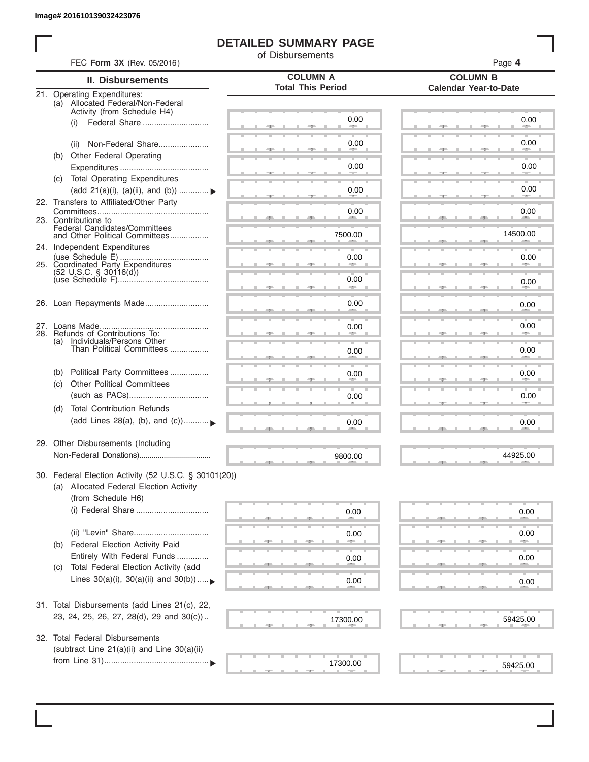ı

# **DETAILED SUMMARY PAGE**

of Disbursements

| <b>II. Disbursements</b>                                         | <b>COLUMN A</b>          | <b>COLUMN B</b>              |  |  |
|------------------------------------------------------------------|--------------------------|------------------------------|--|--|
|                                                                  | <b>Total This Period</b> | <b>Calendar Year-to-Date</b> |  |  |
| 21. Operating Expenditures:<br>(a) Allocated Federal/Non-Federal |                          |                              |  |  |
| Activity (from Schedule H4)                                      |                          |                              |  |  |
| (i)                                                              | 0.00                     | 0.00                         |  |  |
|                                                                  |                          |                              |  |  |
| Non-Federal Share<br>(ii)                                        | 0.00                     | 0.00                         |  |  |
| (b) Other Federal Operating                                      |                          |                              |  |  |
|                                                                  | 0.00                     | 0.00                         |  |  |
| (c) Total Operating Expenditures                                 |                          |                              |  |  |
| (add 21(a)(i), (a)(ii), and (b))                                 | 0.00                     | 0.00                         |  |  |
| 22. Transfers to Affiliated/Other Party                          |                          |                              |  |  |
| 23. Contributions to                                             | 0.00<br><b>Allen</b>     | 0.00<br><b>AREA</b>          |  |  |
| Federal Candidates/Committees<br>and Other Political Committees  |                          | 14500.00                     |  |  |
|                                                                  | 7500.00                  |                              |  |  |
| 24. Independent Expenditures                                     |                          |                              |  |  |
| 25. Coordinated Party Expenditures                               | 0.00                     | 0.00                         |  |  |
| $(52 \text{ U.S.C. }$ § 30116(d))                                | 0.00                     |                              |  |  |
|                                                                  |                          | 0.00                         |  |  |
| 26. Loan Repayments Made                                         | 0.00                     | 0.00                         |  |  |
|                                                                  |                          |                              |  |  |
|                                                                  | 0.00                     | 0.00                         |  |  |
| 28. Refunds of Contributions To:                                 |                          |                              |  |  |
| (a) Individuals/Persons Other<br>Than Political Committees       | 0.00                     | 0.00                         |  |  |
|                                                                  |                          |                              |  |  |
| Political Party Committees<br>(b)                                | 0.00                     | 0.00                         |  |  |
| <b>Other Political Committees</b><br>(C)                         |                          |                              |  |  |
|                                                                  | 0.00                     | 0.00                         |  |  |
| <b>Total Contribution Refunds</b><br>(d)                         |                          |                              |  |  |
| (add Lines 28(a), (b), and (c))                                  | 0.00                     | 0.00                         |  |  |
|                                                                  |                          |                              |  |  |
| 29. Other Disbursements (Including                               |                          |                              |  |  |
|                                                                  | 9800.00                  | 44925.00                     |  |  |
|                                                                  |                          |                              |  |  |
| 30. Federal Election Activity (52 U.S.C. § 30101(20))            |                          |                              |  |  |
| (a) Allocated Federal Election Activity                          |                          |                              |  |  |
| (from Schedule H6)                                               |                          |                              |  |  |
|                                                                  | 0.00                     | 0.00                         |  |  |
|                                                                  |                          |                              |  |  |
| (ii) "Levin" Share                                               | 0.00                     | 0.00                         |  |  |
| Federal Election Activity Paid<br>(b)                            |                          |                              |  |  |
| Entirely With Federal Funds                                      | 0.00                     | 0.00                         |  |  |
| Total Federal Election Activity (add<br>(C)                      |                          |                              |  |  |
| Lines $30(a)(i)$ , $30(a)(ii)$ and $30(b))$                      | 0.00                     | 0.00                         |  |  |
|                                                                  |                          |                              |  |  |
| 31. Total Disbursements (add Lines 21(c), 22,                    |                          |                              |  |  |
| 23, 24, 25, 26, 27, 28(d), 29 and 30(c))                         | 17300.00                 | 59425.00                     |  |  |
|                                                                  |                          |                              |  |  |
| <b>Total Federal Disbursements</b><br>32.                        |                          |                              |  |  |
| (subtract Line 21(a)(ii) and Line 30(a)(ii)                      |                          |                              |  |  |
|                                                                  | 17300.00                 | 59425.00                     |  |  |
|                                                                  |                          |                              |  |  |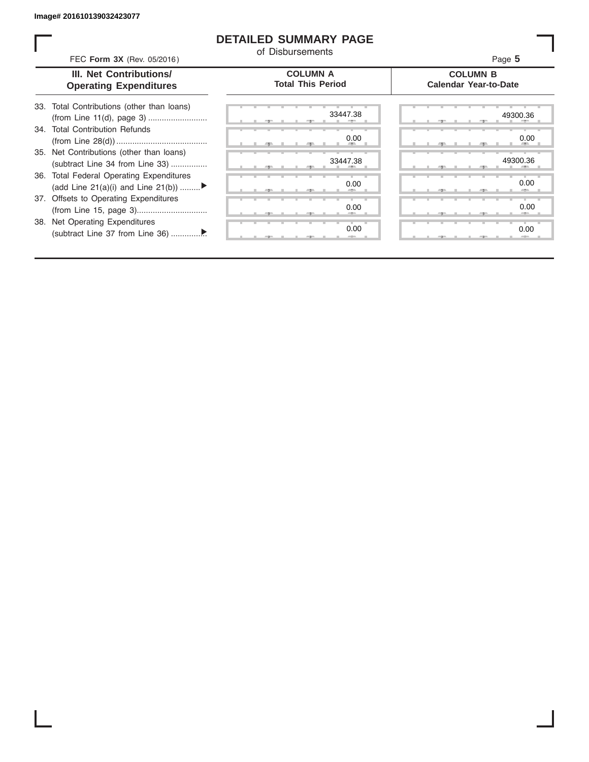# **DETAILED SUMMARY PAGE**

of Disbursements

FEC **Form 3X** (Rev. 05/2016) **Page 5 Product CO Product CO Page 5** 

## **III. Net Contributions/ Operating Expenditures**

## **COLUMN A Total This Period**

## **COLUMN B Calendar Year-to-Date**

| 33. Total Contributions (other than loans) |
|--------------------------------------------|
| 34. Total Contribution Refunds             |
|                                            |
| 35. Net Contributions (other than loans)   |
| (subtract Line 34 from Line 33)            |
| 36. Total Federal Operating Expenditures   |
| (add Line 21(a)(i) and Line 21(b))         |
| 37. Offsets to Operating Expenditures      |
|                                            |
| 38. Net Operating Expenditures             |
|                                            |

|   | æ |   |   | ユー    | 33447.38<br>$-$     |
|---|---|---|---|-------|---------------------|
|   |   |   |   |       |                     |
|   | œ |   |   | 5     | 0.00<br>÷           |
|   |   |   |   |       | 33447.38            |
|   | 胆 |   |   | - 7 - | щ                   |
|   |   |   |   |       | 0.00                |
|   | 一 |   |   | ユ     |                     |
|   | т | ٠ | т | ٠     | т<br>т<br>0.00      |
|   | - |   |   | ユー    | --                  |
| т | т | т | т | т     | т<br>т<br>т<br>0.00 |
|   |   |   |   | σ     | --                  |

٦

|       |  | 33447.38<br>×             |  |   |  |   | 49300.36<br>- -     |
|-------|--|---------------------------|--|---|--|---|---------------------|
| m     |  | 0.00<br><b>AREA</b><br>-9 |  | - |  | - | 0.00<br><b>AREA</b> |
|       |  | 33447.38                  |  |   |  |   | 49300.36            |
|       |  | 0.00<br>-                 |  |   |  |   | 0.00<br>-           |
|       |  | 0.00<br>--                |  |   |  |   | 0.00<br>--          |
| $-7-$ |  | 0.00<br>$-$               |  |   |  |   | 0.00                |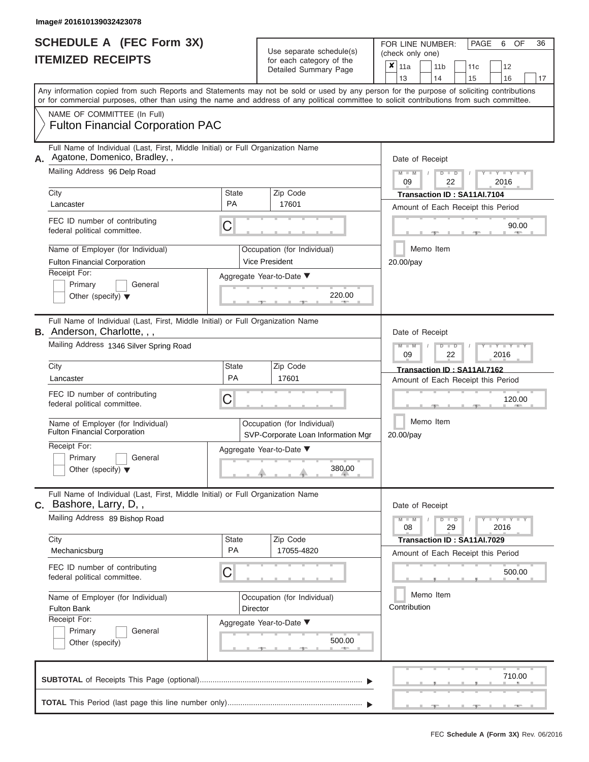#### **Image# 201610139032423078**

| <b>SCHEDULE A (FEC Form 3X)</b> |  |  |
|---------------------------------|--|--|
| <b>ITEMIZED RECEIPTS</b>        |  |  |

**TOTAL** This Period (last page this line number only)...............................................................

Use separate schedule(s)<br>for each category of the<br> $\frac{|\mathbf{x}|}{\mathbf{x}}$  11a  $\frac{|\mathbf{x}|}{\mathbf{x}}$  11b

FOR LINE NUMBER: PAGE 6<br>(check only one)

 $\overline{\mathbf{x}}$  11a

OF 36

 $, \quad , \quad , \quad , \quad$  710.  $\frac{90.0}{7}$ Aggregate Year-to-Date ▼  $\frac{220.0}{7}$ C C ▲ ▲ ▲ , , . , , .  $\frac{300.0}{4}$ C **M M / D D / Y Y Y Y M M / D D / Y Y Y Y M M / D D / Y Y Y Y**  $\frac{380.0}{1}$ , , . Any information copied from such Reports and Statements may not be sold or used by any person for the purpose of soliciting contributions or for commercial purposes, other than using the name and address of any political committee to solicit contributions from such committee. NAME OF COMMITTEE (In Full) **SUBTOTAL** of Receipts This Page (optional)............................................................................ ▼ ▼ Full Name of Individual (Last, First, Middle Initial) or Full Organization Name Mailing Address 96 Delp Road City City Code City State City State  $\sim$  2ip Code Receipt For: Primary **General** Other (specify) ▼ Amount of Each Receipt this Period **A.** Date of Receipt Name of Employer (for Individual)  $\vert$  Occupation (for Individual) FEC ID number of contributing federal political committee. Full Name of Individual (Last, First, Middle Initial) or Full Organization Name Mailing Address 1346 Silver Spring Road City **State** Zip Code Receipt For: Primary **General** Other (specify) ▼ Amount of Each Receipt this Period **B.** Anderson, Charlotte, , , Aggregate Year-to-Date ▼ Date of Receipt FEC ID number of contributing federal political committee. Full Name of Individual (Last, First, Middle Initial) or Full Organization Name Mailing Address 89 Bishop Road City City City State 2 | State Zip Code Receipt For: Primary **General** Other (specify) Amount of Each Receipt this Period **C.** Bashore, Larry, D, , Aggregate Year-to-Date ▼ Date of Receipt FEC ID number of contributing federal political committee. Detailed Summary Page  $\begin{array}{|c|c|c|c|c|c|}\n\hline\n11a & 11b & 11c & 12 \ \hline\n13 & 14 & 15 & 16\n\end{array}$ |13 | |14 | |15 | |16 | |17 Memo Item Memo Item Memo Item Name of Employer (for Individual) <br>
Fulton Financial Corporation (SVD Corporate Loan Information (SVD Corporate Loan Information Name of Employer (for Individual) <br> Qccupation (for Individual) Fulton Financial Corporation PAC Agatone, Domenico, Bradley, , 09 | 22 | 2016 City<br>
Lancaster **PA** 17601 **Transaction ID : SA11AI.7104**<br>
PA 17601 **PA** 17601 Fulton Financial Corporation **Vice President** 20.00/pay 90.00<br>
(1)<br>
20.00/pay<br>
220.00<br>
220.00 09 22 2016 Lancaster **PA** 17601 **Transaction ID : SA11AI.7162**<br>
PA 17601 **PA** 17601 **Amount of Each Beceipt this P** SVP-Corporate Loan Information Mgr 380.00 20.00/pay 120.00 08 29 2016 Mechanicsburg PA 17055-4820 **Transaction ID : SA11AI.7029** Fulton Bank Director **Contribution** 500.00<br>
(b)<br>
Contribution<br>
S00.00<br>
S00.00<br>
S00.00 710.00

FEC **Schedule A (Form 3X)** Rev. 06/2016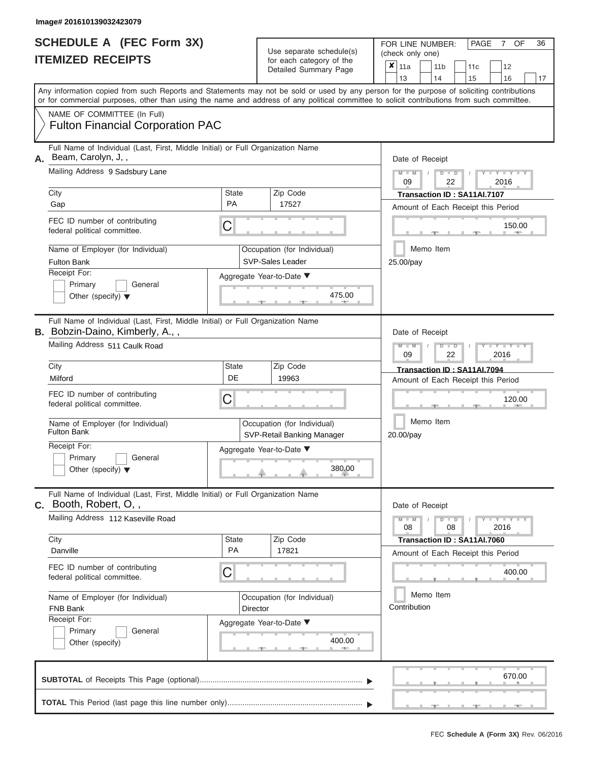#### **Image# 201610139032423079**

|                          | <b>SCHEDULE A (FEC Form 3X)</b> |
|--------------------------|---------------------------------|
| <b>ITEMIZED RECEIPTS</b> |                                 |

FOR LINE NUMBER:<br>(check only one) Use separate schedule(s)<br>for each category of the

|                                                                            |                                                                                                                                                                                                                                                                                         |              |                                                                   | vadil valogoly of the<br>Detailed Summary Page            | x                                     | 11a<br>13              |  |  | 11 <sub>b</sub><br>14                                      |  | 11c<br>15 | 12<br>16                           |        | 17 |  |  |  |  |  |  |  |
|----------------------------------------------------------------------------|-----------------------------------------------------------------------------------------------------------------------------------------------------------------------------------------------------------------------------------------------------------------------------------------|--------------|-------------------------------------------------------------------|-----------------------------------------------------------|---------------------------------------|------------------------|--|--|------------------------------------------------------------|--|-----------|------------------------------------|--------|----|--|--|--|--|--|--|--|
|                                                                            | Any information copied from such Reports and Statements may not be sold or used by any person for the purpose of soliciting contributions<br>or for commercial purposes, other than using the name and address of any political committee to solicit contributions from such committee. |              |                                                                   |                                                           |                                       |                        |  |  |                                                            |  |           |                                    |        |    |  |  |  |  |  |  |  |
|                                                                            | NAME OF COMMITTEE (In Full)<br><b>Fulton Financial Corporation PAC</b>                                                                                                                                                                                                                  |              |                                                                   |                                                           |                                       |                        |  |  |                                                            |  |           |                                    |        |    |  |  |  |  |  |  |  |
| А.                                                                         | Full Name of Individual (Last, First, Middle Initial) or Full Organization Name<br>Beam, Carolyn, J,,<br>Mailing Address 9 Sadsbury Lane                                                                                                                                                |              |                                                                   |                                                           | Date of Receipt<br>$M - M$<br>$D$ $D$ |                        |  |  |                                                            |  |           |                                    |        |    |  |  |  |  |  |  |  |
|                                                                            | City                                                                                                                                                                                                                                                                                    | <b>State</b> | Zip Code                                                          |                                                           |                                       |                        |  |  | 09<br>2016<br>22<br>Transaction ID: SA11Al.7107            |  |           |                                    |        |    |  |  |  |  |  |  |  |
|                                                                            | Gap                                                                                                                                                                                                                                                                                     | PA           |                                                                   | 17527                                                     |                                       |                        |  |  |                                                            |  |           | Amount of Each Receipt this Period |        |    |  |  |  |  |  |  |  |
|                                                                            | FEC ID number of contributing<br>federal political committee.                                                                                                                                                                                                                           | C            |                                                                   |                                                           | 150.00<br>Memo Item                   |                        |  |  |                                                            |  |           |                                    |        |    |  |  |  |  |  |  |  |
|                                                                            | Name of Employer (for Individual)<br><b>Fulton Bank</b>                                                                                                                                                                                                                                 |              |                                                                   | Occupation (for Individual)<br>SVP-Sales Leader           |                                       | 25.00/pay              |  |  |                                                            |  |           |                                    |        |    |  |  |  |  |  |  |  |
| Receipt For:<br>Primary<br>General<br>Other (specify) $\blacktriangledown$ |                                                                                                                                                                                                                                                                                         |              |                                                                   | Aggregate Year-to-Date ▼<br>475.00                        |                                       |                        |  |  |                                                            |  |           |                                    |        |    |  |  |  |  |  |  |  |
|                                                                            | Full Name of Individual (Last, First, Middle Initial) or Full Organization Name<br>B. Bobzin-Daino, Kimberly, A.,,                                                                                                                                                                      |              |                                                                   |                                                           |                                       | Date of Receipt        |  |  |                                                            |  |           |                                    |        |    |  |  |  |  |  |  |  |
|                                                                            | Mailing Address 511 Caulk Road                                                                                                                                                                                                                                                          |              | Zip Code                                                          |                                                           |                                       |                        |  |  | $M - M$<br>D<br>$\blacksquare$<br>2016<br>09<br>22         |  |           |                                    |        |    |  |  |  |  |  |  |  |
|                                                                            | City<br>Milford                                                                                                                                                                                                                                                                         | State<br>DE  | Transaction ID: SA11AI.7094<br>Amount of Each Receipt this Period |                                                           |                                       |                        |  |  |                                                            |  |           |                                    |        |    |  |  |  |  |  |  |  |
|                                                                            | FEC ID number of contributing<br>federal political committee.                                                                                                                                                                                                                           | C            |                                                                   |                                                           |                                       |                        |  |  | 120.00                                                     |  |           |                                    |        |    |  |  |  |  |  |  |  |
|                                                                            | Name of Employer (for Individual)<br><b>Fulton Bank</b>                                                                                                                                                                                                                                 |              |                                                                   | Occupation (for Individual)<br>SVP-Retail Banking Manager |                                       | Memo Item<br>20.00/pay |  |  |                                                            |  |           |                                    |        |    |  |  |  |  |  |  |  |
|                                                                            | Receipt For:<br>Primary<br>General<br>Other (specify) $\blacktriangledown$                                                                                                                                                                                                              |              |                                                                   | Aggregate Year-to-Date ▼<br>380.00                        |                                       |                        |  |  |                                                            |  |           |                                    |        |    |  |  |  |  |  |  |  |
|                                                                            | Full Name of Individual (Last, First, Middle Initial) or Full Organization Name<br>C. Booth, Robert, O.,                                                                                                                                                                                |              |                                                                   |                                                           |                                       |                        |  |  | Date of Receipt                                            |  |           |                                    |        |    |  |  |  |  |  |  |  |
|                                                                            | Mailing Address 112 Kaseville Road                                                                                                                                                                                                                                                      |              |                                                                   |                                                           |                                       |                        |  |  | $T - Y = Y - T$<br>D<br>$\blacksquare$<br>08<br>08<br>2016 |  |           |                                    |        |    |  |  |  |  |  |  |  |
|                                                                            | City<br>Danville                                                                                                                                                                                                                                                                        | State<br>PA  |                                                                   | Zip Code<br>17821                                         |                                       |                        |  |  | Transaction ID: SA11AI.7060                                |  |           | Amount of Each Receipt this Period |        |    |  |  |  |  |  |  |  |
|                                                                            | FEC ID number of contributing<br>federal political committee.                                                                                                                                                                                                                           | C            |                                                                   |                                                           |                                       |                        |  |  |                                                            |  |           |                                    | 400.00 |    |  |  |  |  |  |  |  |
|                                                                            | Name of Employer (for Individual)<br>FNB Bank                                                                                                                                                                                                                                           |              | <b>Director</b>                                                   | Occupation (for Individual)                               | Memo Item<br>Contribution             |                        |  |  |                                                            |  |           |                                    |        |    |  |  |  |  |  |  |  |
|                                                                            | Receipt For:<br>Primary<br>General<br>Other (specify)                                                                                                                                                                                                                                   |              |                                                                   | Aggregate Year-to-Date ▼<br>400.00                        |                                       |                        |  |  |                                                            |  |           |                                    |        |    |  |  |  |  |  |  |  |
|                                                                            |                                                                                                                                                                                                                                                                                         |              |                                                                   |                                                           |                                       |                        |  |  |                                                            |  |           |                                    | 670.00 |    |  |  |  |  |  |  |  |
|                                                                            |                                                                                                                                                                                                                                                                                         |              |                                                                   |                                                           |                                       |                        |  |  |                                                            |  |           |                                    |        |    |  |  |  |  |  |  |  |

FEC **Schedule A (Form 3X)** Rev. 06/2016

PAGE 7 OF 36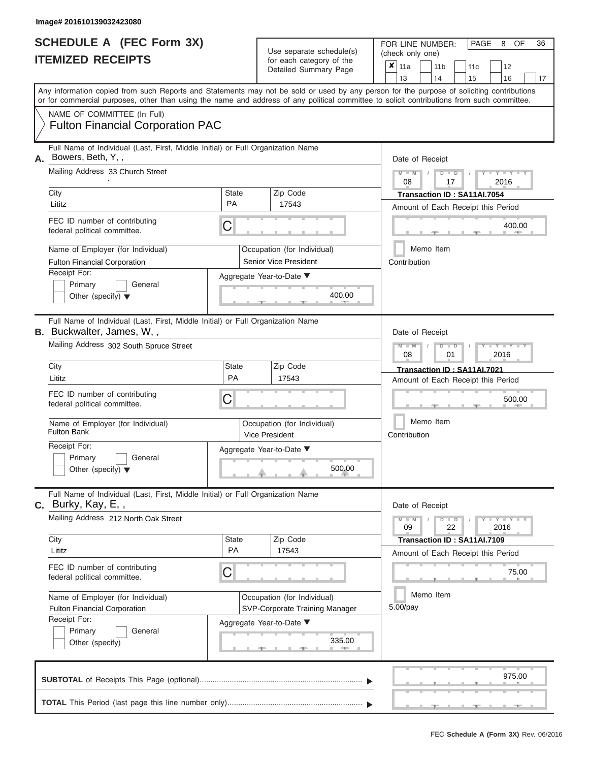| <b>SCHEDULE A (FEC Form 3X)</b><br><b>ITEMIZED RECEIPTS</b>                     |              | Use separate schedule(s)<br>for each category of the<br>Detailed Summary Page | PAGE<br>FOR LINE NUMBER:<br><b>OF</b><br>8<br>(check only one)<br>x<br>11 <sub>b</sub><br>12<br>11a<br>11c<br>13<br>14<br>15<br>16                                                                                                                                                      |
|---------------------------------------------------------------------------------|--------------|-------------------------------------------------------------------------------|-----------------------------------------------------------------------------------------------------------------------------------------------------------------------------------------------------------------------------------------------------------------------------------------|
|                                                                                 |              |                                                                               | Any information copied from such Reports and Statements may not be sold or used by any person for the purpose of soliciting contributions<br>or for commercial purposes, other than using the name and address of any political committee to solicit contributions from such committee. |
| NAME OF COMMITTEE (In Full)<br><b>Fulton Financial Corporation PAC</b>          |              |                                                                               |                                                                                                                                                                                                                                                                                         |
| Full Name of Individual (Last, First, Middle Initial) or Full Organization Name |              |                                                                               |                                                                                                                                                                                                                                                                                         |
| Bowers, Beth, Y,,<br>Α.<br>Mailing Address 33 Church Street<br>City             | <b>State</b> | Zip Code                                                                      | Date of Receipt<br>$Y = Y = Y = Y$<br>$M - M$<br>$D$ $D$<br>17<br>2016<br>08                                                                                                                                                                                                            |
| Lititz                                                                          | <b>PA</b>    | 17543                                                                         | Transaction ID: SA11AI.7054<br>Amount of Each Receipt this Period                                                                                                                                                                                                                       |

|                | LU ID HUHINGI OI COHINDUMIY<br>federal political committee.                                                                                            | C                                                                                                 | 400.00                                                            |
|----------------|--------------------------------------------------------------------------------------------------------------------------------------------------------|---------------------------------------------------------------------------------------------------|-------------------------------------------------------------------|
|                | Name of Employer (for Individual)<br><b>Fulton Financial Corporation</b><br>Receipt For:<br>Primary<br>General<br>Other (specify) $\blacktriangledown$ | Occupation (for Individual)<br><b>Senior Vice President</b><br>Aggregate Year-to-Date ▼<br>400.00 | Memo Item<br>Contribution                                         |
| <b>B.</b>      | Full Name of Individual (Last, First, Middle Initial) or Full Organization Name<br>Buckwalter, James, W,,<br>Mailing Address 302 South Spruce Street   |                                                                                                   | Date of Receipt<br>YIYIY<br>2016<br>08<br>01                      |
|                | City<br>Lititz                                                                                                                                         | State<br>Zip Code<br><b>PA</b><br>17543                                                           | Transaction ID: SA11AI.7021<br>Amount of Each Receipt this Period |
|                | FEC ID number of contributing<br>federal political committee.                                                                                          | C                                                                                                 | 500.00                                                            |
|                | Name of Employer (for Individual)<br><b>Fulton Bank</b><br>Receipt For:<br>Primary<br>General<br>Other (specify) $\blacktriangledown$                  | Occupation (for Individual)<br>Vice President<br>Aggregate Year-to-Date ▼<br>500.00               | Memo Item<br>Contribution                                         |
| $\mathbf{C}$ . | Full Name of Individual (Last, First, Middle Initial) or Full Organization Name<br>Burky, Kay, E,,<br>Mailing Address 212 North Oak Street             |                                                                                                   | Date of Receipt<br><b>Y - Y - Y - Y</b><br>$M - M$<br>$D$ $D$     |
|                | City                                                                                                                                                   | State<br>Zip Code                                                                                 | 22<br>2016<br>09<br>Transaction ID: SA11AI.7109                   |

|13 | |14 | |15 | |16 | |17

8 36

| City                                                          | State                 | Zip Code                              | Transaction ID: SA11AI.7109        |
|---------------------------------------------------------------|-----------------------|---------------------------------------|------------------------------------|
| Lititz                                                        | <b>PA</b>             | 17543                                 | Amount of Each Receipt this Period |
| FEC ID number of contributing<br>federal political committee. | $\mathbin{\mathbb C}$ |                                       | 75.00                              |
| Name of Employer (for Individual)                             |                       | Occupation (for Individual)           | Memo Item                          |
| <b>Fulton Financial Corporation</b>                           |                       | <b>SVP-Corporate Training Manager</b> | 5.00/pay                           |
| Receipt For:<br>Primary<br>General                            |                       | Aggregate Year-to-Date ▼              |                                    |
| Other (specify)                                               |                       | 335.00                                |                                    |
|                                                               |                       |                                       | 975.00                             |
|                                                               | <b>START OF ALL</b>   |                                       |                                    |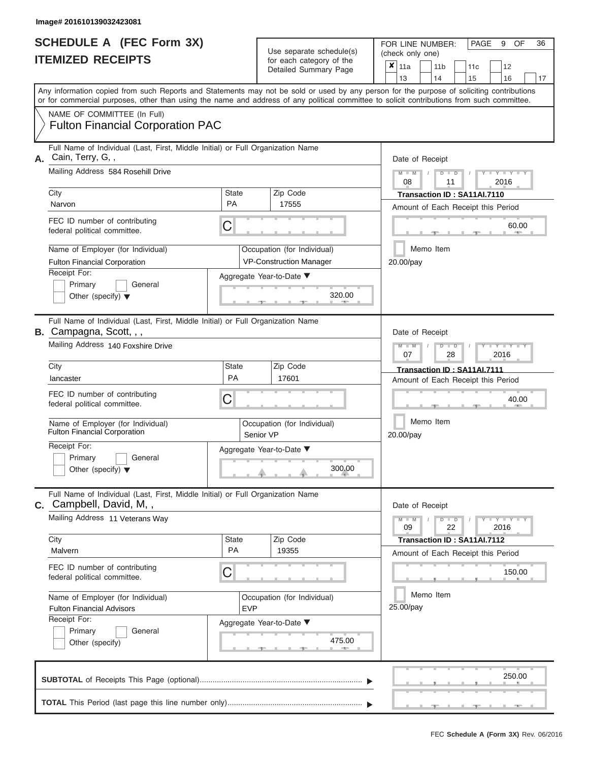| SCHEDULE A (FEC Form 3X) |  |
|--------------------------|--|
| <b>ITEMIZED RECEIPTS</b> |  |

Use separate schedule(s)<br>for each category of the<br> $\frac{|\mathbf{x}|}{|\mathbf{x}|}$  11a  $\frac{|\mathbf{x}|}{|\mathbf{x}|}$  11b

FOR LINE NUMBER: PAGE 9<br>(check only one)

OF 36

 $, \qquad \qquad$  . 250. ▲ ▲ ▲ , , . Aggregate Year-to-Date ▼  $\frac{320.0}{7}$ C C  $\sim$  40.0 , , .  $4/5.0$ C **M M / D D / Y Y Y Y M M / D D / Y Y Y Y M M / D D / Y Y Y Y**  $\rightarrow$   $\rightarrow$   $\rightarrow$   $\rightarrow$  300.0  $\frac{475.6}{7}$ Any information copied from such Reports and Statements may not be sold or used by any person for the purpose of soliciting contributions or for commercial purposes, other than using the name and address of any political committee to solicit contributions from such committee. NAME OF COMMITTEE (In Full) **SUBTOTAL** of Receipts This Page (optional)............................................................................ Full Name of Individual (Last, First, Middle Initial) or Full Organization Name Mailing Address 584 Rosehill Drive City City Code City State City State  $\sim$  2ip Code Receipt For: Primary **General** Other (specify) ▼ Amount of Each Receipt this Period **A.** Date of Receipt Name of Employer (for Individual)  $\vert$  Occupation (for Individual) FEC ID number of contributing federal political committee. Full Name of Individual (Last, First, Middle Initial) or Full Organization Name Mailing Address 140 Foxshire Drive City **State** Zip Code Receipt For: Primary **General** Other (specify) ▼ Amount of Each Receipt this Period **B.** Campagna, Scott, , , Aggregate Year-to-Date ▼ Date of Receipt FEC ID number of contributing federal political committee. Full Name of Individual (Last, First, Middle Initial) or Full Organization Name Mailing Address 11 Veterans Way City City State 2012 | State 2012 | Zip Code Receipt For: Primary **General** Other (specify) Amount of Each Receipt this Period **C.** Campbell, David, M, , Aggregate Year-to-Date ▼ Date of Receipt FEC ID number of contributing federal political committee. Detailed Summary Page  $\begin{array}{|c|c|c|c|c|c|}\n\hline\n11a & 11b & 11c & 12 \ \hline\n13 & 14 & 15 & 16\n\end{array}$ |13 | |14 | |15 | |16 | |17 Memo Item Memo Item Memo Item Name of Employer (for Individual)  $\vert$  Occupation (for Individual) Name of Employer (for Individual) <br> Qccupation (for Individual)  $\overline{\mathbf{x}}$  11a Fulton Financial Corporation PAC Cain, Terry, G, , 08 11 2016 City **City** City **Narvon** City **PA** 17555 **Transaction ID : SA11AI.7110**<br>
PA 17555 **PA** 17555 **PA** 17565 **Page 1766 Page 1766 Page 1766 Page 1766 Page 1766 Page 1766 Page 1766 Page 1766 Page 1766 Page 176** Fulton Financial Corporation **VP-Construction Manager** 20.00/pay  $\frac{60.00}{\text{N}}$ <br>  $\frac{1}{20.00/\text{pay}}$ 07 28 2016 Ulty University **PA 17601** PA 17601 **Transaction ID : SA11AI.7111**<br>
PA 17601 **PA 17601** Amount of Fach Receipt this P Fulton Financial Corporation Senior VP 300.00 20.00/pay 40.00  $09$  22  $2016$ City **Transaction ID : SA11AI.7112**<br>Malvern PA 19355 Malvern Amount of Each Beceint this Pe Fulton Financial Advisors **EVP** 25.00/pay 150.00<br>
(a)<br>
25.00/pay<br>
475.00<br>
25.00<br>
25.00<br>
25.00<br>
25.00<br>
25.00<br>
25.00<br>
25.00 250.00

 ▲ ▲ ▲ , , . **TOTAL** This Period (last page this line number only)................................. ▼ ▼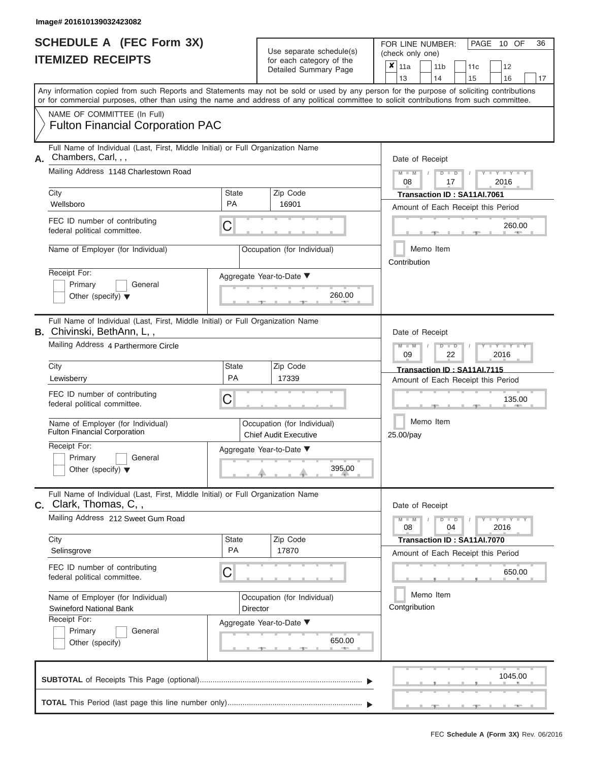| <b>SCHEDULE A (FEC Form 3X)</b> |  |
|---------------------------------|--|
| <b>ITEMIZED RECEIPTS</b>        |  |

FOR LINE NUMBER:<br>(check only one) Use separate schedule(s)<br>for each category of the<br>Detailed Summary Rese

|    |                                                                                                                                                                                                                                                                                         |                           | $\frac{1}{2}$<br>Detailed Summary Page                      |                                                                   | ×<br>11a                                                          |  | 11 <sub>b</sub> | 11 <sub>c</sub>                                                   |  | 12      |    |  |  |  |  |  |
|----|-----------------------------------------------------------------------------------------------------------------------------------------------------------------------------------------------------------------------------------------------------------------------------------------|---------------------------|-------------------------------------------------------------|-------------------------------------------------------------------|-------------------------------------------------------------------|--|-----------------|-------------------------------------------------------------------|--|---------|----|--|--|--|--|--|
|    | Any information copied from such Reports and Statements may not be sold or used by any person for the purpose of soliciting contributions<br>or for commercial purposes, other than using the name and address of any political committee to solicit contributions from such committee. |                           |                                                             |                                                                   | 13                                                                |  | 14              | 15                                                                |  | 16      | 17 |  |  |  |  |  |
|    | NAME OF COMMITTEE (In Full)<br><b>Fulton Financial Corporation PAC</b>                                                                                                                                                                                                                  |                           |                                                             |                                                                   |                                                                   |  |                 |                                                                   |  |         |    |  |  |  |  |  |
| А. | Full Name of Individual (Last, First, Middle Initial) or Full Organization Name<br>Chambers, Carl, , ,                                                                                                                                                                                  |                           |                                                             |                                                                   | Date of Receipt                                                   |  |                 |                                                                   |  |         |    |  |  |  |  |  |
|    | Mailing Address 1148 Charlestown Road                                                                                                                                                                                                                                                   |                           |                                                             |                                                                   | $M - M$<br>$D$ $D$<br>2016<br>08<br>17                            |  |                 |                                                                   |  |         |    |  |  |  |  |  |
|    | City<br>Wellsboro                                                                                                                                                                                                                                                                       | <b>State</b><br><b>PA</b> | Zip Code<br>16901                                           |                                                                   | Transaction ID: SA11AI.7061<br>Amount of Each Receipt this Period |  |                 |                                                                   |  |         |    |  |  |  |  |  |
|    | FEC ID number of contributing<br>federal political committee.                                                                                                                                                                                                                           | C                         |                                                             |                                                                   |                                                                   |  |                 |                                                                   |  | 260.00  |    |  |  |  |  |  |
|    | Name of Employer (for Individual)                                                                                                                                                                                                                                                       |                           | Occupation (for Individual)                                 |                                                                   | Memo Item<br>Contribution                                         |  |                 |                                                                   |  |         |    |  |  |  |  |  |
|    | Receipt For:<br>Primary<br>General<br>Other (specify) $\blacktriangledown$                                                                                                                                                                                                              |                           | Aggregate Year-to-Date ▼<br>260.00                          |                                                                   |                                                                   |  |                 |                                                                   |  |         |    |  |  |  |  |  |
|    | Full Name of Individual (Last, First, Middle Initial) or Full Organization Name<br><b>B.</b> Chivinski, BethAnn, L,,                                                                                                                                                                    |                           |                                                             |                                                                   | Date of Receipt                                                   |  |                 |                                                                   |  |         |    |  |  |  |  |  |
|    | Mailing Address 4 Parthermore Circle                                                                                                                                                                                                                                                    |                           |                                                             |                                                                   | $M - M$<br>Y Y<br>2016<br>09<br>22                                |  |                 |                                                                   |  |         |    |  |  |  |  |  |
|    | City<br>Lewisberry                                                                                                                                                                                                                                                                      | <b>State</b><br>PA        | Zip Code<br>17339                                           | Transaction ID: SA11AI.7115<br>Amount of Each Receipt this Period |                                                                   |  |                 |                                                                   |  |         |    |  |  |  |  |  |
|    | FEC ID number of contributing<br>С<br>federal political committee.                                                                                                                                                                                                                      |                           |                                                             |                                                                   |                                                                   |  | 135.00          |                                                                   |  |         |    |  |  |  |  |  |
|    | Name of Employer (for Individual)<br><b>Fulton Financial Corporation</b>                                                                                                                                                                                                                |                           | Occupation (for Individual)<br><b>Chief Audit Executive</b> |                                                                   | Memo Item<br>25.00/pay                                            |  |                 |                                                                   |  |         |    |  |  |  |  |  |
|    | Receipt For:<br>Primary<br>General<br>Other (specify) $\blacktriangledown$                                                                                                                                                                                                              |                           | Aggregate Year-to-Date ▼<br>395.00                          |                                                                   |                                                                   |  |                 |                                                                   |  |         |    |  |  |  |  |  |
|    | Full Name of Individual (Last, First, Middle Initial) or Full Organization Name<br><b>c.</b> Clark, Thomas, C,,                                                                                                                                                                         |                           |                                                             |                                                                   | Date of Receipt                                                   |  |                 |                                                                   |  |         |    |  |  |  |  |  |
|    | Mailing Address 212 Sweet Gum Road                                                                                                                                                                                                                                                      |                           |                                                             |                                                                   | Y TYT<br>$M - M$<br>$\blacksquare$<br>08<br>04<br>2016            |  |                 |                                                                   |  |         |    |  |  |  |  |  |
|    | City<br>Selinsgrove                                                                                                                                                                                                                                                                     | State<br>PA               | Zip Code<br>17870                                           |                                                                   |                                                                   |  |                 | Transaction ID: SA11AI.7070<br>Amount of Each Receipt this Period |  |         |    |  |  |  |  |  |
|    | FEC ID number of contributing<br>federal political committee.                                                                                                                                                                                                                           | С                         |                                                             |                                                                   |                                                                   |  |                 |                                                                   |  | 650.00  |    |  |  |  |  |  |
|    | Name of Employer (for Individual)<br><b>Swineford National Bank</b>                                                                                                                                                                                                                     |                           | Occupation (for Individual)<br><b>Director</b>              |                                                                   | Contgribution                                                     |  | Memo Item       |                                                                   |  |         |    |  |  |  |  |  |
|    | Receipt For:<br>Primary<br>General<br>Other (specify)                                                                                                                                                                                                                                   |                           | Aggregate Year-to-Date ▼<br>650.00                          |                                                                   |                                                                   |  |                 |                                                                   |  |         |    |  |  |  |  |  |
|    |                                                                                                                                                                                                                                                                                         |                           |                                                             |                                                                   |                                                                   |  |                 |                                                                   |  | 1045.00 |    |  |  |  |  |  |
|    |                                                                                                                                                                                                                                                                                         |                           |                                                             |                                                                   |                                                                   |  |                 |                                                                   |  |         |    |  |  |  |  |  |

PAGE 10 OF 36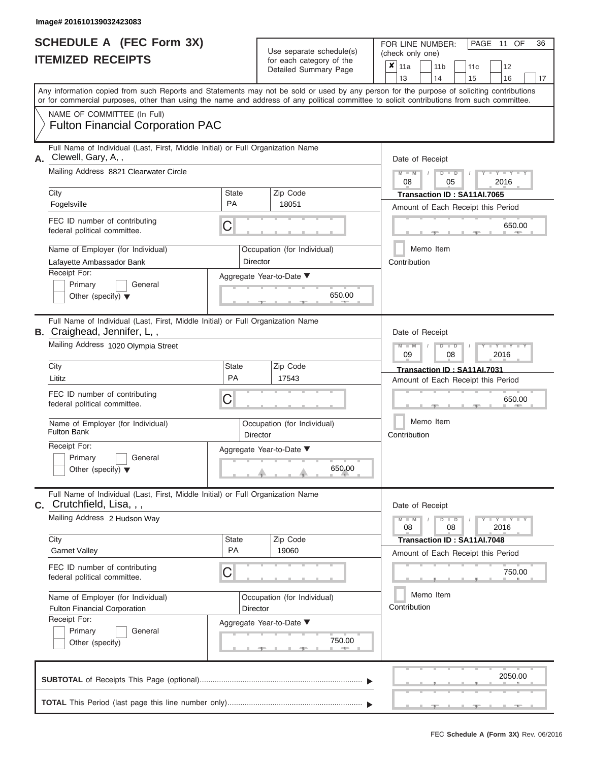| SCHEDULE A (FEC Form 3X) |  |
|--------------------------|--|
| <b>ITEMIZED RECEIPTS</b> |  |

FOR LINE NUMBER: Use separate schedule(s) (check only one)<br>for each category of the  $\begin{array}{|c|c|c|c|c|}\n\hline\n\text{Initial Summary goes} & & \text{with } & \text{with } & \text{with } & \text{with } & \text{with } & \text{with } & \text{with } & \text{with } & \text{with } & \text{with } & \text{with } & \text{with } & \text{with } & \text{with } & \text{with } & \text{with } & \text{with } & \text{with } & \text{with } & \text{with } & \text$ 

|    |                                                                                                                                                                                                                                                                                         |                    | Detailed Summary Page              | x<br>  11a<br>12<br>11 b<br>11c<br>13<br>14<br>15<br>16<br>17             |  |  |  |  |  |  |  |  |  |  |  |
|----|-----------------------------------------------------------------------------------------------------------------------------------------------------------------------------------------------------------------------------------------------------------------------------------------|--------------------|------------------------------------|---------------------------------------------------------------------------|--|--|--|--|--|--|--|--|--|--|--|
|    | Any information copied from such Reports and Statements may not be sold or used by any person for the purpose of soliciting contributions<br>or for commercial purposes, other than using the name and address of any political committee to solicit contributions from such committee. |                    |                                    |                                                                           |  |  |  |  |  |  |  |  |  |  |  |
|    | NAME OF COMMITTEE (In Full)<br><b>Fulton Financial Corporation PAC</b>                                                                                                                                                                                                                  |                    |                                    |                                                                           |  |  |  |  |  |  |  |  |  |  |  |
| А. | Full Name of Individual (Last, First, Middle Initial) or Full Organization Name<br>Clewell, Gary, A,,<br>Mailing Address 8821 Clearwater Circle                                                                                                                                         |                    |                                    | Date of Receipt                                                           |  |  |  |  |  |  |  |  |  |  |  |
|    |                                                                                                                                                                                                                                                                                         |                    |                                    | $- Y$<br>$D$ $D$<br>08<br>05<br>2016                                      |  |  |  |  |  |  |  |  |  |  |  |
|    | City<br>Fogelsville                                                                                                                                                                                                                                                                     | <b>State</b><br>PA | Zip Code<br>18051                  | Transaction ID: SA11AI.7065<br>Amount of Each Receipt this Period         |  |  |  |  |  |  |  |  |  |  |  |
|    | FEC ID number of contributing<br>federal political committee.                                                                                                                                                                                                                           | С                  |                                    | 650.00<br><b>AREA</b>                                                     |  |  |  |  |  |  |  |  |  |  |  |
|    | Name of Employer (for Individual)<br>Lafayette Ambassador Bank                                                                                                                                                                                                                          | Director           | Occupation (for Individual)        | Memo Item<br>Contribution                                                 |  |  |  |  |  |  |  |  |  |  |  |
|    | Receipt For:<br>Primary<br>General<br>Other (specify) $\blacktriangledown$                                                                                                                                                                                                              |                    | Aggregate Year-to-Date ▼<br>650.00 |                                                                           |  |  |  |  |  |  |  |  |  |  |  |
|    | Full Name of Individual (Last, First, Middle Initial) or Full Organization Name<br><b>B.</b> Craighead, Jennifer, L,,                                                                                                                                                                   |                    |                                    | Date of Receipt                                                           |  |  |  |  |  |  |  |  |  |  |  |
|    | Mailing Address 1020 Olympia Street                                                                                                                                                                                                                                                     |                    |                                    | Y I Y I<br>$D$ $\Box$ $D$<br>09<br>08<br>2016                             |  |  |  |  |  |  |  |  |  |  |  |
|    | City<br>Lititz                                                                                                                                                                                                                                                                          | <b>State</b><br>PA | Zip Code<br>17543                  | Transaction ID: SA11AI.7031<br>Amount of Each Receipt this Period         |  |  |  |  |  |  |  |  |  |  |  |
|    | FEC ID number of contributing<br>federal political committee.                                                                                                                                                                                                                           | С                  |                                    | 650.00                                                                    |  |  |  |  |  |  |  |  |  |  |  |
|    | Name of Employer (for Individual)<br><b>Fulton Bank</b>                                                                                                                                                                                                                                 | Director           | Occupation (for Individual)        | Memo Item<br>Contribution                                                 |  |  |  |  |  |  |  |  |  |  |  |
|    | Receipt For:<br>General<br>Primary<br>Other (specify) $\blacktriangledown$                                                                                                                                                                                                              |                    | Aggregate Year-to-Date ▼<br>650.00 |                                                                           |  |  |  |  |  |  |  |  |  |  |  |
|    | Full Name of Individual (Last, First, Middle Initial) or Full Organization Name<br>c. Crutchfield, Lisa, , ,                                                                                                                                                                            |                    |                                    | Date of Receipt                                                           |  |  |  |  |  |  |  |  |  |  |  |
|    | Mailing Address 2 Hudson Way                                                                                                                                                                                                                                                            |                    |                                    | $-Y - Y - Y$<br>$M -$<br>$\overline{\mathsf{M}}$<br>D<br>08<br>2016<br>08 |  |  |  |  |  |  |  |  |  |  |  |
|    | City<br><b>Garnet Valley</b>                                                                                                                                                                                                                                                            | <b>State</b><br>PA | Zip Code<br>19060                  | Transaction ID: SA11AI.7048<br>Amount of Each Receipt this Period         |  |  |  |  |  |  |  |  |  |  |  |
|    | FEC ID number of contributing<br>federal political committee.                                                                                                                                                                                                                           | С                  |                                    | 750.00                                                                    |  |  |  |  |  |  |  |  |  |  |  |
|    | Name of Employer (for Individual)<br>Fulton Financial Corporation<br>Receipt For:                                                                                                                                                                                                       | Director           | Occupation (for Individual)        | Memo Item<br>Contribution                                                 |  |  |  |  |  |  |  |  |  |  |  |
|    | Primary<br>General<br>Other (specify)                                                                                                                                                                                                                                                   |                    | Aggregate Year-to-Date ▼<br>750.00 |                                                                           |  |  |  |  |  |  |  |  |  |  |  |
|    |                                                                                                                                                                                                                                                                                         |                    |                                    | 2050.00                                                                   |  |  |  |  |  |  |  |  |  |  |  |
|    |                                                                                                                                                                                                                                                                                         |                    |                                    |                                                                           |  |  |  |  |  |  |  |  |  |  |  |

FEC **Schedule A (Form 3X)** Rev. 06/2016

PAGE 11 OF 36

 $\Box$ 

 $\overline{\phantom{0}}$ 

 $\overline{ }$ 

 ▲ ▲ ▲ , , .

л.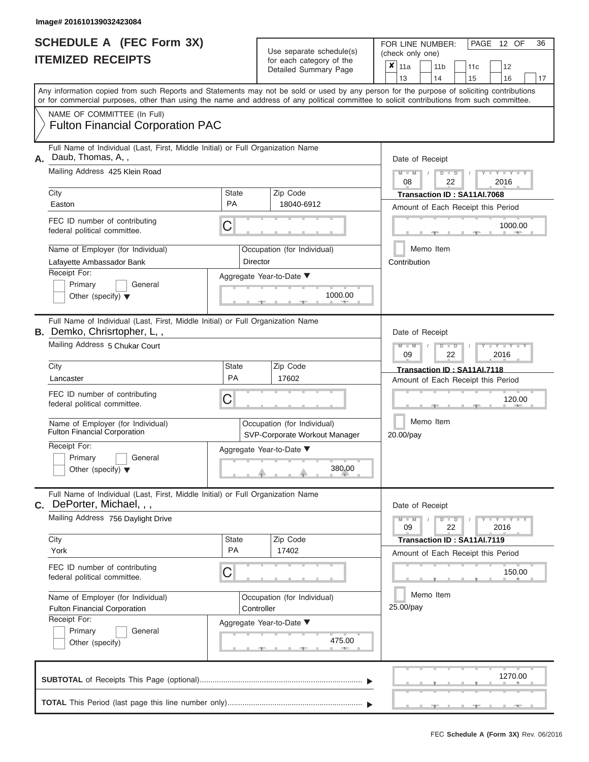|                          | SCHEDULE A (FEC Form 3X) |
|--------------------------|--------------------------|
| <b>ITEMIZED RECEIPTS</b> |                          |

FOR LINE NUMBER:<br>(check only one) Use separate schedule(s)

| <u>IIEMIZED REVEILIS</u> |                                                                                                                                                                                                                                                                                         |                    | for each category of the<br>Detailed Summary Page            |                                                                       | ×<br>11a                    |                             |                                    | 11 <sub>b</sub>        | 11c                                |  | 12            |  |    |  |  |  |  |
|--------------------------|-----------------------------------------------------------------------------------------------------------------------------------------------------------------------------------------------------------------------------------------------------------------------------------------|--------------------|--------------------------------------------------------------|-----------------------------------------------------------------------|-----------------------------|-----------------------------|------------------------------------|------------------------|------------------------------------|--|---------------|--|----|--|--|--|--|
|                          |                                                                                                                                                                                                                                                                                         |                    |                                                              |                                                                       | 13                          |                             | 14                                 |                        | 15                                 |  | 16            |  | 17 |  |  |  |  |
|                          | Any information copied from such Reports and Statements may not be sold or used by any person for the purpose of soliciting contributions<br>or for commercial purposes, other than using the name and address of any political committee to solicit contributions from such committee. |                    |                                                              |                                                                       |                             |                             |                                    |                        |                                    |  |               |  |    |  |  |  |  |
|                          | NAME OF COMMITTEE (In Full)                                                                                                                                                                                                                                                             |                    |                                                              |                                                                       |                             |                             |                                    |                        |                                    |  |               |  |    |  |  |  |  |
|                          | <b>Fulton Financial Corporation PAC</b>                                                                                                                                                                                                                                                 |                    |                                                              |                                                                       |                             |                             |                                    |                        |                                    |  |               |  |    |  |  |  |  |
| А.                       | Full Name of Individual (Last, First, Middle Initial) or Full Organization Name<br>Daub, Thomas, A,,                                                                                                                                                                                    |                    |                                                              |                                                                       | Date of Receipt             |                             |                                    |                        |                                    |  |               |  |    |  |  |  |  |
|                          | Mailing Address 425 Klein Road                                                                                                                                                                                                                                                          |                    |                                                              |                                                                       | $M - M$<br>08               |                             |                                    | $D$ $D$<br>22          |                                    |  | Y TYT<br>2016 |  |    |  |  |  |  |
|                          | City                                                                                                                                                                                                                                                                                    | <b>State</b>       | Zip Code                                                     |                                                                       | Transaction ID: SA11AI.7068 |                             |                                    |                        |                                    |  |               |  |    |  |  |  |  |
|                          | Easton                                                                                                                                                                                                                                                                                  | <b>PA</b>          | 18040-6912                                                   | Amount of Each Receipt this Period                                    |                             |                             |                                    |                        |                                    |  |               |  |    |  |  |  |  |
|                          | FEC ID number of contributing<br>federal political committee.                                                                                                                                                                                                                           | С                  |                                                              |                                                                       |                             |                             |                                    |                        |                                    |  | 1000.00       |  |    |  |  |  |  |
|                          | Name of Employer (for Individual)<br>Lafayette Ambassador Bank                                                                                                                                                                                                                          |                    | Occupation (for Individual)<br>Director                      |                                                                       | Contribution                | Memo Item                   |                                    |                        |                                    |  |               |  |    |  |  |  |  |
|                          | Receipt For:                                                                                                                                                                                                                                                                            |                    | Aggregate Year-to-Date ▼                                     |                                                                       |                             |                             |                                    |                        |                                    |  |               |  |    |  |  |  |  |
|                          | Primary<br>General<br>Other (specify) $\blacktriangledown$                                                                                                                                                                                                                              |                    | 1000.00                                                      |                                                                       |                             |                             |                                    |                        |                                    |  |               |  |    |  |  |  |  |
|                          | Full Name of Individual (Last, First, Middle Initial) or Full Organization Name<br><b>B.</b> Demko, Chrisrtopher, L,,                                                                                                                                                                   |                    |                                                              |                                                                       |                             |                             |                                    |                        |                                    |  |               |  |    |  |  |  |  |
|                          | Mailing Address 5 Chukar Court                                                                                                                                                                                                                                                          |                    |                                                              | Date of Receipt<br>Y L Y L<br>D<br>$\blacksquare$<br>2016<br>09<br>22 |                             |                             |                                    |                        |                                    |  |               |  |    |  |  |  |  |
|                          | Zip Code<br>City<br><b>State</b>                                                                                                                                                                                                                                                        |                    |                                                              |                                                                       |                             | Transaction ID: SA11AI.7118 |                                    |                        |                                    |  |               |  |    |  |  |  |  |
|                          | Lancaster                                                                                                                                                                                                                                                                               | <b>PA</b><br>17602 |                                                              |                                                                       |                             |                             | Amount of Each Receipt this Period |                        |                                    |  |               |  |    |  |  |  |  |
|                          | FEC ID number of contributing<br>federal political committee.                                                                                                                                                                                                                           | С                  |                                                              |                                                                       |                             |                             | 120.00                             |                        |                                    |  |               |  |    |  |  |  |  |
|                          | Name of Employer (for Individual)<br><b>Fulton Financial Corporation</b>                                                                                                                                                                                                                |                    | Occupation (for Individual)<br>SVP-Corporate Workout Manager |                                                                       |                             |                             |                                    | Memo Item<br>20.00/pay |                                    |  |               |  |    |  |  |  |  |
|                          | Receipt For:<br>Primary<br>General<br>Other (specify) $\blacktriangledown$                                                                                                                                                                                                              |                    | Aggregate Year-to-Date ▼<br>380.00                           |                                                                       |                             |                             |                                    |                        |                                    |  |               |  |    |  |  |  |  |
|                          | Full Name of Individual (Last, First, Middle Initial) or Full Organization Name<br>C. DePorter, Michael, , ,                                                                                                                                                                            |                    |                                                              |                                                                       | Date of Receipt             |                             |                                    |                        |                                    |  |               |  |    |  |  |  |  |
|                          | Mailing Address 756 Daylight Drive                                                                                                                                                                                                                                                      |                    |                                                              | $Y - Y - Y - Y - Y$<br>$M - M$<br>$D$ $D$<br>09<br>22<br>2016         |                             |                             |                                    |                        |                                    |  |               |  |    |  |  |  |  |
|                          | City                                                                                                                                                                                                                                                                                    | <b>State</b>       | Zip Code                                                     |                                                                       | Transaction ID: SA11AI.7119 |                             |                                    |                        |                                    |  |               |  |    |  |  |  |  |
|                          | York                                                                                                                                                                                                                                                                                    | PA                 | 17402                                                        |                                                                       |                             |                             |                                    |                        | Amount of Each Receipt this Period |  |               |  |    |  |  |  |  |
|                          | FEC ID number of contributing<br>federal political committee.                                                                                                                                                                                                                           | С                  |                                                              |                                                                       | 150.00                      |                             |                                    |                        |                                    |  |               |  |    |  |  |  |  |
|                          | Name of Employer (for Individual)                                                                                                                                                                                                                                                       |                    | Occupation (for Individual)                                  |                                                                       |                             | Memo Item                   |                                    |                        |                                    |  |               |  |    |  |  |  |  |
|                          | <b>Fulton Financial Corporation</b>                                                                                                                                                                                                                                                     |                    | Controller                                                   |                                                                       | 25.00/pay                   |                             |                                    |                        |                                    |  |               |  |    |  |  |  |  |
|                          | Receipt For:                                                                                                                                                                                                                                                                            |                    | Aggregate Year-to-Date ▼                                     |                                                                       |                             |                             |                                    |                        |                                    |  |               |  |    |  |  |  |  |
|                          | Primary<br>General<br>Other (specify)                                                                                                                                                                                                                                                   |                    | 475.00<br>$-$                                                |                                                                       |                             |                             |                                    |                        |                                    |  |               |  |    |  |  |  |  |
|                          |                                                                                                                                                                                                                                                                                         |                    |                                                              |                                                                       |                             |                             |                                    |                        |                                    |  | 1270.00       |  |    |  |  |  |  |
|                          |                                                                                                                                                                                                                                                                                         |                    |                                                              |                                                                       |                             |                             |                                    |                        |                                    |  |               |  |    |  |  |  |  |

PAGE 12 OF 36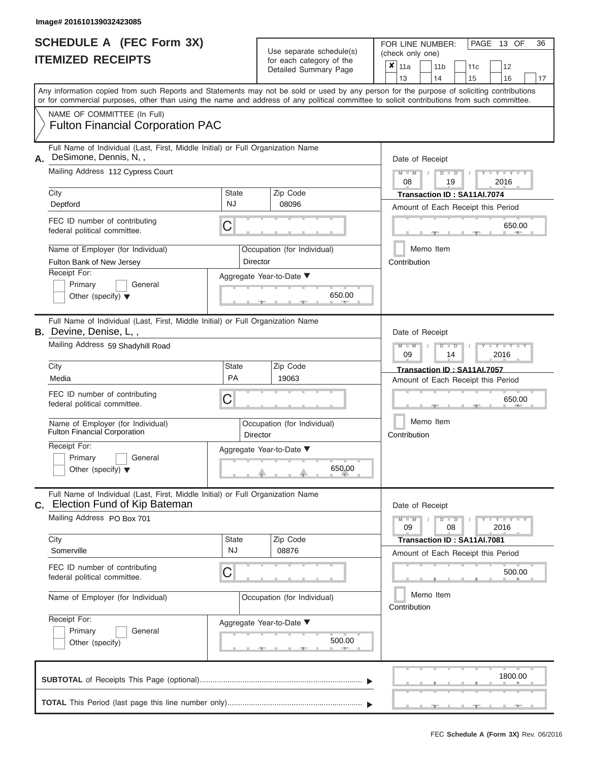|                          | <b>SCHEDULE A (FEC Form 3X)</b> |  |
|--------------------------|---------------------------------|--|
| <b>ITEMIZED RECEIPTS</b> |                                 |  |

FOR LINE NUMBER:<br>(check only one) Use separate schedule(s) for each category of the  $\sum_{n=1}^{\infty}$ 

|    |                                                                                                                                                                                                                                                                                         |                           | $\frac{1}{2}$<br>Detailed Summary Page    |        | ×<br>11a        |  | 11 <sub>b</sub>           | 11 <sub>c</sub>                                                   | 12                                 |    |  |  |  |  |  |  |
|----|-----------------------------------------------------------------------------------------------------------------------------------------------------------------------------------------------------------------------------------------------------------------------------------------|---------------------------|-------------------------------------------|--------|-----------------|--|---------------------------|-------------------------------------------------------------------|------------------------------------|----|--|--|--|--|--|--|
|    | Any information copied from such Reports and Statements may not be sold or used by any person for the purpose of soliciting contributions<br>or for commercial purposes, other than using the name and address of any political committee to solicit contributions from such committee. |                           |                                           |        | 13              |  | 14                        | 15                                                                | 16                                 | 17 |  |  |  |  |  |  |
|    | NAME OF COMMITTEE (In Full)<br><b>Fulton Financial Corporation PAC</b>                                                                                                                                                                                                                  |                           |                                           |        |                 |  |                           |                                                                   |                                    |    |  |  |  |  |  |  |
| Α. | Full Name of Individual (Last, First, Middle Initial) or Full Organization Name<br>DeSimone, Dennis, N,,                                                                                                                                                                                |                           |                                           |        | Date of Receipt |  |                           |                                                                   |                                    |    |  |  |  |  |  |  |
|    | Mailing Address 112 Cypress Court                                                                                                                                                                                                                                                       |                           |                                           |        | $M - M$<br>08   |  | $D$ $D$<br>19             |                                                                   | $Y - Y - I$<br>2016                |    |  |  |  |  |  |  |
|    | City<br>Deptford                                                                                                                                                                                                                                                                        | <b>State</b><br><b>NJ</b> | Zip Code<br>08096                         |        |                 |  |                           | Transaction ID: SA11AI.7074                                       | Amount of Each Receipt this Period |    |  |  |  |  |  |  |
|    | FEC ID number of contributing<br>federal political committee.                                                                                                                                                                                                                           | C                         |                                           |        |                 |  |                           |                                                                   | 650.00                             |    |  |  |  |  |  |  |
|    | Name of Employer (for Individual)<br>Fulton Bank of New Jersey                                                                                                                                                                                                                          |                           | Occupation (for Individual)<br>Director   |        | Contribution    |  | Memo Item                 |                                                                   |                                    |    |  |  |  |  |  |  |
|    | Receipt For:<br>Primary<br>General<br>Other (specify) $\blacktriangledown$                                                                                                                                                                                                              |                           | Aggregate Year-to-Date ▼<br>650.00<br>- 1 |        |                 |  |                           |                                                                   |                                    |    |  |  |  |  |  |  |
|    | Full Name of Individual (Last, First, Middle Initial) or Full Organization Name<br>B. Devine, Denise, L,,                                                                                                                                                                               |                           |                                           |        | Date of Receipt |  |                           |                                                                   |                                    |    |  |  |  |  |  |  |
|    | Mailing Address 59 Shadyhill Road                                                                                                                                                                                                                                                       |                           |                                           |        | 09              |  | ⊪⊃<br>14                  |                                                                   | Y Y<br>2016                        |    |  |  |  |  |  |  |
|    | City<br>Media                                                                                                                                                                                                                                                                           | <b>State</b><br><b>PA</b> | Zip Code<br>19063                         |        |                 |  |                           | Transaction ID: SA11AI.7057<br>Amount of Each Receipt this Period |                                    |    |  |  |  |  |  |  |
|    | FEC ID number of contributing<br>federal political committee.                                                                                                                                                                                                                           | С                         |                                           | 650.00 |                 |  |                           |                                                                   |                                    |    |  |  |  |  |  |  |
|    | Name of Employer (for Individual)<br><b>Fulton Financial Corporation</b>                                                                                                                                                                                                                |                           | Occupation (for Individual)<br>Director   |        | Contribution    |  | Memo Item                 |                                                                   |                                    |    |  |  |  |  |  |  |
|    | Receipt For:<br>Primary<br>General<br>Other (specify) $\blacktriangledown$                                                                                                                                                                                                              |                           | Aggregate Year-to-Date ▼<br>650.00        |        |                 |  |                           |                                                                   |                                    |    |  |  |  |  |  |  |
| С. | Full Name of Individual (Last, First, Middle Initial) or Full Organization Name<br>Election Fund of Kip Bateman                                                                                                                                                                         |                           |                                           |        | Date of Receipt |  |                           |                                                                   |                                    |    |  |  |  |  |  |  |
|    | Mailing Address PO Box 701                                                                                                                                                                                                                                                              |                           |                                           |        | $M - M$<br>09   |  | D<br>$\blacksquare$<br>08 |                                                                   | Y TY<br>2016                       |    |  |  |  |  |  |  |
|    | City<br>Somerville                                                                                                                                                                                                                                                                      | <b>State</b><br><b>NJ</b> | Zip Code<br>08876                         |        |                 |  |                           | Transaction ID: SA11AI.7081<br>Amount of Each Receipt this Period |                                    |    |  |  |  |  |  |  |
|    | FEC ID number of contributing<br>federal political committee.                                                                                                                                                                                                                           | C                         |                                           |        |                 |  |                           |                                                                   | 500.00                             |    |  |  |  |  |  |  |
|    | Name of Employer (for Individual)                                                                                                                                                                                                                                                       |                           | Occupation (for Individual)               |        | Contribution    |  | Memo Item                 |                                                                   |                                    |    |  |  |  |  |  |  |
|    | Receipt For:<br>Primary<br>General<br>Other (specify)                                                                                                                                                                                                                                   |                           | Aggregate Year-to-Date ▼<br>500.00        |        |                 |  |                           |                                                                   |                                    |    |  |  |  |  |  |  |
|    |                                                                                                                                                                                                                                                                                         |                           |                                           |        |                 |  |                           |                                                                   | 1800.00                            |    |  |  |  |  |  |  |
|    |                                                                                                                                                                                                                                                                                         |                           |                                           |        |                 |  |                           |                                                                   |                                    |    |  |  |  |  |  |  |

PAGE 13 OF 36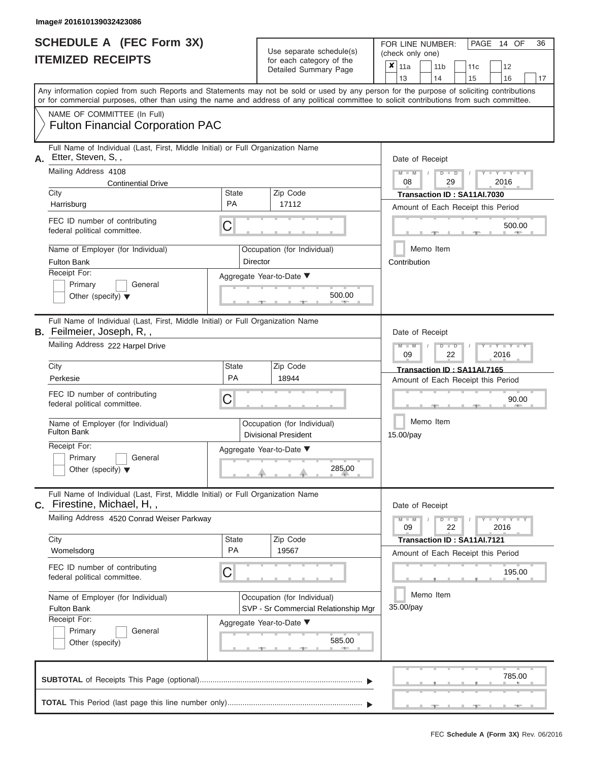| <b>SCHEDULE A (FEC Form 3X)</b><br><b>ITEMIZED RECEIPTS</b>                                                                                                                                                          |                    | Use separate schedule(s)<br>for each category of the<br>Detailed Summary Page | PAGE 14 OF<br>36<br>FOR LINE NUMBER:<br>(check only one)<br>$\overline{\mathbf{x}}$   11a<br>11 <sub>b</sub><br>11 <sub>c</sub><br>12 |
|----------------------------------------------------------------------------------------------------------------------------------------------------------------------------------------------------------------------|--------------------|-------------------------------------------------------------------------------|---------------------------------------------------------------------------------------------------------------------------------------|
| Any information copied from such Reports and Statements may not be sold or used by any person for the purpose of soliciting contributions                                                                            |                    |                                                                               | 13<br>14<br>16<br>17<br>15                                                                                                            |
| or for commercial purposes, other than using the name and address of any political committee to solicit contributions from such committee.<br>NAME OF COMMITTEE (In Full)<br><b>Fulton Financial Corporation PAC</b> |                    |                                                                               |                                                                                                                                       |
|                                                                                                                                                                                                                      |                    |                                                                               |                                                                                                                                       |
| Full Name of Individual (Last, First, Middle Initial) or Full Organization Name<br>Etter, Steven, S,,<br>А.                                                                                                          |                    |                                                                               | Date of Receipt                                                                                                                       |
| Mailing Address 4108                                                                                                                                                                                                 |                    |                                                                               | $M - M$<br>$T - Y = Y - T Y$<br>$D$ $D$<br>08<br>2016<br>29                                                                           |
| <b>Continential Drive</b><br>City                                                                                                                                                                                    | <b>State</b>       | Zip Code                                                                      | Transaction ID: SA11AI.7030                                                                                                           |
| Harrisburg                                                                                                                                                                                                           | <b>PA</b>          | 17112                                                                         | Amount of Each Receipt this Period                                                                                                    |
| FEC ID number of contributing<br>federal political committee.                                                                                                                                                        | C                  |                                                                               | 500.00                                                                                                                                |
| Name of Employer (for Individual)<br><b>Fulton Bank</b>                                                                                                                                                              |                    | Occupation (for Individual)<br><b>Director</b>                                | Memo Item<br>Contribution                                                                                                             |
| Receipt For:<br>Primary<br>General<br>Other (specify) $\blacktriangledown$                                                                                                                                           |                    | Aggregate Year-to-Date ▼<br>500.00                                            |                                                                                                                                       |
| Full Name of Individual (Last, First, Middle Initial) or Full Organization Name<br><b>B.</b> Feilmeier, Joseph, R,,                                                                                                  |                    |                                                                               | Date of Receipt                                                                                                                       |
| Mailing Address 222 Harpel Drive                                                                                                                                                                                     |                    |                                                                               | $M - M$<br>$T - Y = T - Y = T$<br>$D$ $D$<br>09<br>2016<br>22                                                                         |
| City<br>Perkesie                                                                                                                                                                                                     | State<br><b>PA</b> | Zip Code<br>18944                                                             | Transaction ID: SA11AI.7165<br>Amount of Each Receipt this Period                                                                     |
| FEC ID number of contributing<br>federal political committee.                                                                                                                                                        | C                  |                                                                               | 90.00                                                                                                                                 |
| Name of Employer (for Individual)<br><b>Fulton Bank</b>                                                                                                                                                              |                    | Occupation (for Individual)<br><b>Divisional President</b>                    | Memo Item<br>15.00/pay                                                                                                                |
| Receipt For:<br>Primary<br>$\Box$ General<br>Other (specify) $\blacktriangledown$                                                                                                                                    |                    | Aggregate Year-to-Date ▼<br>285.00                                            |                                                                                                                                       |
| Full Name of Individual (Last, First, Middle Initial) or Full Organization Name<br>C. Firestine, Michael, H,,                                                                                                        |                    |                                                                               | Date of Receipt                                                                                                                       |
| Mailing Address 4520 Conrad Weiser Parkway                                                                                                                                                                           |                    |                                                                               | $M - M$<br>$D$ $D$<br>$  Y$ $  Y$ $  Y$<br>v<br>09<br>22<br>2016                                                                      |
| City<br>Womelsdorg                                                                                                                                                                                                   | <b>State</b><br>PA | Zip Code<br>19567                                                             | Transaction ID: SA11AI.7121<br>Amount of Each Receipt this Period                                                                     |
| FEC ID number of contributing<br>federal political committee.                                                                                                                                                        | C                  |                                                                               | 195.00                                                                                                                                |
| Name of Employer (for Individual)<br><b>Fulton Bank</b>                                                                                                                                                              |                    | Occupation (for Individual)<br>SVP - Sr Commercial Relationship Mgr           | Memo Item<br>35.00/pay                                                                                                                |
| Receipt For:<br>Primary<br>General<br>Other (specify)                                                                                                                                                                |                    | Aggregate Year-to-Date ▼<br>585.00                                            |                                                                                                                                       |
|                                                                                                                                                                                                                      |                    |                                                                               | 785.00                                                                                                                                |

 ▲ ▲ ▲ , , . **SUBTOTAL** of Receipts This Page (optional)............................................................................ ▼ ▼ **TOTAL** This Period (last page this line number only)...............................................................

**Service**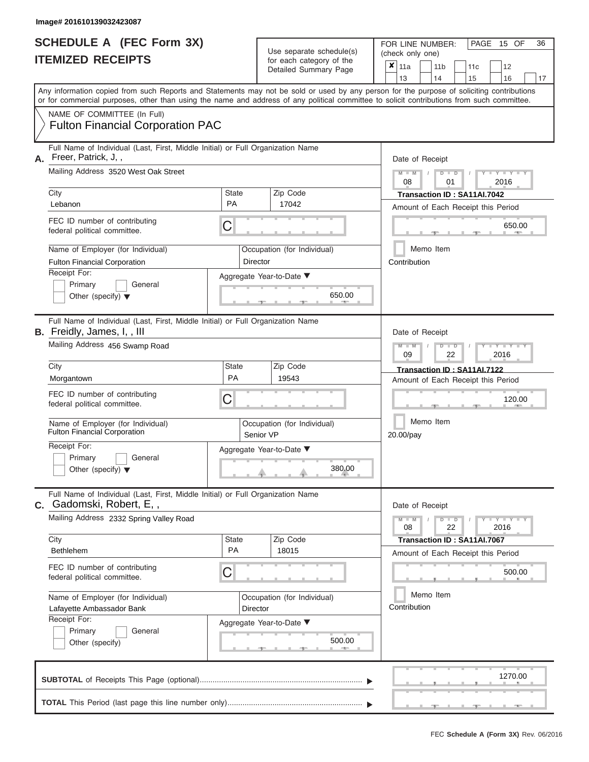|                          | <b>SCHEDULE A (FEC Form 3X)</b> |
|--------------------------|---------------------------------|
| <b>ITEMIZED RECEIPTS</b> |                                 |

| Any information copied from such Reports and Statements may not be sold or used by any person for the purpose of soliciting contributions<br>or for commercial purposes, other than using the name and address of any political committee to solicit contributions from such committee.<br>NAME OF COMMITTEE (In Full)<br><b>Fulton Financial Corporation PAC</b><br>Full Name of Individual (Last, First, Middle Initial) or Full Organization Name<br>Freer, Patrick, J,,<br>Α.<br>Date of Receipt<br>Mailing Address 3520 West Oak Street<br>Y I Y I<br>$M - M$<br>$D$ $D$<br>08<br>01<br>2016<br>Zip Code<br>City<br>State<br>Transaction ID: SA11AI.7042<br><b>PA</b><br>17042<br>Lebanon<br>Amount of Each Receipt this Period<br>FEC ID number of contributing<br>C<br>650.00<br>federal political committee.<br>Memo Item<br>Name of Employer (for Individual)<br>Occupation (for Individual)<br><b>Fulton Financial Corporation</b><br>Director<br>Contribution<br>Receipt For:<br>Aggregate Year-to-Date ▼<br>Primary<br>General<br>650.00<br>Other (specify) $\blacktriangledown$<br>Full Name of Individual (Last, First, Middle Initial) or Full Organization Name<br>B. Freidly, James, I, , III<br>Date of Receipt<br>Mailing Address 456 Swamp Road<br>$M - M$<br>$D$ $D$<br>Y TYT<br>09<br>2016<br>22<br>City<br><b>State</b><br>Zip Code<br>Transaction ID: SA11AI.7122<br>PA<br>19543<br>Morgantown<br>Amount of Each Receipt this Period<br>FEC ID number of contributing<br>С<br>120.00<br>federal political committee.<br>Memo Item<br>Name of Employer (for Individual)<br>Occupation (for Individual)<br>Fulton Financial Corporation<br>Senior VP<br>20.00/pay<br>Receipt For:<br>Aggregate Year-to-Date ▼<br>Primary<br>General<br>380.00<br>Other (specify) $\blacktriangledown$<br>Full Name of Individual (Last, First, Middle Initial) or Full Organization Name<br>Gadomski, Robert, E,,<br>C.<br>Date of Receipt<br>Mailing Address 2332 Spring Valley Road<br>$\mathbf{I} = \mathbf{Y} - \mathbf{I} - \mathbf{Y} - \mathbf{I}$<br>$M - M$<br>$D$ $D$<br>22<br>2016<br>08<br>City<br>Zip Code<br>State<br>Transaction ID: SA11AI.7067<br><b>PA</b><br>18015<br><b>Bethlehem</b><br>Amount of Each Receipt this Period<br>FEC ID number of contributing<br>С<br>500.00<br>federal political committee.<br>Memo Item<br>Name of Employer (for Individual)<br>Occupation (for Individual)<br>Contribution<br>Lafayette Ambassador Bank<br>Director<br>Receipt For:<br>Aggregate Year-to-Date ▼<br>Primary<br>General<br>500.00<br>Other (specify)<br>1270.00 |  |  | ioi caoii calogory oi lilo<br>Detailed Summary Page | x | 11a<br>13 | 11 <sub>b</sub><br>14 | 11c<br>15 | 12<br>16 | 17 |
|-------------------------------------------------------------------------------------------------------------------------------------------------------------------------------------------------------------------------------------------------------------------------------------------------------------------------------------------------------------------------------------------------------------------------------------------------------------------------------------------------------------------------------------------------------------------------------------------------------------------------------------------------------------------------------------------------------------------------------------------------------------------------------------------------------------------------------------------------------------------------------------------------------------------------------------------------------------------------------------------------------------------------------------------------------------------------------------------------------------------------------------------------------------------------------------------------------------------------------------------------------------------------------------------------------------------------------------------------------------------------------------------------------------------------------------------------------------------------------------------------------------------------------------------------------------------------------------------------------------------------------------------------------------------------------------------------------------------------------------------------------------------------------------------------------------------------------------------------------------------------------------------------------------------------------------------------------------------------------------------------------------------------------------------------------------------------------------------------------------------------------------------------------------------------------------------------------------------------------------------------------------------------------------------------------------------------------------------------------------------------------------------------------------------------------------------------------------------------------------------------------------------------------------------------------------------------------------------|--|--|-----------------------------------------------------|---|-----------|-----------------------|-----------|----------|----|
|                                                                                                                                                                                                                                                                                                                                                                                                                                                                                                                                                                                                                                                                                                                                                                                                                                                                                                                                                                                                                                                                                                                                                                                                                                                                                                                                                                                                                                                                                                                                                                                                                                                                                                                                                                                                                                                                                                                                                                                                                                                                                                                                                                                                                                                                                                                                                                                                                                                                                                                                                                                           |  |  |                                                     |   |           |                       |           |          |    |
|                                                                                                                                                                                                                                                                                                                                                                                                                                                                                                                                                                                                                                                                                                                                                                                                                                                                                                                                                                                                                                                                                                                                                                                                                                                                                                                                                                                                                                                                                                                                                                                                                                                                                                                                                                                                                                                                                                                                                                                                                                                                                                                                                                                                                                                                                                                                                                                                                                                                                                                                                                                           |  |  |                                                     |   |           |                       |           |          |    |
|                                                                                                                                                                                                                                                                                                                                                                                                                                                                                                                                                                                                                                                                                                                                                                                                                                                                                                                                                                                                                                                                                                                                                                                                                                                                                                                                                                                                                                                                                                                                                                                                                                                                                                                                                                                                                                                                                                                                                                                                                                                                                                                                                                                                                                                                                                                                                                                                                                                                                                                                                                                           |  |  |                                                     |   |           |                       |           |          |    |
|                                                                                                                                                                                                                                                                                                                                                                                                                                                                                                                                                                                                                                                                                                                                                                                                                                                                                                                                                                                                                                                                                                                                                                                                                                                                                                                                                                                                                                                                                                                                                                                                                                                                                                                                                                                                                                                                                                                                                                                                                                                                                                                                                                                                                                                                                                                                                                                                                                                                                                                                                                                           |  |  |                                                     |   |           |                       |           |          |    |
|                                                                                                                                                                                                                                                                                                                                                                                                                                                                                                                                                                                                                                                                                                                                                                                                                                                                                                                                                                                                                                                                                                                                                                                                                                                                                                                                                                                                                                                                                                                                                                                                                                                                                                                                                                                                                                                                                                                                                                                                                                                                                                                                                                                                                                                                                                                                                                                                                                                                                                                                                                                           |  |  |                                                     |   |           |                       |           |          |    |
|                                                                                                                                                                                                                                                                                                                                                                                                                                                                                                                                                                                                                                                                                                                                                                                                                                                                                                                                                                                                                                                                                                                                                                                                                                                                                                                                                                                                                                                                                                                                                                                                                                                                                                                                                                                                                                                                                                                                                                                                                                                                                                                                                                                                                                                                                                                                                                                                                                                                                                                                                                                           |  |  |                                                     |   |           |                       |           |          |    |
|                                                                                                                                                                                                                                                                                                                                                                                                                                                                                                                                                                                                                                                                                                                                                                                                                                                                                                                                                                                                                                                                                                                                                                                                                                                                                                                                                                                                                                                                                                                                                                                                                                                                                                                                                                                                                                                                                                                                                                                                                                                                                                                                                                                                                                                                                                                                                                                                                                                                                                                                                                                           |  |  |                                                     |   |           |                       |           |          |    |
|                                                                                                                                                                                                                                                                                                                                                                                                                                                                                                                                                                                                                                                                                                                                                                                                                                                                                                                                                                                                                                                                                                                                                                                                                                                                                                                                                                                                                                                                                                                                                                                                                                                                                                                                                                                                                                                                                                                                                                                                                                                                                                                                                                                                                                                                                                                                                                                                                                                                                                                                                                                           |  |  |                                                     |   |           |                       |           |          |    |
|                                                                                                                                                                                                                                                                                                                                                                                                                                                                                                                                                                                                                                                                                                                                                                                                                                                                                                                                                                                                                                                                                                                                                                                                                                                                                                                                                                                                                                                                                                                                                                                                                                                                                                                                                                                                                                                                                                                                                                                                                                                                                                                                                                                                                                                                                                                                                                                                                                                                                                                                                                                           |  |  |                                                     |   |           |                       |           |          |    |
|                                                                                                                                                                                                                                                                                                                                                                                                                                                                                                                                                                                                                                                                                                                                                                                                                                                                                                                                                                                                                                                                                                                                                                                                                                                                                                                                                                                                                                                                                                                                                                                                                                                                                                                                                                                                                                                                                                                                                                                                                                                                                                                                                                                                                                                                                                                                                                                                                                                                                                                                                                                           |  |  |                                                     |   |           |                       |           |          |    |
|                                                                                                                                                                                                                                                                                                                                                                                                                                                                                                                                                                                                                                                                                                                                                                                                                                                                                                                                                                                                                                                                                                                                                                                                                                                                                                                                                                                                                                                                                                                                                                                                                                                                                                                                                                                                                                                                                                                                                                                                                                                                                                                                                                                                                                                                                                                                                                                                                                                                                                                                                                                           |  |  |                                                     |   |           |                       |           |          |    |
|                                                                                                                                                                                                                                                                                                                                                                                                                                                                                                                                                                                                                                                                                                                                                                                                                                                                                                                                                                                                                                                                                                                                                                                                                                                                                                                                                                                                                                                                                                                                                                                                                                                                                                                                                                                                                                                                                                                                                                                                                                                                                                                                                                                                                                                                                                                                                                                                                                                                                                                                                                                           |  |  |                                                     |   |           |                       |           |          |    |
|                                                                                                                                                                                                                                                                                                                                                                                                                                                                                                                                                                                                                                                                                                                                                                                                                                                                                                                                                                                                                                                                                                                                                                                                                                                                                                                                                                                                                                                                                                                                                                                                                                                                                                                                                                                                                                                                                                                                                                                                                                                                                                                                                                                                                                                                                                                                                                                                                                                                                                                                                                                           |  |  |                                                     |   |           |                       |           |          |    |
|                                                                                                                                                                                                                                                                                                                                                                                                                                                                                                                                                                                                                                                                                                                                                                                                                                                                                                                                                                                                                                                                                                                                                                                                                                                                                                                                                                                                                                                                                                                                                                                                                                                                                                                                                                                                                                                                                                                                                                                                                                                                                                                                                                                                                                                                                                                                                                                                                                                                                                                                                                                           |  |  |                                                     |   |           |                       |           |          |    |

PAGE 15 OF 36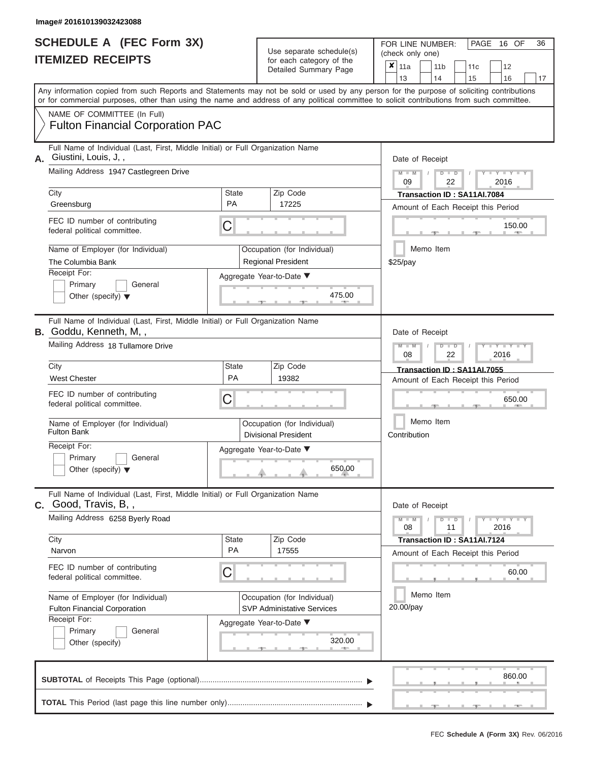|    | SCHEDULE A (FEC Form 3X)<br><b>ITEMIZED RECEIPTS</b>                                                                                                                                                                                                                                    |                           | Use separate schedule(s)<br>for each category of the<br>Detailed Summary Page | 36<br>FOR LINE NUMBER:<br>PAGE 16 OF<br>(check only one)<br>$\overline{x} _{11a}$<br>11 <sub>b</sub><br>11c<br>12<br>13<br>14<br>15<br>16<br>17 |
|----|-----------------------------------------------------------------------------------------------------------------------------------------------------------------------------------------------------------------------------------------------------------------------------------------|---------------------------|-------------------------------------------------------------------------------|-------------------------------------------------------------------------------------------------------------------------------------------------|
|    | Any information copied from such Reports and Statements may not be sold or used by any person for the purpose of soliciting contributions<br>or for commercial purposes, other than using the name and address of any political committee to solicit contributions from such committee. |                           |                                                                               |                                                                                                                                                 |
|    | NAME OF COMMITTEE (In Full)<br><b>Fulton Financial Corporation PAC</b>                                                                                                                                                                                                                  |                           |                                                                               |                                                                                                                                                 |
| А. | Full Name of Individual (Last, First, Middle Initial) or Full Organization Name<br>Giustini, Louis, J,,                                                                                                                                                                                 |                           |                                                                               | Date of Receipt                                                                                                                                 |
|    | Mailing Address 1947 Castlegreen Drive                                                                                                                                                                                                                                                  |                           |                                                                               | $Y = Y + Y + Y$<br>$M - M$<br>$D$ $\Box$ $D$<br>09<br>22<br>2016                                                                                |
|    | City<br>Greensburg                                                                                                                                                                                                                                                                      | <b>State</b><br><b>PA</b> | Zip Code<br>17225                                                             | Transaction ID: SA11AI.7084<br>Amount of Each Receipt this Period                                                                               |
|    | FEC ID number of contributing<br>federal political committee.                                                                                                                                                                                                                           | C                         |                                                                               | 150.00                                                                                                                                          |
|    | Name of Employer (for Individual)<br>The Columbia Bank                                                                                                                                                                                                                                  |                           | Occupation (for Individual)<br><b>Regional President</b>                      | Memo Item<br>$$25$ /pay                                                                                                                         |
|    | Receipt For:<br>Primary<br>General<br>Other (specify) $\blacktriangledown$                                                                                                                                                                                                              |                           | Aggregate Year-to-Date ▼<br>475.00                                            |                                                                                                                                                 |
|    | Full Name of Individual (Last, First, Middle Initial) or Full Organization Name<br><b>B.</b> Goddu, Kenneth, M,,<br>Mailing Address 18 Tullamore Drive                                                                                                                                  |                           |                                                                               | Date of Receipt<br>$M - M$<br>$T - Y = Y - T Y$<br>$D$ $\Box$ $D$<br>08<br>22<br>2016                                                           |
|    | City                                                                                                                                                                                                                                                                                    | <b>State</b><br>PA        | Zip Code                                                                      | Transaction ID: SA11AI.7055                                                                                                                     |
|    | <b>West Chester</b><br>FEC ID number of contributing<br>federal political committee.                                                                                                                                                                                                    | C                         | 19382                                                                         | Amount of Each Receipt this Period<br>650.00                                                                                                    |
|    | Name of Employer (for Individual)<br><b>Fulton Bank</b>                                                                                                                                                                                                                                 |                           | Occupation (for Individual)<br><b>Divisional President</b>                    | Memo Item<br>Contribution                                                                                                                       |
|    | Receipt For:<br>$\overline{\phantom{a}}$ Primary<br>$\Box$ General                                                                                                                                                                                                                      |                           | Aggregate Year-to-Date ▼                                                      |                                                                                                                                                 |
|    | Other (specify) $\blacktriangledown$                                                                                                                                                                                                                                                    |                           | 650.00                                                                        |                                                                                                                                                 |
|    | Full Name of Individual (Last, First, Middle Initial) or Full Organization Name<br><b>C.</b> Good, Travis, B,,                                                                                                                                                                          |                           |                                                                               | Date of Receipt                                                                                                                                 |
|    | Mailing Address 6258 Byerly Road                                                                                                                                                                                                                                                        |                           |                                                                               | $Y - Y - Y - Y - I - Y$<br>$M - M$<br>$D$ $D$<br>$\sqrt{ }$<br>11<br>2016<br>08                                                                 |
|    | City<br>Narvon                                                                                                                                                                                                                                                                          | <b>State</b><br><b>PA</b> | Zip Code<br>17555                                                             | Transaction ID: SA11AI.7124<br>Amount of Each Receipt this Period                                                                               |
|    | FEC ID number of contributing<br>federal political committee.                                                                                                                                                                                                                           | C                         |                                                                               | 60.00                                                                                                                                           |
|    | Name of Employer (for Individual)<br><b>Fulton Financial Corporation</b>                                                                                                                                                                                                                |                           | Occupation (for Individual)<br><b>SVP Administative Services</b>              | Memo Item<br>20.00/pay                                                                                                                          |
|    | Receipt For:<br>General<br>Primary<br>Other (specify)                                                                                                                                                                                                                                   |                           | Aggregate Year-to-Date ▼<br>320.00                                            |                                                                                                                                                 |
|    |                                                                                                                                                                                                                                                                                         |                           |                                                                               | production and continued to the continued                                                                                                       |

|  |  |  |  |  |  | 860.00                                          |  |
|--|--|--|--|--|--|-------------------------------------------------|--|
|  |  |  |  |  |  | The contract of the contract of the contract of |  |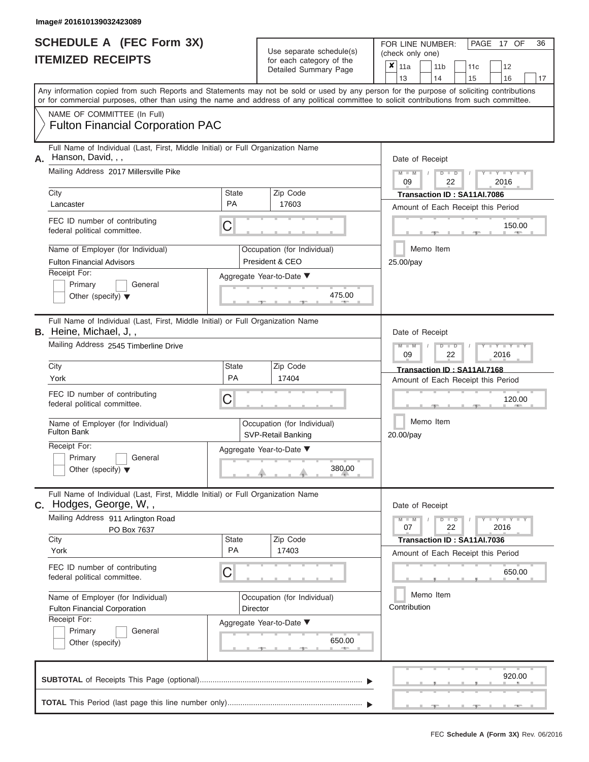|    | <b>SCHEDULE A (FEC Form 3X)</b><br><b>ITEMIZED RECEIPTS</b>                                                                                                                                                                                                                             |                    |          | Use separate schedule(s)<br>for each category of the<br>Detailed Summary Page | 36<br>PAGE 17 OF<br>FOR LINE NUMBER:<br>(check only one)<br>$\overline{\mathbf{x}}$   11a<br>11 <sub>b</sub><br>12<br>11 <sub>c</sub><br>13<br>16<br>15<br>14<br>17 |
|----|-----------------------------------------------------------------------------------------------------------------------------------------------------------------------------------------------------------------------------------------------------------------------------------------|--------------------|----------|-------------------------------------------------------------------------------|---------------------------------------------------------------------------------------------------------------------------------------------------------------------|
|    | Any information copied from such Reports and Statements may not be sold or used by any person for the purpose of soliciting contributions<br>or for commercial purposes, other than using the name and address of any political committee to solicit contributions from such committee. |                    |          |                                                                               |                                                                                                                                                                     |
|    | NAME OF COMMITTEE (In Full)<br><b>Fulton Financial Corporation PAC</b>                                                                                                                                                                                                                  |                    |          |                                                                               |                                                                                                                                                                     |
| Α. | Full Name of Individual (Last, First, Middle Initial) or Full Organization Name<br>Hanson, David, , ,                                                                                                                                                                                   |                    |          |                                                                               | Date of Receipt                                                                                                                                                     |
|    | Mailing Address 2017 Millersville Pike                                                                                                                                                                                                                                                  |                    |          |                                                                               | M<br>$D$ $\Box$ $D$<br>Y I Y I<br>09<br>22<br>2016                                                                                                                  |
|    | City<br>Lancaster                                                                                                                                                                                                                                                                       | State<br><b>PA</b> |          | Zip Code<br>17603                                                             | Transaction ID: SA11AI.7086<br>Amount of Each Receipt this Period                                                                                                   |
|    | FEC ID number of contributing<br>federal political committee.                                                                                                                                                                                                                           | С                  |          |                                                                               | 150.00                                                                                                                                                              |
|    | Name of Employer (for Individual)<br><b>Fulton Financial Advisors</b>                                                                                                                                                                                                                   |                    |          | Occupation (for Individual)<br>President & CEO                                | Memo Item<br>25.00/pay                                                                                                                                              |
|    | Receipt For:<br>Primary<br>General<br>Other (specify) $\blacktriangledown$                                                                                                                                                                                                              |                    |          | Aggregate Year-to-Date ▼<br>475.00                                            |                                                                                                                                                                     |
|    | Full Name of Individual (Last, First, Middle Initial) or Full Organization Name<br><b>B.</b> Heine, Michael, J,,<br>Mailing Address 2545 Timberline Drive                                                                                                                               |                    |          |                                                                               | Date of Receipt<br>$\overline{\mathsf{M}}$<br>$T - Y = T - Y = T - Y$<br>$\Box$ M<br>$D$ $\Box$ $D$                                                                 |
|    | City                                                                                                                                                                                                                                                                                    | State              |          | Zip Code                                                                      | 09<br>22<br>2016<br>Transaction ID: SA11AI.7168                                                                                                                     |
|    | York                                                                                                                                                                                                                                                                                    | <b>PA</b>          |          | 17404                                                                         | Amount of Each Receipt this Period                                                                                                                                  |
|    | FEC ID number of contributing<br>federal political committee.                                                                                                                                                                                                                           | С                  |          |                                                                               | 120.00                                                                                                                                                              |
|    | Name of Employer (for Individual)<br><b>Fulton Bank</b>                                                                                                                                                                                                                                 |                    |          | Occupation (for Individual)<br>SVP-Retail Banking                             | Memo Item<br>20.00/pay                                                                                                                                              |
|    | Receipt For:<br>Primary<br>$\Box$ General<br>Other (specify) $\blacktriangledown$                                                                                                                                                                                                       |                    |          | Aggregate Year-to-Date ▼<br>380.00                                            |                                                                                                                                                                     |
|    | Full Name of Individual (Last, First, Middle Initial) or Full Organization Name<br>C. Hodges, George, W,,                                                                                                                                                                               |                    |          |                                                                               | Date of Receipt                                                                                                                                                     |
|    | Mailing Address 911 Arlington Road<br>PO Box 7637                                                                                                                                                                                                                                       |                    |          | Zip Code                                                                      | Y TYT<br>$D$ $\Box$ $D$<br>22<br>2016<br>07                                                                                                                         |
|    | City<br>York                                                                                                                                                                                                                                                                            | State<br>PA        |          | 17403                                                                         | Transaction ID: SA11AI.7036<br>Amount of Each Receipt this Period                                                                                                   |
|    | FEC ID number of contributing<br>federal political committee.                                                                                                                                                                                                                           | С                  |          |                                                                               | 650.00                                                                                                                                                              |
|    | Name of Employer (for Individual)<br><b>Fulton Financial Corporation</b>                                                                                                                                                                                                                |                    | Director | Occupation (for Individual)                                                   | Memo Item<br>Contribution                                                                                                                                           |
|    | Receipt For:<br>Primary<br>General<br>Other (specify)                                                                                                                                                                                                                                   |                    |          | Aggregate Year-to-Date ▼<br>650.00<br><b>AND I</b>                            |                                                                                                                                                                     |

|  |  |  |  |  | 920.00                                | and the company of the company of the company of |
|--|--|--|--|--|---------------------------------------|--------------------------------------------------|
|  |  |  |  |  | the company's company's company's and |                                                  |

ī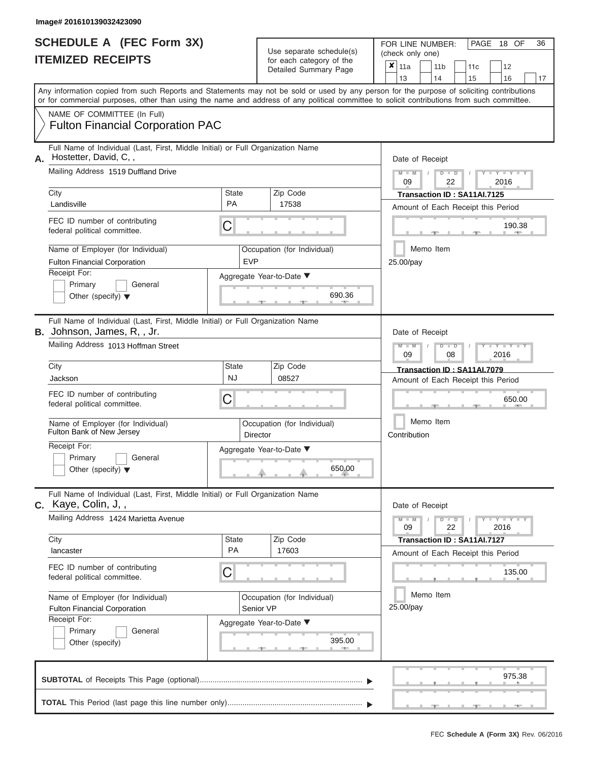|    | <b>SCHEDULE A (FEC Form 3X)</b><br><b>ITEMIZED RECEIPTS</b>                                                                                       |                           | Use separate schedule(s)<br>for each category of the<br>Detailed Summary Page | 36<br>FOR LINE NUMBER:<br>PAGE 18 OF<br>(check only one)<br>$\boldsymbol{x}$   11a<br>11 <sub>b</sub><br>11 <sub>c</sub><br>12<br>13<br>14<br>15<br>16<br>17                                                                                                                            |
|----|---------------------------------------------------------------------------------------------------------------------------------------------------|---------------------------|-------------------------------------------------------------------------------|-----------------------------------------------------------------------------------------------------------------------------------------------------------------------------------------------------------------------------------------------------------------------------------------|
|    |                                                                                                                                                   |                           |                                                                               | Any information copied from such Reports and Statements may not be sold or used by any person for the purpose of soliciting contributions<br>or for commercial purposes, other than using the name and address of any political committee to solicit contributions from such committee. |
|    | NAME OF COMMITTEE (In Full)<br><b>Fulton Financial Corporation PAC</b>                                                                            |                           |                                                                               |                                                                                                                                                                                                                                                                                         |
| А. | Full Name of Individual (Last, First, Middle Initial) or Full Organization Name<br>Hostetter, David, C,,                                          |                           |                                                                               | Date of Receipt                                                                                                                                                                                                                                                                         |
|    | Mailing Address 1519 Duffland Drive                                                                                                               |                           |                                                                               | $Y - Y - Y - Y - Y$<br>$M - M$<br>$D$ $D$<br>09<br>22<br>2016                                                                                                                                                                                                                           |
|    | City<br>Landisville                                                                                                                               | <b>State</b><br><b>PA</b> | Zip Code<br>17538                                                             | Transaction ID: SA11AI.7125<br>Amount of Each Receipt this Period                                                                                                                                                                                                                       |
|    | FEC ID number of contributing<br>federal political committee.                                                                                     | C                         |                                                                               | 190.38                                                                                                                                                                                                                                                                                  |
|    | Name of Employer (for Individual)<br><b>Fulton Financial Corporation</b>                                                                          | <b>EVP</b>                | Occupation (for Individual)                                                   | Memo Item<br>25.00/pay                                                                                                                                                                                                                                                                  |
|    | Receipt For:<br>Primary<br>General<br>Other (specify) $\blacktriangledown$                                                                        |                           | Aggregate Year-to-Date ▼<br>690.36                                            |                                                                                                                                                                                                                                                                                         |
| В. | Full Name of Individual (Last, First, Middle Initial) or Full Organization Name<br>Johnson, James, R,, Jr.<br>Mailing Address 1013 Hoffman Street |                           |                                                                               | Date of Receipt<br>$M - M$<br><b>LEY LEY LE</b><br>$D$ $\Box$ $D$<br>09<br>08<br>2016                                                                                                                                                                                                   |
|    | City<br>Jackson                                                                                                                                   | <b>State</b><br><b>NJ</b> | Zip Code<br>08527                                                             | Transaction ID: SA11AI.7079<br>Amount of Each Receipt this Period                                                                                                                                                                                                                       |
|    | FEC ID number of contributing<br>federal political committee.                                                                                     | C                         |                                                                               | 650.00                                                                                                                                                                                                                                                                                  |
|    | Name of Employer (for Individual)<br>Fulton Bank of New Jersey                                                                                    |                           | Occupation (for Individual)<br>Director                                       | Memo Item<br>Contribution                                                                                                                                                                                                                                                               |
|    | Receipt For:<br>$\Box$ Primary<br>$\Box$ General<br>Other (specify) $\blacktriangledown$                                                          |                           | Aggregate Year-to-Date ▼<br>650.00                                            |                                                                                                                                                                                                                                                                                         |
|    | Full Name of Individual (Last, First, Middle Initial) or Full Organization Name<br>C. Kaye, Colin, J,,                                            |                           |                                                                               | Date of Receipt                                                                                                                                                                                                                                                                         |
|    | Mailing Address 1424 Marietta Avenue                                                                                                              |                           |                                                                               | $D$ $\Box$ $D$<br>$Y - Y - Y - Y - Y$<br>$M - M$<br>$\sqrt{ }$<br>22<br>2016<br>09                                                                                                                                                                                                      |
|    | City<br>lancaster                                                                                                                                 | State<br>PA               | Zip Code<br>17603                                                             | Transaction ID: SA11AI.7127<br>Amount of Each Receipt this Period                                                                                                                                                                                                                       |
|    | FEC ID number of contributing<br>federal political committee.                                                                                     | C                         |                                                                               | 135.00                                                                                                                                                                                                                                                                                  |
|    | Name of Employer (for Individual)<br><b>Fulton Financial Corporation</b>                                                                          |                           | Occupation (for Individual)<br>Senior VP                                      | Memo Item<br>25.00/pay                                                                                                                                                                                                                                                                  |
|    | Receipt For:<br>Primary<br>General<br>Other (specify)                                                                                             |                           | Aggregate Year-to-Date ▼<br>395.00                                            |                                                                                                                                                                                                                                                                                         |
|    |                                                                                                                                                   |                           |                                                                               | 97538                                                                                                                                                                                                                                                                                   |

|  |  |  |  |  | . |  |
|--|--|--|--|--|---|--|
|  |  |  |  |  |   |  |
|  |  |  |  |  |   |  |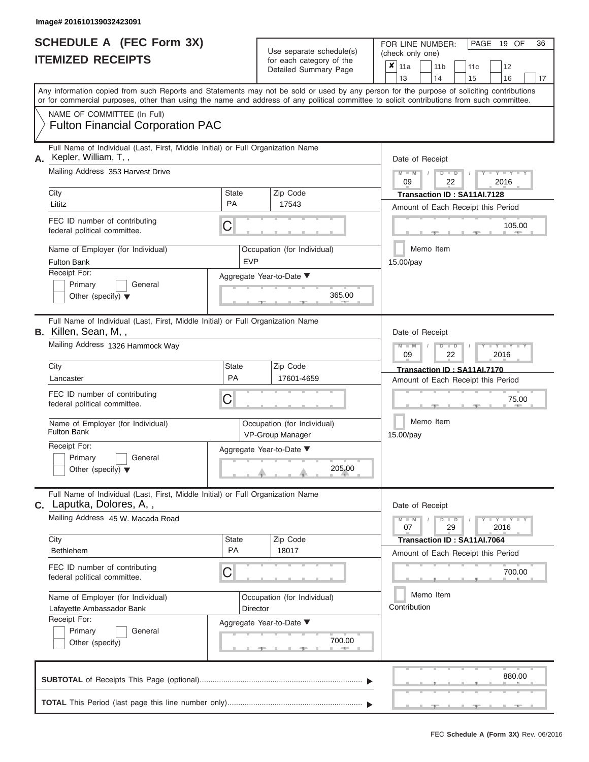|                          | <b>SCHEDULE A (FEC Form 3X)</b> |
|--------------------------|---------------------------------|
| <b>ITEMIZED RECEIPTS</b> |                                 |

FOR LINE NUMBER:<br>(check only one) Use separate schedule(s)

|    | <u>IIEMIZEU KEUEIPIJ</u>                                                                                                                                                                                                                                                                |            | for each category of the<br>Detailed Summary Page | $\overline{\mathbf{x}}$ | 11a             | 11 <sub>b</sub> | 11 <sub>c</sub>                    | 12                      |    |
|----|-----------------------------------------------------------------------------------------------------------------------------------------------------------------------------------------------------------------------------------------------------------------------------------------|------------|---------------------------------------------------|-------------------------|-----------------|-----------------|------------------------------------|-------------------------|----|
|    |                                                                                                                                                                                                                                                                                         |            |                                                   |                         | 13              | 14              | 15                                 | 16                      | 17 |
|    | Any information copied from such Reports and Statements may not be sold or used by any person for the purpose of soliciting contributions<br>or for commercial purposes, other than using the name and address of any political committee to solicit contributions from such committee. |            |                                                   |                         |                 |                 |                                    |                         |    |
|    | NAME OF COMMITTEE (In Full)                                                                                                                                                                                                                                                             |            |                                                   |                         |                 |                 |                                    |                         |    |
|    | <b>Fulton Financial Corporation PAC</b>                                                                                                                                                                                                                                                 |            |                                                   |                         |                 |                 |                                    |                         |    |
| А. | Full Name of Individual (Last, First, Middle Initial) or Full Organization Name<br>Kepler, William, T,,                                                                                                                                                                                 |            |                                                   |                         | Date of Receipt |                 |                                    |                         |    |
|    | Mailing Address 353 Harvest Drive                                                                                                                                                                                                                                                       |            |                                                   |                         | $M - M$<br>09   | $D$ $D$<br>22   |                                    | $Y - Y - Y$<br>2016     |    |
|    | City                                                                                                                                                                                                                                                                                    | State      | Zip Code                                          |                         |                 |                 | Transaction ID: SA11AI.7128        |                         |    |
|    | Lititz                                                                                                                                                                                                                                                                                  | <b>PA</b>  | 17543                                             |                         |                 |                 | Amount of Each Receipt this Period |                         |    |
|    | FEC ID number of contributing<br>federal political committee.                                                                                                                                                                                                                           | C          |                                                   |                         |                 |                 |                                    | 105.00                  |    |
|    | Name of Employer (for Individual)<br><b>Fulton Bank</b>                                                                                                                                                                                                                                 | <b>EVP</b> | Occupation (for Individual)                       |                         | 15.00/pay       | Memo Item       |                                    |                         |    |
|    | Receipt For:                                                                                                                                                                                                                                                                            |            | Aggregate Year-to-Date ▼                          |                         |                 |                 |                                    |                         |    |
|    | Primary<br>General                                                                                                                                                                                                                                                                      |            |                                                   |                         |                 |                 |                                    |                         |    |
|    | Other (specify) $\blacktriangledown$                                                                                                                                                                                                                                                    |            | 365.00                                            |                         |                 |                 |                                    |                         |    |
|    | Full Name of Individual (Last, First, Middle Initial) or Full Organization Name<br>B. Killen, Sean, M,,                                                                                                                                                                                 |            |                                                   |                         | Date of Receipt |                 |                                    |                         |    |
|    | Mailing Address 1326 Hammock Way                                                                                                                                                                                                                                                        |            |                                                   |                         | $M - M$<br>09   | $D$ $D$<br>22   |                                    | $T - Y = T - T$<br>2016 |    |
|    | City                                                                                                                                                                                                                                                                                    | State      | Zip Code                                          |                         |                 |                 | Transaction ID: SA11AI.7170        |                         |    |
|    | Lancaster                                                                                                                                                                                                                                                                               | PA         | 17601-4659                                        |                         |                 |                 | Amount of Each Receipt this Period |                         |    |
|    | FEC ID number of contributing<br>federal political committee.                                                                                                                                                                                                                           | С          |                                                   |                         |                 |                 |                                    | 75.00                   |    |
|    | Name of Employer (for Individual)<br><b>Fulton Bank</b>                                                                                                                                                                                                                                 |            | Occupation (for Individual)<br>VP-Group Manager   |                         | 15.00/pay       | Memo Item       |                                    |                         |    |
|    | Receipt For:<br>Primary<br>General<br>Other (specify) $\blacktriangledown$                                                                                                                                                                                                              |            | Aggregate Year-to-Date ▼<br>205.00                |                         |                 |                 |                                    |                         |    |
|    | Full Name of Individual (Last, First, Middle Initial) or Full Organization Name<br><b>C.</b> Laputka, Dolores, A,,                                                                                                                                                                      |            |                                                   |                         | Date of Receipt |                 |                                    |                         |    |
|    | Mailing Address 45 W. Macada Road                                                                                                                                                                                                                                                       |            |                                                   |                         | $M - M$<br>07   | $D$ $D$<br>29   |                                    | $Y = Y + Y + Y$<br>2016 |    |
|    | City                                                                                                                                                                                                                                                                                    | State      | Zip Code                                          |                         |                 |                 | Transaction ID: SA11AI.7064        |                         |    |
|    | <b>Bethlehem</b>                                                                                                                                                                                                                                                                        | PA         | 18017                                             |                         |                 |                 | Amount of Each Receipt this Period |                         |    |
|    | FEC ID number of contributing<br>federal political committee.                                                                                                                                                                                                                           | C          |                                                   |                         |                 |                 |                                    | 700.00                  |    |
|    | Name of Employer (for Individual)                                                                                                                                                                                                                                                       |            | Occupation (for Individual)                       |                         |                 | Memo Item       |                                    |                         |    |
|    | Lafayette Ambassador Bank                                                                                                                                                                                                                                                               | Director   |                                                   |                         | Contribution    |                 |                                    |                         |    |
|    | Receipt For:                                                                                                                                                                                                                                                                            |            | Aggregate Year-to-Date ▼                          |                         |                 |                 |                                    |                         |    |
|    | Primary<br>General                                                                                                                                                                                                                                                                      |            | 700.00                                            |                         |                 |                 |                                    |                         |    |
|    | Other (specify)                                                                                                                                                                                                                                                                         |            | <b>1. 40. 1</b>                                   |                         |                 |                 |                                    |                         |    |
|    |                                                                                                                                                                                                                                                                                         |            |                                                   |                         |                 |                 |                                    | 880.00                  |    |
|    |                                                                                                                                                                                                                                                                                         |            |                                                   |                         |                 |                 |                                    |                         |    |

FEC **Schedule A (Form 3X)** Rev. 06/2016

 ▲ ▲ ▲ , , .

PAGE 19 OF 36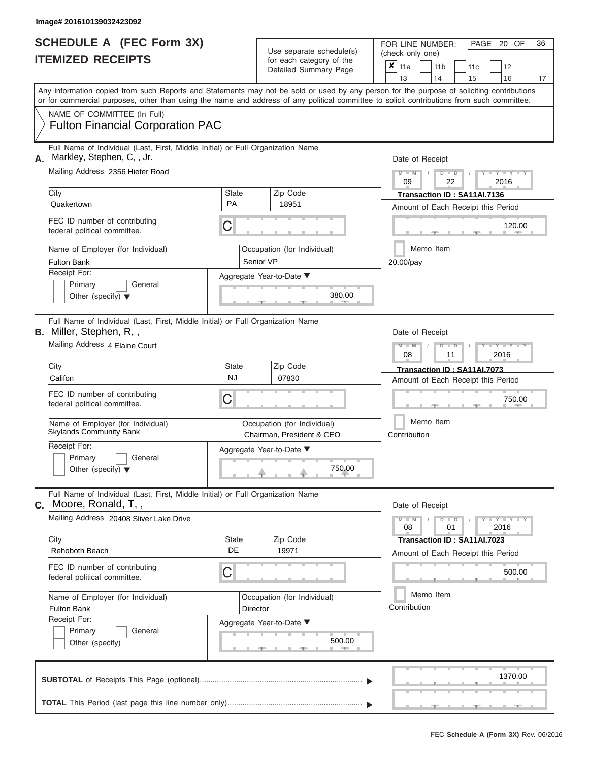|                          | <b>SCHEDULE A (FEC Form 3X)</b> |
|--------------------------|---------------------------------|
| <b>ITEMIZED RECEIPTS</b> |                                 |

FOR LINE NUMBER:<br>(check only one) Use separate schedule(s) (check only one) for each category of the

|    | <u>IIEMIZED RECEIPIS</u>                                                                                                                                                                                                                                                                |                                                        | for each category of the<br>Detailed Summary Page        |              | X<br>11a<br>13                                                    |  | 11 b<br>14           | 11c<br>15                   | 12<br>16                           | 17 |  |  |  |  |  |  |
|----|-----------------------------------------------------------------------------------------------------------------------------------------------------------------------------------------------------------------------------------------------------------------------------------------|--------------------------------------------------------|----------------------------------------------------------|--------------|-------------------------------------------------------------------|--|----------------------|-----------------------------|------------------------------------|----|--|--|--|--|--|--|
|    | Any information copied from such Reports and Statements may not be sold or used by any person for the purpose of soliciting contributions<br>or for commercial purposes, other than using the name and address of any political committee to solicit contributions from such committee. |                                                        |                                                          |              |                                                                   |  |                      |                             |                                    |    |  |  |  |  |  |  |
|    | NAME OF COMMITTEE (In Full)<br><b>Fulton Financial Corporation PAC</b>                                                                                                                                                                                                                  |                                                        |                                                          |              |                                                                   |  |                      |                             |                                    |    |  |  |  |  |  |  |
| А. | Full Name of Individual (Last, First, Middle Initial) or Full Organization Name<br>Markley, Stephen, C, , Jr.                                                                                                                                                                           |                                                        |                                                          |              | Date of Receipt                                                   |  |                      |                             |                                    |    |  |  |  |  |  |  |
|    | Mailing Address 2356 Hieter Road                                                                                                                                                                                                                                                        |                                                        |                                                          |              | $Y - Y$<br>2016<br>09<br>22                                       |  |                      |                             |                                    |    |  |  |  |  |  |  |
|    | City<br>Quakertown                                                                                                                                                                                                                                                                      | State<br><b>PA</b>                                     | Zip Code<br>18951                                        |              | Transaction ID: SA11AI.7136<br>Amount of Each Receipt this Period |  |                      |                             |                                    |    |  |  |  |  |  |  |
|    | FEC ID number of contributing<br>federal political committee.                                                                                                                                                                                                                           | С                                                      |                                                          |              | 120.00                                                            |  |                      |                             |                                    |    |  |  |  |  |  |  |
|    | Name of Employer (for Individual)<br><b>Fulton Bank</b>                                                                                                                                                                                                                                 |                                                        | Occupation (for Individual)<br>Senior VP                 |              | 20.00/pay                                                         |  | Memo Item            |                             |                                    |    |  |  |  |  |  |  |
|    | Receipt For:<br>Primary<br>General<br>Other (specify) $\blacktriangledown$                                                                                                                                                                                                              |                                                        | Aggregate Year-to-Date ▼<br>380.00                       |              |                                                                   |  |                      |                             |                                    |    |  |  |  |  |  |  |
|    | Full Name of Individual (Last, First, Middle Initial) or Full Organization Name<br><b>B.</b> Miller, Stephen, R,,                                                                                                                                                                       |                                                        |                                                          |              | Date of Receipt                                                   |  |                      |                             |                                    |    |  |  |  |  |  |  |
|    | Mailing Address 4 Elaine Court                                                                                                                                                                                                                                                          |                                                        |                                                          |              | Y<br>$\overline{\phantom{a}}$<br>2016<br>08<br>11                 |  |                      |                             |                                    |    |  |  |  |  |  |  |
|    | City<br>Califon                                                                                                                                                                                                                                                                         | <b>State</b><br>NJ                                     | Zip Code<br>07830                                        |              |                                                                   |  |                      | Transaction ID: SA11AI.7073 | Amount of Each Receipt this Period |    |  |  |  |  |  |  |
|    | FEC ID number of contributing<br>federal political committee.                                                                                                                                                                                                                           | С                                                      |                                                          |              | 750.00                                                            |  |                      |                             |                                    |    |  |  |  |  |  |  |
|    | Name of Employer (for Individual)<br><b>Skylands Community Bank</b>                                                                                                                                                                                                                     |                                                        | Occupation (for Individual)<br>Chairman, President & CEO |              | Memo Item<br>Contribution                                         |  |                      |                             |                                    |    |  |  |  |  |  |  |
|    | Receipt For:<br>Primary<br>General<br>Other (specify) $\blacktriangledown$                                                                                                                                                                                                              |                                                        | Aggregate Year-to-Date ▼<br>750.00                       |              |                                                                   |  |                      |                             |                                    |    |  |  |  |  |  |  |
|    | Full Name of Individual (Last, First, Middle Initial) or Full Organization Name<br>C. Moore, Ronald, T,,                                                                                                                                                                                |                                                        |                                                          |              | Date of Receipt                                                   |  |                      |                             |                                    |    |  |  |  |  |  |  |
|    | Mailing Address 20408 Sliver Lake Drive                                                                                                                                                                                                                                                 |                                                        |                                                          |              | 08                                                                |  | $\overline{D}$<br>01 |                             | $Y - Y$<br>2016                    |    |  |  |  |  |  |  |
|    | City<br>Rehoboth Beach                                                                                                                                                                                                                                                                  | State<br>DE                                            | Zip Code<br>19971                                        |              |                                                                   |  |                      | Transaction ID: SA11AI.7023 | Amount of Each Receipt this Period |    |  |  |  |  |  |  |
|    | FEC ID number of contributing<br>federal political committee.                                                                                                                                                                                                                           | С                                                      |                                                          |              |                                                                   |  |                      |                             | 500.00                             |    |  |  |  |  |  |  |
|    | Name of Employer (for Individual)<br><b>Fulton Bank</b>                                                                                                                                                                                                                                 |                                                        | Occupation (for Individual)<br>Director                  | Contribution |                                                                   |  |                      |                             |                                    |    |  |  |  |  |  |  |
|    | Receipt For:<br>Primary<br>General<br>Other (specify)                                                                                                                                                                                                                                   | Aggregate Year-to-Date ▼<br>500.00<br><b>ARCHITECT</b> |                                                          |              |                                                                   |  |                      |                             |                                    |    |  |  |  |  |  |  |
|    |                                                                                                                                                                                                                                                                                         |                                                        |                                                          |              |                                                                   |  |                      |                             | 1370.00                            |    |  |  |  |  |  |  |
|    |                                                                                                                                                                                                                                                                                         |                                                        |                                                          |              |                                                                   |  |                      |                             |                                    |    |  |  |  |  |  |  |

PAGE 20 OF 36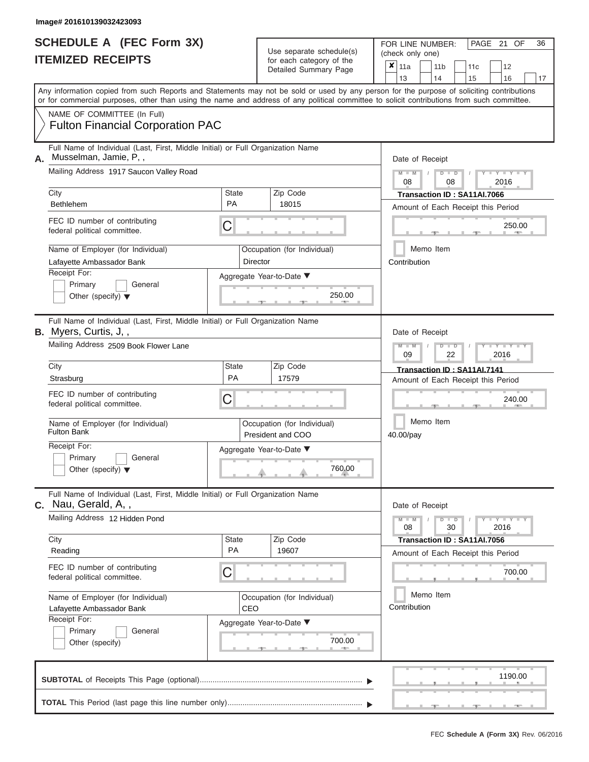| SCHEDULE A (FEC Form 3X) |  |
|--------------------------|--|
| <b>ITEMIZED RECEIPTS</b> |  |

|    |                                                                                                                                                                                                                                                                                         |                                                                                 |                                                  | $0.0011$ $0.000901$ $y$ $0.010$<br>Detailed Summary Page | ×                                               | 11a                                                               |  | 11 <sub>b</sub><br>14          | 11c                                                               | 12                      |                                       |  |  |  |  |  |  |  |  |  |  |  |  |  |
|----|-----------------------------------------------------------------------------------------------------------------------------------------------------------------------------------------------------------------------------------------------------------------------------------------|---------------------------------------------------------------------------------|--------------------------------------------------|----------------------------------------------------------|-------------------------------------------------|-------------------------------------------------------------------|--|--------------------------------|-------------------------------------------------------------------|-------------------------|---------------------------------------|--|--|--|--|--|--|--|--|--|--|--|--|--|
|    | Any information copied from such Reports and Statements may not be sold or used by any person for the purpose of soliciting contributions<br>or for commercial purposes, other than using the name and address of any political committee to solicit contributions from such committee. |                                                                                 |                                                  |                                                          |                                                 | 13                                                                |  |                                | 15                                                                | 16                      | 17                                    |  |  |  |  |  |  |  |  |  |  |  |  |  |
|    | NAME OF COMMITTEE (In Full)<br><b>Fulton Financial Corporation PAC</b>                                                                                                                                                                                                                  |                                                                                 |                                                  |                                                          |                                                 |                                                                   |  |                                |                                                                   |                         |                                       |  |  |  |  |  |  |  |  |  |  |  |  |  |
| Α. | Musselman, Jamie, P,,<br>Mailing Address 1917 Saucon Valley Road                                                                                                                                                                                                                        | Full Name of Individual (Last, First, Middle Initial) or Full Organization Name |                                                  |                                                          |                                                 |                                                                   |  |                                |                                                                   |                         | Date of Receipt<br>$M - M$<br>$D$ $D$ |  |  |  |  |  |  |  |  |  |  |  |  |  |
|    |                                                                                                                                                                                                                                                                                         |                                                                                 |                                                  |                                                          | 2016<br>08<br>08<br>Transaction ID: SA11AI.7066 |                                                                   |  |                                |                                                                   |                         |                                       |  |  |  |  |  |  |  |  |  |  |  |  |  |
|    | City<br>Bethlehem                                                                                                                                                                                                                                                                       | <b>State</b><br>PA                                                              | Zip Code<br>18015                                |                                                          | Amount of Each Receipt this Period              |                                                                   |  |                                |                                                                   |                         |                                       |  |  |  |  |  |  |  |  |  |  |  |  |  |
|    | FEC ID number of contributing<br>federal political committee.                                                                                                                                                                                                                           | C                                                                               |                                                  |                                                          |                                                 |                                                                   |  |                                |                                                                   | 250.00                  |                                       |  |  |  |  |  |  |  |  |  |  |  |  |  |
|    | Name of Employer (for Individual)<br>Lafayette Ambassador Bank                                                                                                                                                                                                                          |                                                                                 | Occupation (for Individual)<br>Director          |                                                          |                                                 | Contribution                                                      |  | Memo Item                      |                                                                   |                         |                                       |  |  |  |  |  |  |  |  |  |  |  |  |  |
|    | Receipt For:<br>Primary<br>General<br>Other (specify) $\blacktriangledown$                                                                                                                                                                                                              |                                                                                 | Aggregate Year-to-Date ▼                         | 250.00                                                   |                                                 |                                                                   |  |                                |                                                                   |                         |                                       |  |  |  |  |  |  |  |  |  |  |  |  |  |
|    | Full Name of Individual (Last, First, Middle Initial) or Full Organization Name<br>B. Myers, Curtis, J,,                                                                                                                                                                                |                                                                                 |                                                  |                                                          |                                                 | Date of Receipt                                                   |  |                                |                                                                   |                         |                                       |  |  |  |  |  |  |  |  |  |  |  |  |  |
|    | Mailing Address 2509 Book Flower Lane                                                                                                                                                                                                                                                   |                                                                                 |                                                  |                                                          | $M - M$<br>$D$ $D$<br>09<br>2016<br>22          |                                                                   |  |                                |                                                                   |                         |                                       |  |  |  |  |  |  |  |  |  |  |  |  |  |
|    | City<br>Strasburg                                                                                                                                                                                                                                                                       | <b>State</b><br><b>PA</b>                                                       | Zip Code<br>17579                                |                                                          |                                                 | Transaction ID: SA11Al.7141<br>Amount of Each Receipt this Period |  |                                |                                                                   |                         |                                       |  |  |  |  |  |  |  |  |  |  |  |  |  |
|    | FEC ID number of contributing<br>federal political committee.                                                                                                                                                                                                                           | С                                                                               |                                                  |                                                          |                                                 |                                                                   |  |                                |                                                                   | 240.00                  |                                       |  |  |  |  |  |  |  |  |  |  |  |  |  |
|    | Name of Employer (for Individual)<br><b>Fulton Bank</b>                                                                                                                                                                                                                                 |                                                                                 | Occupation (for Individual)<br>President and COO |                                                          | Memo Item<br>40.00/pay                          |                                                                   |  |                                |                                                                   |                         |                                       |  |  |  |  |  |  |  |  |  |  |  |  |  |
|    | Receipt For:<br>Primary<br>General<br>Other (specify) $\blacktriangledown$                                                                                                                                                                                                              |                                                                                 | Aggregate Year-to-Date ▼                         | 760.00                                                   |                                                 |                                                                   |  |                                |                                                                   |                         |                                       |  |  |  |  |  |  |  |  |  |  |  |  |  |
|    | Full Name of Individual (Last, First, Middle Initial) or Full Organization Name<br>C. Nau, Gerald, A,,                                                                                                                                                                                  |                                                                                 |                                                  |                                                          |                                                 | Date of Receipt                                                   |  |                                |                                                                   |                         |                                       |  |  |  |  |  |  |  |  |  |  |  |  |  |
|    | Mailing Address 12 Hidden Pond                                                                                                                                                                                                                                                          |                                                                                 |                                                  |                                                          |                                                 | $M - M$<br>08                                                     |  | $\overline{\phantom{a}}$<br>30 |                                                                   | $T - Y = T - Y$<br>2016 |                                       |  |  |  |  |  |  |  |  |  |  |  |  |  |
|    | City<br>Reading                                                                                                                                                                                                                                                                         | <b>State</b><br>PA                                                              | Zip Code<br>19607                                |                                                          |                                                 |                                                                   |  |                                | Transaction ID: SA11AI.7056<br>Amount of Each Receipt this Period |                         |                                       |  |  |  |  |  |  |  |  |  |  |  |  |  |
|    | FEC ID number of contributing<br>federal political committee.                                                                                                                                                                                                                           | С                                                                               |                                                  |                                                          |                                                 |                                                                   |  |                                |                                                                   | 700.00                  |                                       |  |  |  |  |  |  |  |  |  |  |  |  |  |
|    | Name of Employer (for Individual)<br>Lafayette Ambassador Bank<br>Receipt For:                                                                                                                                                                                                          | CEO                                                                             | Occupation (for Individual)                      |                                                          |                                                 | Contribution                                                      |  | Memo Item                      |                                                                   |                         |                                       |  |  |  |  |  |  |  |  |  |  |  |  |  |
|    | Primary<br>General<br>Other (specify)                                                                                                                                                                                                                                                   |                                                                                 | Aggregate Year-to-Date ▼                         | 700.00                                                   |                                                 |                                                                   |  |                                |                                                                   |                         |                                       |  |  |  |  |  |  |  |  |  |  |  |  |  |
|    |                                                                                                                                                                                                                                                                                         |                                                                                 |                                                  |                                                          |                                                 |                                                                   |  |                                |                                                                   | 1190.00                 |                                       |  |  |  |  |  |  |  |  |  |  |  |  |  |
|    |                                                                                                                                                                                                                                                                                         |                                                                                 |                                                  |                                                          |                                                 |                                                                   |  |                                |                                                                   |                         |                                       |  |  |  |  |  |  |  |  |  |  |  |  |  |

PAGE 21 OF 36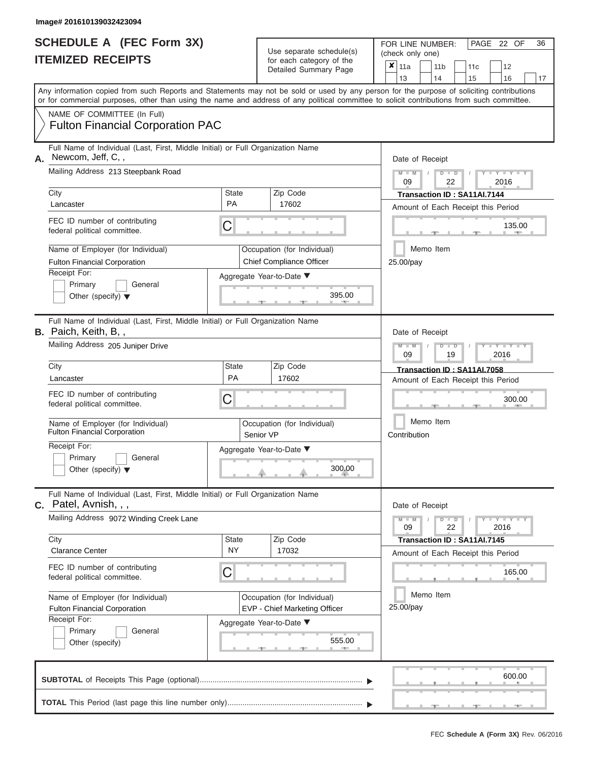|                          | <b>SCHEDULE A (FEC Form 3X)</b> |
|--------------------------|---------------------------------|
| <b>ITEMIZED RECEIPTS</b> |                                 |

|    | IILMILLU RLVLIF IJ                                                                                                                         |                           | ior each calegory or the<br>Detailed Summary Page |                                                 |                                    | ×<br>11a        |  | 11 <sub>b</sub> | 11c                                |        | 12          |  |    |  |  |  |
|----|--------------------------------------------------------------------------------------------------------------------------------------------|---------------------------|---------------------------------------------------|-------------------------------------------------|------------------------------------|-----------------|--|-----------------|------------------------------------|--------|-------------|--|----|--|--|--|
|    | Any information copied from such Reports and Statements may not be sold or used by any person for the purpose of soliciting contributions  |                           |                                                   |                                                 |                                    | 13              |  | 14              | 15                                 |        | 16          |  | 17 |  |  |  |
|    | or for commercial purposes, other than using the name and address of any political committee to solicit contributions from such committee. |                           |                                                   |                                                 |                                    |                 |  |                 |                                    |        |             |  |    |  |  |  |
|    | NAME OF COMMITTEE (In Full)                                                                                                                |                           |                                                   |                                                 |                                    |                 |  |                 |                                    |        |             |  |    |  |  |  |
|    | <b>Fulton Financial Corporation PAC</b>                                                                                                    |                           |                                                   |                                                 |                                    |                 |  |                 |                                    |        |             |  |    |  |  |  |
|    | Full Name of Individual (Last, First, Middle Initial) or Full Organization Name<br>Newcom, Jeff, C,,                                       |                           |                                                   |                                                 |                                    |                 |  |                 |                                    |        |             |  |    |  |  |  |
| А. | Mailing Address 213 Steepbank Road                                                                                                         |                           |                                                   |                                                 |                                    | Date of Receipt |  |                 |                                    |        |             |  |    |  |  |  |
|    |                                                                                                                                            |                           |                                                   |                                                 |                                    | $M - M$<br>09   |  | $D$ $D$<br>22   |                                    |        | 2016        |  |    |  |  |  |
|    | City                                                                                                                                       | <b>State</b>              | Zip Code                                          |                                                 | Transaction ID: SA11AI.7144        |                 |  |                 |                                    |        |             |  |    |  |  |  |
|    | Lancaster                                                                                                                                  | PA                        | 17602                                             |                                                 | Amount of Each Receipt this Period |                 |  |                 |                                    |        |             |  |    |  |  |  |
|    | FEC ID number of contributing<br>federal political committee.                                                                              | C                         |                                                   |                                                 |                                    |                 |  |                 |                                    |        | 135.00      |  |    |  |  |  |
|    | Name of Employer (for Individual)                                                                                                          |                           | Occupation (for Individual)                       |                                                 |                                    |                 |  | Memo Item       |                                    |        |             |  |    |  |  |  |
|    | <b>Fulton Financial Corporation</b>                                                                                                        |                           | Chief Compliance Officer                          |                                                 |                                    | 25.00/pay       |  |                 |                                    |        |             |  |    |  |  |  |
|    | Receipt For:                                                                                                                               |                           | Aggregate Year-to-Date ▼                          |                                                 |                                    |                 |  |                 |                                    |        |             |  |    |  |  |  |
|    | Primary<br>General<br>Other (specify) $\blacktriangledown$                                                                                 |                           |                                                   | 395.00                                          |                                    |                 |  |                 |                                    |        |             |  |    |  |  |  |
|    |                                                                                                                                            |                           |                                                   |                                                 |                                    |                 |  |                 |                                    |        |             |  |    |  |  |  |
|    | Full Name of Individual (Last, First, Middle Initial) or Full Organization Name<br>B. Paich, Keith, B,,                                    |                           |                                                   |                                                 |                                    | Date of Receipt |  |                 |                                    |        |             |  |    |  |  |  |
|    | Mailing Address 205 Juniper Drive                                                                                                          |                           |                                                   |                                                 |                                    |                 |  | $\blacksquare$  |                                    |        |             |  |    |  |  |  |
|    |                                                                                                                                            |                           |                                                   | 2016<br>09<br>19<br>Transaction ID: SA11AI.7058 |                                    |                 |  |                 |                                    |        |             |  |    |  |  |  |
|    | City<br>Lancaster                                                                                                                          | <b>State</b><br><b>PA</b> | Zip Code<br>17602                                 |                                                 |                                    |                 |  |                 |                                    |        |             |  |    |  |  |  |
|    | FEC ID number of contributing                                                                                                              |                           |                                                   | Amount of Each Receipt this Period              |                                    |                 |  |                 |                                    |        |             |  |    |  |  |  |
|    | federal political committee.                                                                                                               | Ĉ                         |                                                   |                                                 |                                    |                 |  |                 |                                    | 300.00 |             |  |    |  |  |  |
|    | Name of Employer (for Individual)<br><b>Fulton Financial Corporation</b>                                                                   |                           | Occupation (for Individual)<br>Senior VP          | Memo Item<br>Contribution                       |                                    |                 |  |                 |                                    |        |             |  |    |  |  |  |
|    | Receipt For:<br>Primary<br>General                                                                                                         |                           | Aggregate Year-to-Date ▼                          |                                                 |                                    |                 |  |                 |                                    |        |             |  |    |  |  |  |
|    | Other (specify) $\blacktriangledown$                                                                                                       |                           | 300.00                                            |                                                 |                                    |                 |  |                 |                                    |        |             |  |    |  |  |  |
|    |                                                                                                                                            |                           |                                                   |                                                 |                                    |                 |  |                 |                                    |        |             |  |    |  |  |  |
|    | Full Name of Individual (Last, First, Middle Initial) or Full Organization Name<br><b>C.</b> Patel, Avnish, , ,                            |                           |                                                   |                                                 |                                    | Date of Receipt |  |                 |                                    |        |             |  |    |  |  |  |
|    | Mailing Address 9072 Winding Creek Lane                                                                                                    |                           |                                                   |                                                 |                                    | $M - M$         |  | $D$ $D$         |                                    |        | $Y$ $Y$ $Y$ |  |    |  |  |  |
|    |                                                                                                                                            |                           |                                                   |                                                 |                                    | 09              |  | 22              |                                    |        | 2016        |  |    |  |  |  |
|    | City<br><b>Clarance Center</b>                                                                                                             | <b>State</b><br><b>NY</b> | Zip Code<br>17032                                 |                                                 |                                    |                 |  |                 | Transaction ID: SA11AI.7145        |        |             |  |    |  |  |  |
|    | FEC ID number of contributing                                                                                                              |                           |                                                   |                                                 |                                    |                 |  |                 | Amount of Each Receipt this Period |        |             |  |    |  |  |  |
|    | federal political committee.                                                                                                               | C                         |                                                   |                                                 |                                    |                 |  |                 |                                    |        | 165.00      |  |    |  |  |  |
|    | Name of Employer (for Individual)                                                                                                          |                           | Occupation (for Individual)                       |                                                 |                                    |                 |  | Memo Item       |                                    |        |             |  |    |  |  |  |
|    | <b>Fulton Financial Corporation</b>                                                                                                        |                           | EVP - Chief Marketing Officer                     |                                                 |                                    | 25.00/pay       |  |                 |                                    |        |             |  |    |  |  |  |
|    | Receipt For:<br>Primary<br>General                                                                                                         |                           | Aggregate Year-to-Date ▼                          |                                                 |                                    |                 |  |                 |                                    |        |             |  |    |  |  |  |
|    | Other (specify)                                                                                                                            |                           |                                                   | 555.00<br><b>AND</b>                            |                                    |                 |  |                 |                                    |        |             |  |    |  |  |  |
|    |                                                                                                                                            |                           |                                                   |                                                 |                                    |                 |  |                 |                                    |        |             |  |    |  |  |  |
|    |                                                                                                                                            |                           |                                                   |                                                 |                                    |                 |  | 600.00          |                                    |        |             |  |    |  |  |  |
|    |                                                                                                                                            |                           |                                                   |                                                 |                                    |                 |  |                 |                                    |        |             |  |    |  |  |  |
|    |                                                                                                                                            |                           |                                                   |                                                 |                                    |                 |  |                 |                                    |        |             |  |    |  |  |  |

PAGE 22 OF 36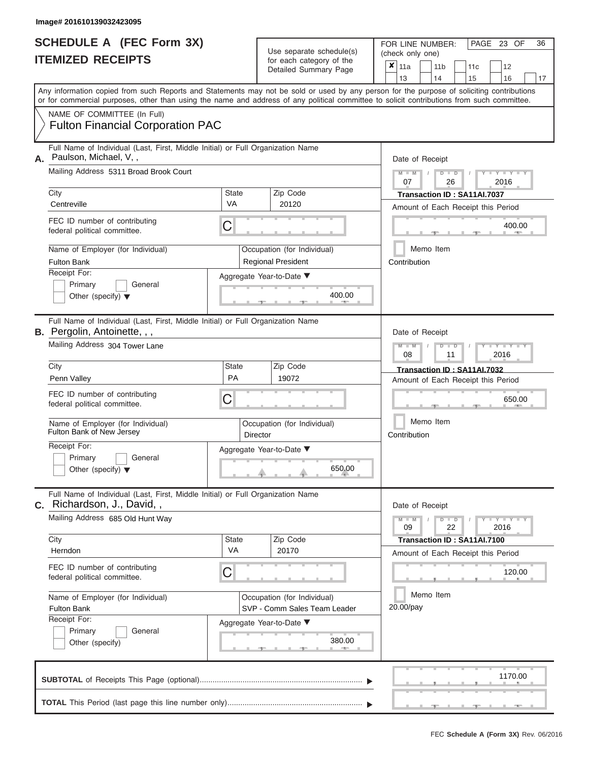| <b>SCHEDULE A (FEC Form 3X)</b> |  |  |
|---------------------------------|--|--|
| <b>ITEMIZED RECEIPTS</b>        |  |  |

|                                                                                                                                                                                                                                                                                         |                    | $\frac{1}{2}$<br>Detailed Summary Page                      | ×                                                                 | 11a<br>13       |  | 11 <sub>b</sub><br>14 | 11 <sub>c</sub><br>15              | 12<br>16                    | 17 |  |  |  |  |  |  |  |
|-----------------------------------------------------------------------------------------------------------------------------------------------------------------------------------------------------------------------------------------------------------------------------------------|--------------------|-------------------------------------------------------------|-------------------------------------------------------------------|-----------------|--|-----------------------|------------------------------------|-----------------------------|----|--|--|--|--|--|--|--|
| Any information copied from such Reports and Statements may not be sold or used by any person for the purpose of soliciting contributions<br>or for commercial purposes, other than using the name and address of any political committee to solicit contributions from such committee. |                    |                                                             |                                                                   |                 |  |                       |                                    |                             |    |  |  |  |  |  |  |  |
| NAME OF COMMITTEE (In Full)<br><b>Fulton Financial Corporation PAC</b>                                                                                                                                                                                                                  |                    |                                                             |                                                                   |                 |  |                       |                                    |                             |    |  |  |  |  |  |  |  |
| Full Name of Individual (Last, First, Middle Initial) or Full Organization Name<br>Paulson, Michael, V,,                                                                                                                                                                                |                    |                                                             | Date of Receipt                                                   |                 |  |                       |                                    |                             |    |  |  |  |  |  |  |  |
| Mailing Address 5311 Broad Brook Court                                                                                                                                                                                                                                                  |                    |                                                             |                                                                   | $M - M$<br>07   |  | $D$ $D$<br>26         |                                    | 2016                        |    |  |  |  |  |  |  |  |
| City                                                                                                                                                                                                                                                                                    | <b>State</b><br>VA | Zip Code                                                    | Transaction ID: SA11AI.7037<br>Amount of Each Receipt this Period |                 |  |                       |                                    |                             |    |  |  |  |  |  |  |  |
| Centreville                                                                                                                                                                                                                                                                             |                    | 20120                                                       |                                                                   |                 |  |                       |                                    |                             |    |  |  |  |  |  |  |  |
| FEC ID number of contributing<br>federal political committee.                                                                                                                                                                                                                           | С                  |                                                             |                                                                   |                 |  |                       |                                    | 400.00                      |    |  |  |  |  |  |  |  |
| Name of Employer (for Individual)                                                                                                                                                                                                                                                       |                    | Occupation (for Individual)                                 | Memo Item                                                         |                 |  |                       |                                    |                             |    |  |  |  |  |  |  |  |
| <b>Fulton Bank</b>                                                                                                                                                                                                                                                                      |                    | <b>Regional President</b>                                   | Contribution                                                      |                 |  |                       |                                    |                             |    |  |  |  |  |  |  |  |
| Receipt For:<br>Primary<br>General<br>Other (specify) $\blacktriangledown$                                                                                                                                                                                                              |                    | Aggregate Year-to-Date ▼<br>400.00<br>ு                     |                                                                   |                 |  |                       |                                    |                             |    |  |  |  |  |  |  |  |
| Full Name of Individual (Last, First, Middle Initial) or Full Organization Name<br><b>B.</b> Pergolin, Antoinette, , ,                                                                                                                                                                  |                    |                                                             |                                                                   | Date of Receipt |  |                       |                                    |                             |    |  |  |  |  |  |  |  |
| Mailing Address 304 Tower Lane                                                                                                                                                                                                                                                          |                    |                                                             | $M - M$<br>⊪⊃<br>2016<br>08<br>11                                 |                 |  |                       |                                    |                             |    |  |  |  |  |  |  |  |
| City                                                                                                                                                                                                                                                                                    | State              | Zip Code                                                    |                                                                   |                 |  |                       | Transaction ID: SA11AI.7032        |                             |    |  |  |  |  |  |  |  |
| Penn Valley                                                                                                                                                                                                                                                                             | PA                 | 19072                                                       |                                                                   |                 |  |                       | Amount of Each Receipt this Period |                             |    |  |  |  |  |  |  |  |
| FEC ID number of contributing<br>federal political committee.                                                                                                                                                                                                                           | С                  |                                                             | 650.00                                                            |                 |  |                       |                                    |                             |    |  |  |  |  |  |  |  |
| Name of Employer (for Individual)<br>Fulton Bank of New Jersey                                                                                                                                                                                                                          |                    | Occupation (for Individual)<br>Director                     | Memo Item<br>Contribution                                         |                 |  |                       |                                    |                             |    |  |  |  |  |  |  |  |
| Receipt For:<br>Primary<br>General<br>Other (specify) $\blacktriangledown$                                                                                                                                                                                                              |                    | Aggregate Year-to-Date ▼<br>650.00                          |                                                                   |                 |  |                       |                                    |                             |    |  |  |  |  |  |  |  |
| Full Name of Individual (Last, First, Middle Initial) or Full Organization Name<br>C. Richardson, J., David,,                                                                                                                                                                           |                    |                                                             |                                                                   | Date of Receipt |  |                       |                                    |                             |    |  |  |  |  |  |  |  |
| Mailing Address 685 Old Hunt Way                                                                                                                                                                                                                                                        |                    |                                                             |                                                                   | 09              |  | $D$ $D$<br>22         |                                    | $Y - Y - Y - Y - Y$<br>2016 |    |  |  |  |  |  |  |  |
| City<br>Herndon                                                                                                                                                                                                                                                                         | State<br>VA        | Zip Code<br>20170                                           |                                                                   |                 |  |                       | Transaction ID: SA11AI.7100        |                             |    |  |  |  |  |  |  |  |
|                                                                                                                                                                                                                                                                                         |                    |                                                             |                                                                   |                 |  |                       | Amount of Each Receipt this Period |                             |    |  |  |  |  |  |  |  |
| FEC ID number of contributing<br>federal political committee.                                                                                                                                                                                                                           | С                  |                                                             |                                                                   |                 |  |                       |                                    | 120.00                      |    |  |  |  |  |  |  |  |
| Name of Employer (for Individual)<br><b>Fulton Bank</b>                                                                                                                                                                                                                                 |                    | Occupation (for Individual)<br>SVP - Comm Sales Team Leader | Memo Item<br>20.00/pay                                            |                 |  |                       |                                    |                             |    |  |  |  |  |  |  |  |
| Receipt For:<br>Primary<br>General<br>Other (specify)                                                                                                                                                                                                                                   |                    | Aggregate Year-to-Date ▼<br>380.00                          |                                                                   |                 |  |                       |                                    |                             |    |  |  |  |  |  |  |  |
|                                                                                                                                                                                                                                                                                         |                    |                                                             |                                                                   |                 |  |                       |                                    | 1170.00                     |    |  |  |  |  |  |  |  |
|                                                                                                                                                                                                                                                                                         |                    |                                                             |                                                                   |                 |  |                       |                                    |                             |    |  |  |  |  |  |  |  |

PAGE 23 OF 36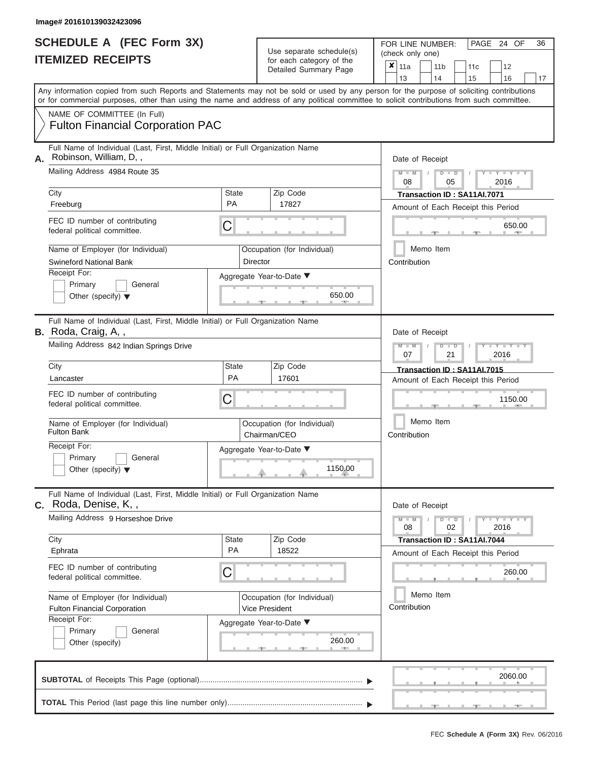|    | lmage# 201610139032423096                                                                                                                                  |                    |                                                                                                                                    |                                                                                                                                                                                                                                                                                         |
|----|------------------------------------------------------------------------------------------------------------------------------------------------------------|--------------------|------------------------------------------------------------------------------------------------------------------------------------|-----------------------------------------------------------------------------------------------------------------------------------------------------------------------------------------------------------------------------------------------------------------------------------------|
|    | <b>SCHEDULE A (FEC Form 3X)</b><br><b>ITEMIZED RECEIPTS</b>                                                                                                |                    | 36<br>FOR LINE NUMBER:<br>PAGE 24 OF<br>(check only one)<br>×<br>11a<br>11c<br>12<br>11 <sub>b</sub><br>13<br>14<br>15<br>16<br>17 |                                                                                                                                                                                                                                                                                         |
|    | NAME OF COMMITTEE (In Full)                                                                                                                                |                    |                                                                                                                                    | Any information copied from such Reports and Statements may not be sold or used by any person for the purpose of soliciting contributions<br>or for commercial purposes, other than using the name and address of any political committee to solicit contributions from such committee. |
|    | <b>Fulton Financial Corporation PAC</b><br>Full Name of Individual (Last, First, Middle Initial) or Full Organization Name                                 |                    |                                                                                                                                    |                                                                                                                                                                                                                                                                                         |
| А. | Robinson, William, D,,                                                                                                                                     |                    |                                                                                                                                    | Date of Receipt                                                                                                                                                                                                                                                                         |
|    | Mailing Address 4984 Route 35                                                                                                                              |                    |                                                                                                                                    | $M - M$<br>$D$ $D$<br>T<br>$Y - Y - I$<br>08<br>05<br>2016                                                                                                                                                                                                                              |
|    | City<br>Freeburg                                                                                                                                           | State<br><b>PA</b> | Zip Code<br>17827                                                                                                                  | Transaction ID: SA11AI.7071<br>Amount of Each Receipt this Period                                                                                                                                                                                                                       |
|    | FEC ID number of contributing<br>federal political committee.                                                                                              | C                  |                                                                                                                                    | 650.00                                                                                                                                                                                                                                                                                  |
|    | Name of Employer (for Individual)<br><b>Swineford National Bank</b>                                                                                        |                    | Occupation (for Individual)<br>Director                                                                                            | Memo Item<br>Contribution                                                                                                                                                                                                                                                               |
|    | Receipt For:<br>Primary<br>General<br>Other (specify) $\blacktriangledown$                                                                                 |                    | Aggregate Year-to-Date ▼<br>650.00                                                                                                 |                                                                                                                                                                                                                                                                                         |
|    | Full Name of Individual (Last, First, Middle Initial) or Full Organization Name<br>B. Roda, Craig, A,,<br>Mailing Address 842 Indian Springs Drive<br>City | State              | Zip Code                                                                                                                           | Date of Receipt<br>$D$ $D$<br>$T$ $T$ $T$ $T$ $T$ $T$ $T$ $T$<br>$M$ $M$<br>07<br>21<br>2016                                                                                                                                                                                            |
|    | Lancaster                                                                                                                                                  | <b>PA</b>          | 17601                                                                                                                              | Transaction ID: SA11AI.7015<br>Amount of Each Receipt this Period                                                                                                                                                                                                                       |
|    | FEC ID number of contributing<br>federal political committee.                                                                                              | С                  |                                                                                                                                    | 1150.00                                                                                                                                                                                                                                                                                 |
|    | Name of Employer (for Individual)<br><b>Fulton Bank</b>                                                                                                    |                    | Occupation (for Individual)<br>Chairman/CEO                                                                                        | Memo Item<br>Contribution                                                                                                                                                                                                                                                               |
|    | Receipt For:<br>Primary<br>General<br>Other (specify) $\blacktriangledown$                                                                                 |                    | Aggregate Year-to-Date ▼<br>1150.00                                                                                                |                                                                                                                                                                                                                                                                                         |
|    | Full Name of Individual (Last, First, Middle Initial) or Full Organization Name<br>C. Roda, Denise, K,,                                                    |                    |                                                                                                                                    | Date of Receipt                                                                                                                                                                                                                                                                         |
|    | Mailing Address 9 Horseshoe Drive                                                                                                                          |                    | Zip Code                                                                                                                           | $M - M$<br>$D$ $\Box$ $D$<br>$Y - Y -$<br>08<br>02<br>2016                                                                                                                                                                                                                              |
|    | City<br>Ephrata                                                                                                                                            | State<br><b>PA</b> | 18522                                                                                                                              | Transaction ID: SA11AI.7044<br>Amount of Each Receipt this Period                                                                                                                                                                                                                       |
|    | FEC ID number of contributing<br>federal political committee.                                                                                              | С                  |                                                                                                                                    | 260.00                                                                                                                                                                                                                                                                                  |
|    | Name of Employer (for Individual)<br><b>Fulton Financial Corporation</b><br>Receipt For:                                                                   |                    | Occupation (for Individual)<br><b>Vice President</b>                                                                               | Memo Item<br>Contribution                                                                                                                                                                                                                                                               |
|    | Primary<br>General<br>Other (specify)                                                                                                                      |                    | Aggregate Year-to-Date ▼<br>260.00                                                                                                 |                                                                                                                                                                                                                                                                                         |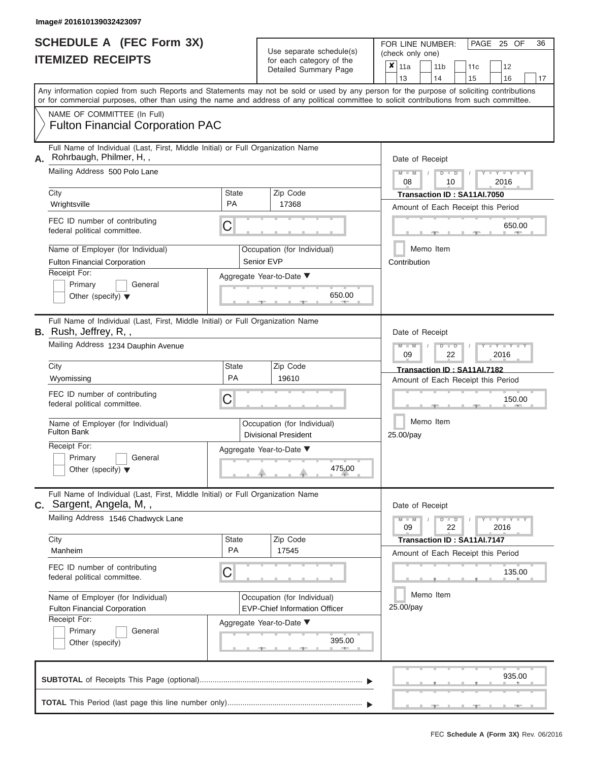|                          | SCHEDULE A (FEC Form 3X) |
|--------------------------|--------------------------|
| <b>ITEMIZED RECEIPTS</b> |                          |

|    | <u>IIEMIZED REVEILIS</u>                                                                                                                                                                                                                                                                |              |                                                            | ×<br>11a                                                                             |                                                                       | 11 <sub>b</sub> | 11c           |                                    | 12 |                             |  |    |  |  |  |  |  |
|----|-----------------------------------------------------------------------------------------------------------------------------------------------------------------------------------------------------------------------------------------------------------------------------------------|--------------|------------------------------------------------------------|--------------------------------------------------------------------------------------|-----------------------------------------------------------------------|-----------------|---------------|------------------------------------|----|-----------------------------|--|----|--|--|--|--|--|
|    |                                                                                                                                                                                                                                                                                         |              | Detailed Summary Page                                      |                                                                                      | 13                                                                    |                 | 14            | 15                                 |    | 16                          |  | 17 |  |  |  |  |  |
|    | Any information copied from such Reports and Statements may not be sold or used by any person for the purpose of soliciting contributions<br>or for commercial purposes, other than using the name and address of any political committee to solicit contributions from such committee. |              |                                                            |                                                                                      |                                                                       |                 |               |                                    |    |                             |  |    |  |  |  |  |  |
|    | NAME OF COMMITTEE (In Full)                                                                                                                                                                                                                                                             |              |                                                            |                                                                                      |                                                                       |                 |               |                                    |    |                             |  |    |  |  |  |  |  |
|    | <b>Fulton Financial Corporation PAC</b>                                                                                                                                                                                                                                                 |              |                                                            |                                                                                      |                                                                       |                 |               |                                    |    |                             |  |    |  |  |  |  |  |
| А. | Full Name of Individual (Last, First, Middle Initial) or Full Organization Name<br>Rohrbaugh, Philmer, H,,                                                                                                                                                                              |              |                                                            |                                                                                      | Date of Receipt                                                       |                 |               |                                    |    |                             |  |    |  |  |  |  |  |
|    | Mailing Address 500 Polo Lane                                                                                                                                                                                                                                                           |              |                                                            | $M - M$<br>$Y - Y - Y$<br>$D$ $D$<br>2016<br>08<br>10<br>Transaction ID: SA11AI.7050 |                                                                       |                 |               |                                    |    |                             |  |    |  |  |  |  |  |
|    | City                                                                                                                                                                                                                                                                                    | <b>State</b> | Zip Code                                                   |                                                                                      |                                                                       |                 |               |                                    |    |                             |  |    |  |  |  |  |  |
|    | Wrightsville                                                                                                                                                                                                                                                                            | PA           | 17368                                                      | Amount of Each Receipt this Period                                                   |                                                                       |                 |               |                                    |    |                             |  |    |  |  |  |  |  |
|    | FEC ID number of contributing<br>federal political committee.                                                                                                                                                                                                                           | С            |                                                            | 650.00                                                                               |                                                                       |                 |               |                                    |    |                             |  |    |  |  |  |  |  |
|    | Name of Employer (for Individual)<br><b>Fulton Financial Corporation</b>                                                                                                                                                                                                                |              | Occupation (for Individual)<br>Senior EVP                  |                                                                                      | Contribution                                                          |                 | Memo Item     |                                    |    |                             |  |    |  |  |  |  |  |
|    | Receipt For:                                                                                                                                                                                                                                                                            |              | Aggregate Year-to-Date ▼                                   |                                                                                      |                                                                       |                 |               |                                    |    |                             |  |    |  |  |  |  |  |
|    | Primary<br>General<br>Other (specify) $\blacktriangledown$                                                                                                                                                                                                                              |              | 650.00                                                     |                                                                                      |                                                                       |                 |               |                                    |    |                             |  |    |  |  |  |  |  |
|    | Full Name of Individual (Last, First, Middle Initial) or Full Organization Name<br><b>B.</b> Rush, Jeffrey, R,,                                                                                                                                                                         |              |                                                            |                                                                                      | Date of Receipt                                                       |                 |               |                                    |    |                             |  |    |  |  |  |  |  |
|    | Mailing Address 1234 Dauphin Avenue                                                                                                                                                                                                                                                     |              |                                                            |                                                                                      | $M - 1$<br>Y TY T<br>₽<br>$\overline{\mathbb{D}}$<br>2016<br>09<br>22 |                 |               |                                    |    |                             |  |    |  |  |  |  |  |
|    | City                                                                                                                                                                                                                                                                                    | <b>State</b> | Zip Code                                                   |                                                                                      |                                                                       |                 |               | Transaction ID: SA11AI.7182        |    |                             |  |    |  |  |  |  |  |
|    | Wyomissing                                                                                                                                                                                                                                                                              | <b>PA</b>    | 19610                                                      |                                                                                      |                                                                       |                 |               | Amount of Each Receipt this Period |    |                             |  |    |  |  |  |  |  |
|    | FEC ID number of contributing<br>federal political committee.                                                                                                                                                                                                                           | С            |                                                            |                                                                                      | 150.00                                                                |                 |               |                                    |    |                             |  |    |  |  |  |  |  |
|    | Name of Employer (for Individual)<br><b>Fulton Bank</b>                                                                                                                                                                                                                                 |              | Occupation (for Individual)<br><b>Divisional President</b> |                                                                                      | 25.00/pay                                                             |                 | Memo Item     |                                    |    |                             |  |    |  |  |  |  |  |
|    | Receipt For:<br>Primary<br>General<br>Other (specify) $\blacktriangledown$                                                                                                                                                                                                              |              | Aggregate Year-to-Date ▼<br>475.00                         |                                                                                      |                                                                       |                 |               |                                    |    |                             |  |    |  |  |  |  |  |
|    | Full Name of Individual (Last, First, Middle Initial) or Full Organization Name<br>C. Sargent, Angela, M.,                                                                                                                                                                              |              |                                                            |                                                                                      | Date of Receipt                                                       |                 |               |                                    |    |                             |  |    |  |  |  |  |  |
|    | Mailing Address 1546 Chadwyck Lane                                                                                                                                                                                                                                                      |              |                                                            |                                                                                      | $M - M$<br>09                                                         |                 | $D$ $D$<br>22 |                                    |    | $Y - Y - Y - Y - Y$<br>2016 |  |    |  |  |  |  |  |
|    | City                                                                                                                                                                                                                                                                                    | <b>State</b> | Zip Code                                                   |                                                                                      |                                                                       |                 |               | Transaction ID: SA11AI.7147        |    |                             |  |    |  |  |  |  |  |
|    | Manheim                                                                                                                                                                                                                                                                                 | PA           | 17545                                                      |                                                                                      |                                                                       |                 |               | Amount of Each Receipt this Period |    |                             |  |    |  |  |  |  |  |
|    | FEC ID number of contributing<br>federal political committee.                                                                                                                                                                                                                           | C            |                                                            |                                                                                      |                                                                       |                 |               |                                    |    | 135.00                      |  |    |  |  |  |  |  |
|    | Name of Employer (for Individual)                                                                                                                                                                                                                                                       |              | Occupation (for Individual)                                |                                                                                      |                                                                       |                 | Memo Item     |                                    |    |                             |  |    |  |  |  |  |  |
|    | <b>Fulton Financial Corporation</b>                                                                                                                                                                                                                                                     |              | <b>EVP-Chief Information Officer</b>                       |                                                                                      | 25.00/pay                                                             |                 |               |                                    |    |                             |  |    |  |  |  |  |  |
|    | Receipt For:<br>Primary<br>General                                                                                                                                                                                                                                                      |              | Aggregate Year-to-Date ▼<br>395.00                         |                                                                                      |                                                                       |                 |               |                                    |    |                             |  |    |  |  |  |  |  |
|    | Other (specify)                                                                                                                                                                                                                                                                         |              | $-$                                                        |                                                                                      |                                                                       |                 |               |                                    |    |                             |  |    |  |  |  |  |  |
|    |                                                                                                                                                                                                                                                                                         |              |                                                            |                                                                                      |                                                                       |                 |               |                                    |    | 935.00                      |  |    |  |  |  |  |  |
|    |                                                                                                                                                                                                                                                                                         |              |                                                            |                                                                                      |                                                                       |                 |               |                                    |    |                             |  |    |  |  |  |  |  |

PAGE 25 OF 36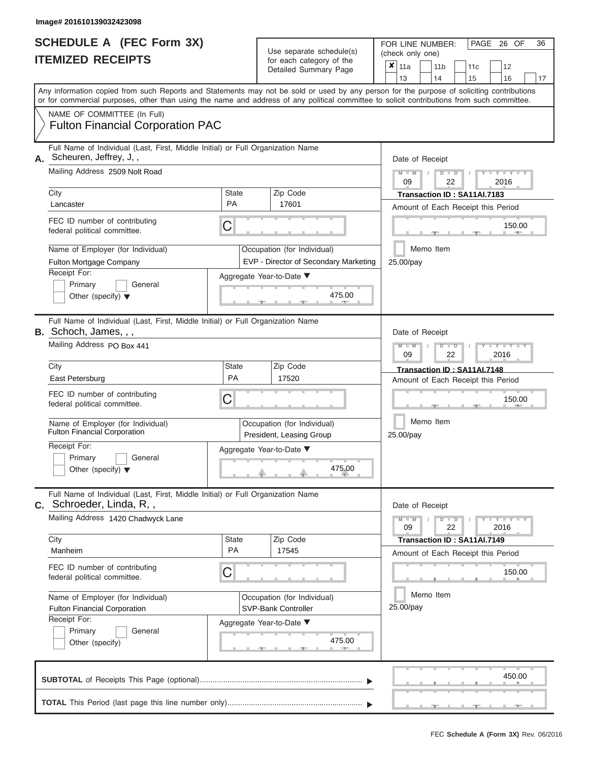| Image# 201610139032423098                                                                                                                                                                                                                                                                                                                                         |                                |                                                                                                  |                                                                                                                                    |  |  |  |  |  |  |
|-------------------------------------------------------------------------------------------------------------------------------------------------------------------------------------------------------------------------------------------------------------------------------------------------------------------------------------------------------------------|--------------------------------|--------------------------------------------------------------------------------------------------|------------------------------------------------------------------------------------------------------------------------------------|--|--|--|--|--|--|
| <b>SCHEDULE A (FEC Form 3X)</b><br><b>ITEMIZED RECEIPTS</b>                                                                                                                                                                                                                                                                                                       |                                | Use separate schedule(s)<br>for each category of the<br>Detailed Summary Page                    | PAGE 26 OF<br>36<br>FOR LINE NUMBER:<br>(check only one)<br>×<br>11a<br>11 <sub>b</sub><br>12<br>11c<br>13<br>14<br>15<br>16<br>17 |  |  |  |  |  |  |
| Any information copied from such Reports and Statements may not be sold or used by any person for the purpose of soliciting contributions<br>or for commercial purposes, other than using the name and address of any political committee to solicit contributions from such committee.<br>NAME OF COMMITTEE (In Full)<br><b>Fulton Financial Corporation PAC</b> |                                |                                                                                                  |                                                                                                                                    |  |  |  |  |  |  |
| Full Name of Individual (Last, First, Middle Initial) or Full Organization Name<br>Scheuren, Jeffrey, J,,<br>Mailing Address 2509 Nolt Road                                                                                                                                                                                                                       |                                |                                                                                                  | Date of Receipt<br>$Y = Y$<br>$M - M$<br>$D$ $D$                                                                                   |  |  |  |  |  |  |
| City<br>Lancaster                                                                                                                                                                                                                                                                                                                                                 | <b>State</b><br><b>PA</b>      | Zip Code<br>17601                                                                                | 22<br>2016<br>09<br>Transaction ID: SA11AI.7183<br>Amount of Each Receipt this Period                                              |  |  |  |  |  |  |
| FEC ID number of contributing<br>federal political committee.                                                                                                                                                                                                                                                                                                     | С                              |                                                                                                  | 150.00                                                                                                                             |  |  |  |  |  |  |
| Name of Employer (for Individual)<br>Fulton Mortgage Company<br>Receipt For:                                                                                                                                                                                                                                                                                      |                                | Occupation (for Individual)<br>EVP - Director of Secondary Marketing<br>Aggregate Year-to-Date ▼ | Memo Item<br>25.00/pay                                                                                                             |  |  |  |  |  |  |
| Primary<br>General<br>Other (specify) $\blacktriangledown$                                                                                                                                                                                                                                                                                                        |                                | 475.00                                                                                           |                                                                                                                                    |  |  |  |  |  |  |
| Full Name of Individual (Last, First, Middle Initial) or Full Organization Name<br>B. Schoch, James, , ,<br>Mailing Address PO Box 441                                                                                                                                                                                                                            |                                |                                                                                                  | Date of Receipt<br>$M - M$<br>$D$ $\Box$ $D$<br>$Y - Y$<br>2016<br>09<br>22                                                        |  |  |  |  |  |  |
| City<br>East Petersburg<br>FEC ID number of contributing<br>federal political committee.                                                                                                                                                                                                                                                                          | <b>State</b><br><b>PA</b><br>С | Zip Code<br>17520                                                                                | Transaction ID: SA11AI.7148<br>Amount of Each Receipt this Period<br>150.00                                                        |  |  |  |  |  |  |
| Name of Employer (for Individual)<br><b>Fulton Financial Corporation</b>                                                                                                                                                                                                                                                                                          |                                | Occupation (for Individual)<br>President, Leasing Group                                          | Memo Item<br>25.00/pay                                                                                                             |  |  |  |  |  |  |
| Receipt For:<br>Primary<br>General<br>Other (specify) $\blacktriangledown$                                                                                                                                                                                                                                                                                        |                                | Aggregate Year-to-Date ▼<br>475.00                                                               |                                                                                                                                    |  |  |  |  |  |  |
| Full Name of Individual (Last, First, Middle Initial) or Full Organization Name<br><b>C.</b> Schroeder, Linda, R,,<br>Mailing Address 1420 Chadwyck Lane                                                                                                                                                                                                          |                                |                                                                                                  | Date of Receipt<br><b>THEY THEY THEY</b><br>$M - M$<br>$D$ $\Box$ $D$<br>22<br>2016<br>09                                          |  |  |  |  |  |  |
| City<br>Manheim                                                                                                                                                                                                                                                                                                                                                   | <b>State</b><br><b>PA</b>      | Zip Code<br>17545                                                                                | Transaction ID: SA11AI.7149<br>Amount of Each Receipt this Period                                                                  |  |  |  |  |  |  |
| FEC ID number of contributing<br>federal political committee.                                                                                                                                                                                                                                                                                                     | С                              |                                                                                                  | 150.00                                                                                                                             |  |  |  |  |  |  |
| Name of Employer (for Individual)<br>Fulton Financial Corporation<br>Receipt For:                                                                                                                                                                                                                                                                                 |                                | Occupation (for Individual)<br>SVP-Bank Controller<br>Aggregate Year-to-Date ▼                   | Memo Item<br>25.00/pay                                                                                                             |  |  |  |  |  |  |
| Primary<br>General<br>Other (specify)                                                                                                                                                                                                                                                                                                                             |                                | 475.00<br>an.                                                                                    |                                                                                                                                    |  |  |  |  |  |  |

|  |  |  | <b>The Committee Committee Committee Committee Committee Committee</b> |  | 450.00 |                                                   |
|--|--|--|------------------------------------------------------------------------|--|--------|---------------------------------------------------|
|  |  |  |                                                                        |  |        |                                                   |
|  |  |  |                                                                        |  |        | design and the state of the state of the state of |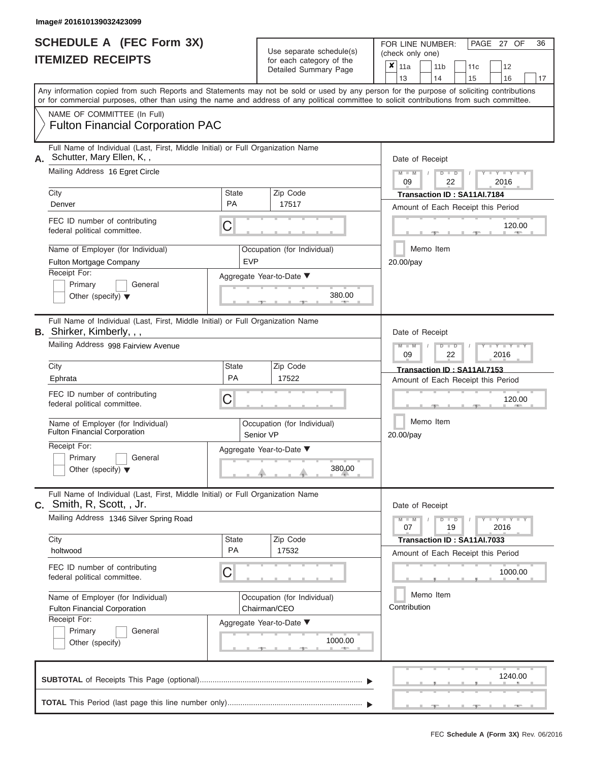| SCHEDULE A (FEC Form 3X) |  |
|--------------------------|--|
| <b>ITEMIZED RECEIPTS</b> |  |

|                                                                                                                                                                                                                                                                                         |                                     |           | badii balogory of life<br>Detailed Summary Page | ×                      | 11a<br>13                  |  |                               | 11 <sub>b</sub><br>14             | 11c<br>15                                                         | 12<br>16            |         | 17 |  |  |  |  |  |  |  |
|-----------------------------------------------------------------------------------------------------------------------------------------------------------------------------------------------------------------------------------------------------------------------------------------|-------------------------------------|-----------|-------------------------------------------------|------------------------|----------------------------|--|-------------------------------|-----------------------------------|-------------------------------------------------------------------|---------------------|---------|----|--|--|--|--|--|--|--|
| Any information copied from such Reports and Statements may not be sold or used by any person for the purpose of soliciting contributions<br>or for commercial purposes, other than using the name and address of any political committee to solicit contributions from such committee. |                                     |           |                                                 |                        |                            |  |                               |                                   |                                                                   |                     |         |    |  |  |  |  |  |  |  |
| NAME OF COMMITTEE (In Full)<br><b>Fulton Financial Corporation PAC</b>                                                                                                                                                                                                                  |                                     |           |                                                 |                        |                            |  |                               |                                   |                                                                   |                     |         |    |  |  |  |  |  |  |  |
| Full Name of Individual (Last, First, Middle Initial) or Full Organization Name<br>Schutter, Mary Ellen, K,,<br>Mailing Address 16 Egret Circle                                                                                                                                         |                                     |           |                                                 |                        | Date of Receipt<br>$M - M$ |  |                               | $D$ $D$                           |                                                                   | $Y - Y - I$         |         |    |  |  |  |  |  |  |  |
| City                                                                                                                                                                                                                                                                                    | <b>State</b>                        |           | Zip Code                                        |                        | 09                         |  |                               | 22                                | Transaction ID: SA11AI.7184                                       | 2016                |         |    |  |  |  |  |  |  |  |
| Denver                                                                                                                                                                                                                                                                                  | <b>PA</b>                           |           | 17517                                           |                        |                            |  |                               |                                   | Amount of Each Receipt this Period                                |                     |         |    |  |  |  |  |  |  |  |
| FEC ID number of contributing<br>federal political committee.                                                                                                                                                                                                                           | C                                   |           |                                                 |                        |                            |  |                               |                                   |                                                                   |                     | 120.00  |    |  |  |  |  |  |  |  |
| Name of Employer (for Individual)<br>Fulton Mortgage Company                                                                                                                                                                                                                            | <b>EVP</b>                          |           | Occupation (for Individual)                     | Memo Item<br>20.00/pay |                            |  |                               |                                   |                                                                   |                     |         |    |  |  |  |  |  |  |  |
| Receipt For:<br>Primary<br>General<br>Other (specify) $\blacktriangledown$                                                                                                                                                                                                              |                                     |           | Aggregate Year-to-Date ▼<br>380.00              |                        |                            |  |                               |                                   |                                                                   |                     |         |    |  |  |  |  |  |  |  |
| Full Name of Individual (Last, First, Middle Initial) or Full Organization Name<br><b>B.</b> Shirker, Kimberly, , ,                                                                                                                                                                     |                                     |           |                                                 |                        |                            |  |                               | Date of Receipt<br>$\blacksquare$ |                                                                   |                     |         |    |  |  |  |  |  |  |  |
| Mailing Address 998 Fairview Avenue                                                                                                                                                                                                                                                     |                                     |           |                                                 | 09                     |                            |  | $\overline{\mathsf{D}}$<br>22 |                                   | 2016                                                              |                     |         |    |  |  |  |  |  |  |  |
| City<br>Ephrata                                                                                                                                                                                                                                                                         | <b>State</b><br>PA                  |           | Zip Code<br>17522                               |                        |                            |  |                               |                                   | Transaction ID: SA11AI.7153<br>Amount of Each Receipt this Period |                     |         |    |  |  |  |  |  |  |  |
| FEC ID number of contributing<br>C<br>federal political committee.                                                                                                                                                                                                                      |                                     |           |                                                 |                        |                            |  |                               |                                   |                                                                   |                     | 120.00  |    |  |  |  |  |  |  |  |
| Name of Employer (for Individual)<br>Fulton Financial Corporation                                                                                                                                                                                                                       |                                     | Senior VP | Occupation (for Individual)                     |                        | Memo Item<br>20.00/pay     |  |                               |                                   |                                                                   |                     |         |    |  |  |  |  |  |  |  |
| Receipt For:<br>Primary<br>General<br>Other (specify) $\blacktriangledown$                                                                                                                                                                                                              |                                     |           |                                                 |                        |                            |  |                               |                                   |                                                                   |                     |         |    |  |  |  |  |  |  |  |
| Full Name of Individual (Last, First, Middle Initial) or Full Organization Name<br>C. Smith, R, Scott, , Jr.                                                                                                                                                                            |                                     |           |                                                 |                        | Date of Receipt            |  |                               |                                   |                                                                   |                     |         |    |  |  |  |  |  |  |  |
| Mailing Address 1346 Silver Spring Road                                                                                                                                                                                                                                                 |                                     |           |                                                 |                        | $M - M$<br>07              |  |                               | D<br>$\blacksquare$<br>19         |                                                                   | $Y - Y - I$<br>2016 |         |    |  |  |  |  |  |  |  |
| City<br>holtwood                                                                                                                                                                                                                                                                        | <b>State</b><br>PA                  |           | Zip Code<br>17532                               |                        |                            |  |                               |                                   | Transaction ID: SA11AI.7033<br>Amount of Each Receipt this Period |                     |         |    |  |  |  |  |  |  |  |
| FEC ID number of contributing<br>federal political committee.                                                                                                                                                                                                                           | C                                   |           |                                                 |                        |                            |  |                               |                                   |                                                                   |                     | 1000.00 |    |  |  |  |  |  |  |  |
| Name of Employer (for Individual)<br><b>Fulton Financial Corporation</b>                                                                                                                                                                                                                |                                     |           | Occupation (for Individual)<br>Chairman/CEO     |                        | Contribution               |  |                               | Memo Item                         |                                                                   |                     |         |    |  |  |  |  |  |  |  |
| Receipt For:<br>Primary<br>General<br>Other (specify)                                                                                                                                                                                                                                   | Aggregate Year-to-Date ▼<br>1000.00 |           |                                                 |                        |                            |  |                               |                                   |                                                                   |                     |         |    |  |  |  |  |  |  |  |
|                                                                                                                                                                                                                                                                                         |                                     |           |                                                 |                        |                            |  |                               |                                   |                                                                   |                     | 1240.00 |    |  |  |  |  |  |  |  |
|                                                                                                                                                                                                                                                                                         |                                     |           |                                                 |                        |                            |  |                               |                                   |                                                                   |                     |         |    |  |  |  |  |  |  |  |

FEC **Schedule A (Form 3X)** Rev. 06/2016

PAGE 27 OF 36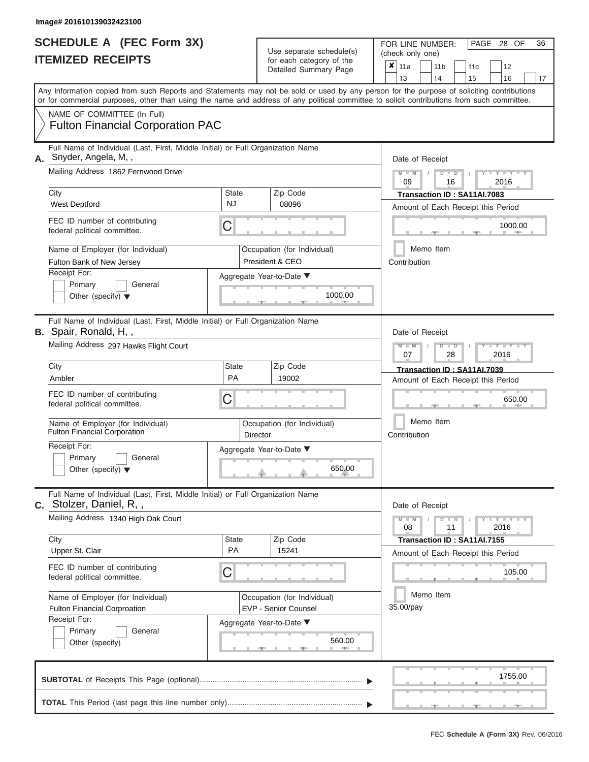| <b>SCHEDULE A (FEC Form 3X)</b><br><b>ITEMIZED RECEIPTS</b>                                                                                               |                           | Use separate schedule(s)<br>for each category of the<br>Detailed Summary Page         | 36<br>FOR LINE NUMBER:<br>PAGE 28 OF<br>(check only one)<br>x<br>11a<br>11 <sub>b</sub><br>11c<br>12<br>13<br>14<br>15<br>16<br>17                                                                                                                                                      |
|-----------------------------------------------------------------------------------------------------------------------------------------------------------|---------------------------|---------------------------------------------------------------------------------------|-----------------------------------------------------------------------------------------------------------------------------------------------------------------------------------------------------------------------------------------------------------------------------------------|
| NAME OF COMMITTEE (In Full)<br><b>Fulton Financial Corporation PAC</b>                                                                                    |                           |                                                                                       | Any information copied from such Reports and Statements may not be sold or used by any person for the purpose of soliciting contributions<br>or for commercial purposes, other than using the name and address of any political committee to solicit contributions from such committee. |
| Full Name of Individual (Last, First, Middle Initial) or Full Organization Name<br>Snyder, Angela, M,,<br>А.<br>Mailing Address 1862 Fernwood Drive       |                           |                                                                                       | Date of Receipt<br>$M - M$<br>$D$ $D$<br>$Y = Y$<br>09<br>2016<br>16                                                                                                                                                                                                                    |
| City<br><b>West Deptford</b>                                                                                                                              | <b>State</b><br><b>NJ</b> | Zip Code<br>08096                                                                     | Transaction ID: SA11AI.7083<br>Amount of Each Receipt this Period                                                                                                                                                                                                                       |
| FEC ID number of contributing<br>federal political committee.                                                                                             | C                         |                                                                                       | 1000.00                                                                                                                                                                                                                                                                                 |
| Name of Employer (for Individual)<br>Fulton Bank of New Jersey<br>Receipt For:<br>Primary<br>General<br>Other (specify) $\blacktriangledown$              |                           | Occupation (for Individual)<br>President & CEO<br>Aggregate Year-to-Date ▼<br>1000.00 | Memo Item<br>Contribution                                                                                                                                                                                                                                                               |
| Full Name of Individual (Last, First, Middle Initial) or Full Organization Name<br><b>B.</b> Spair, Ronald, H,,<br>Mailing Address 297 Hawks Flight Court |                           |                                                                                       | Date of Receipt<br>$M - M$<br>$T - Y$<br>$\Box$<br>07<br>28<br>2016                                                                                                                                                                                                                     |
| City<br>Ambler                                                                                                                                            | State<br>PA               | Zip Code<br>19002                                                                     | Transaction ID: SA11AI.7039<br>Amount of Each Receipt this Period                                                                                                                                                                                                                       |
| FEC ID number of contributing<br>federal political committee.                                                                                             | С                         |                                                                                       | 650.00                                                                                                                                                                                                                                                                                  |
| Name of Employer (for Individual)<br><b>Fulton Financial Corporation</b>                                                                                  | Director                  | Occupation (for Individual)                                                           | Memo Item<br>Contribution                                                                                                                                                                                                                                                               |
| Receipt For:<br>Primary<br>General<br>Other (specify) $\blacktriangledown$                                                                                |                           | Aggregate Year-to-Date ▼<br>650.00                                                    |                                                                                                                                                                                                                                                                                         |
| Full Name of Individual (Last, First, Middle Initial) or Full Organization Name<br>C. Stolzer, Daniel, R,,                                                |                           |                                                                                       | Date of Receipt                                                                                                                                                                                                                                                                         |
| Mailing Address 1340 High Oak Court<br>City                                                                                                               | State                     | Zip Code                                                                              | $M - M$<br>$D$ $\Box$ $D$<br>$Y - Y - Y - Y - I - Y$<br>11<br>2016<br>08                                                                                                                                                                                                                |
| Upper St. Clair                                                                                                                                           | PA                        | 15241                                                                                 | Transaction ID: SA11AI.7155<br>Amount of Each Receipt this Period                                                                                                                                                                                                                       |

| FEC ID number of contributing<br>federal political committee.            | $\mathsf C$                                         |                        |  | 105.00  |
|--------------------------------------------------------------------------|-----------------------------------------------------|------------------------|--|---------|
| Name of Employer (for Individual)<br><b>Fulton Financial Corproation</b> | Occupation (for Individual)<br>EVP - Senior Counsel | Memo Item<br>35.00/pay |  |         |
| Receipt For:<br>Primary<br>General<br>Other (specify)                    | Aggregate Year-to-Date ▼<br>560.00                  |                        |  |         |
|                                                                          |                                                     |                        |  | 1755.00 |
|                                                                          |                                                     |                        |  |         |

FEC **Schedule A (Form 3X)** Rev. 06/2016

Period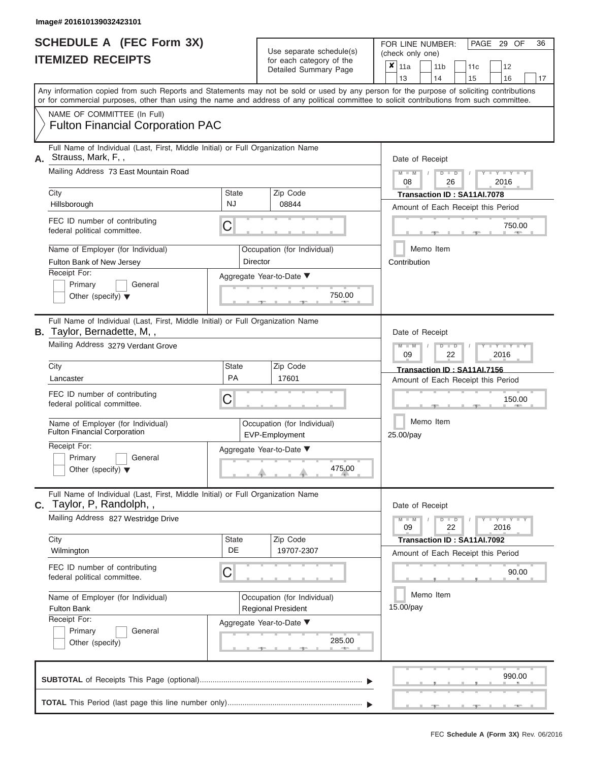|                          | <b>SCHEDULE A (FEC Form 3X)</b> |  |
|--------------------------|---------------------------------|--|
| <b>ITEMIZED RECEIPTS</b> |                                 |  |

|    |                                                                                                                                                                                                                                                                                         |                    |                                                              | badii balogory of life<br>Detailed Summary Page          | ×                         | 11a<br>13                                                                |  | 11 <sub>b</sub><br>14     | 11c<br>15                   | 12<br>16                           | 17    |  |  |  |  |  |
|----|-----------------------------------------------------------------------------------------------------------------------------------------------------------------------------------------------------------------------------------------------------------------------------------------|--------------------|--------------------------------------------------------------|----------------------------------------------------------|---------------------------|--------------------------------------------------------------------------|--|---------------------------|-----------------------------|------------------------------------|-------|--|--|--|--|--|
|    | Any information copied from such Reports and Statements may not be sold or used by any person for the purpose of soliciting contributions<br>or for commercial purposes, other than using the name and address of any political committee to solicit contributions from such committee. |                    |                                                              |                                                          |                           |                                                                          |  |                           |                             |                                    |       |  |  |  |  |  |
|    | NAME OF COMMITTEE (In Full)<br><b>Fulton Financial Corporation PAC</b>                                                                                                                                                                                                                  |                    |                                                              |                                                          |                           |                                                                          |  |                           |                             |                                    |       |  |  |  |  |  |
| А. | Full Name of Individual (Last, First, Middle Initial) or Full Organization Name<br>Strauss, Mark, F,,<br>Mailing Address 73 East Mountain Road                                                                                                                                          |                    |                                                              |                                                          |                           | Date of Receipt<br>$M - M$<br>$Y - Y - I$<br>$D$ $D$<br>2016<br>08<br>26 |  |                           |                             |                                    |       |  |  |  |  |  |
|    | City                                                                                                                                                                                                                                                                                    | <b>State</b>       |                                                              | Zip Code                                                 |                           |                                                                          |  |                           | Transaction ID: SA11AI.7078 |                                    |       |  |  |  |  |  |
|    | Hillsborough                                                                                                                                                                                                                                                                            | <b>NJ</b>          |                                                              | 08844                                                    |                           |                                                                          |  |                           |                             | Amount of Each Receipt this Period |       |  |  |  |  |  |
|    | FEC ID number of contributing<br>federal political committee.                                                                                                                                                                                                                           | C                  |                                                              |                                                          |                           |                                                                          |  |                           |                             | 750.00                             |       |  |  |  |  |  |
|    | Name of Employer (for Individual)<br>Fulton Bank of New Jersey                                                                                                                                                                                                                          |                    | Director                                                     | Occupation (for Individual)                              | Memo Item<br>Contribution |                                                                          |  |                           |                             |                                    |       |  |  |  |  |  |
|    | Receipt For:<br>Primary<br>General<br>Other (specify) $\blacktriangledown$                                                                                                                                                                                                              |                    |                                                              | Aggregate Year-to-Date ▼<br>750.00                       |                           |                                                                          |  |                           |                             |                                    |       |  |  |  |  |  |
|    | Full Name of Individual (Last, First, Middle Initial) or Full Organization Name<br>B. Taylor, Bernadette, M,,                                                                                                                                                                           |                    | Date of Receipt<br>$\overline{\mathsf{D}}$<br>$\blacksquare$ |                                                          |                           |                                                                          |  |                           |                             |                                    |       |  |  |  |  |  |
|    | Mailing Address 3279 Verdant Grove                                                                                                                                                                                                                                                      |                    |                                                              |                                                          |                           | 09                                                                       |  | 22                        |                             | 2016                               |       |  |  |  |  |  |
|    | City<br>Lancaster                                                                                                                                                                                                                                                                       | <b>State</b><br>PA |                                                              | Zip Code<br>17601                                        |                           |                                                                          |  |                           | Transaction ID: SA11AI.7156 | Amount of Each Receipt this Period |       |  |  |  |  |  |
|    | FEC ID number of contributing<br>C<br>federal political committee.                                                                                                                                                                                                                      |                    |                                                              |                                                          |                           |                                                                          |  |                           |                             | 150.00                             |       |  |  |  |  |  |
|    | Name of Employer (for Individual)<br><b>Fulton Financial Corporation</b>                                                                                                                                                                                                                |                    |                                                              | Occupation (for Individual)<br>EVP-Employment            |                           | Memo Item<br>25.00/pay                                                   |  |                           |                             |                                    |       |  |  |  |  |  |
|    | Receipt For:<br>Primary<br>General<br>Other (specify) $\blacktriangledown$                                                                                                                                                                                                              |                    |                                                              | Aggregate Year-to-Date ▼<br>475.00                       |                           |                                                                          |  |                           |                             |                                    |       |  |  |  |  |  |
| C. | Full Name of Individual (Last, First, Middle Initial) or Full Organization Name<br>Taylor, P, Randolph, ,                                                                                                                                                                               |                    |                                                              |                                                          |                           | Date of Receipt                                                          |  |                           |                             |                                    |       |  |  |  |  |  |
|    | Mailing Address 827 Westridge Drive                                                                                                                                                                                                                                                     |                    |                                                              |                                                          |                           | 09                                                                       |  | D<br>$\blacksquare$<br>22 |                             | $Y - Y - I$<br>2016                |       |  |  |  |  |  |
|    | City<br>Wilmington                                                                                                                                                                                                                                                                      | <b>State</b><br>DE |                                                              | Zip Code<br>19707-2307                                   |                           |                                                                          |  |                           | Transaction ID: SA11AI.7092 | Amount of Each Receipt this Period |       |  |  |  |  |  |
|    | FEC ID number of contributing<br>federal political committee.                                                                                                                                                                                                                           | C                  |                                                              |                                                          |                           |                                                                          |  |                           |                             |                                    | 90.00 |  |  |  |  |  |
|    | Name of Employer (for Individual)<br><b>Fulton Bank</b>                                                                                                                                                                                                                                 |                    |                                                              | Occupation (for Individual)<br><b>Regional President</b> | Memo Item<br>15.00/pay    |                                                                          |  |                           |                             |                                    |       |  |  |  |  |  |
|    | Receipt For:<br>Primary<br>General<br>Other (specify)                                                                                                                                                                                                                                   |                    |                                                              | Aggregate Year-to-Date ▼<br>285.00                       |                           |                                                                          |  |                           |                             |                                    |       |  |  |  |  |  |
|    |                                                                                                                                                                                                                                                                                         |                    |                                                              |                                                          |                           |                                                                          |  |                           |                             | 990.00                             |       |  |  |  |  |  |
|    |                                                                                                                                                                                                                                                                                         |                    |                                                              |                                                          |                           |                                                                          |  |                           |                             |                                    |       |  |  |  |  |  |

PAGE 29 OF 36

 $\frac{1}{2}$  ,  $\frac{1}{2}$  ,  $\frac{1}{2}$  ,  $\frac{1}{2}$  ,  $\frac{1}{2}$  ,  $\frac{1}{2}$  ,  $\frac{1}{2}$  ,  $\frac{1}{2}$  ,  $\frac{1}{2}$  ,  $\frac{1}{2}$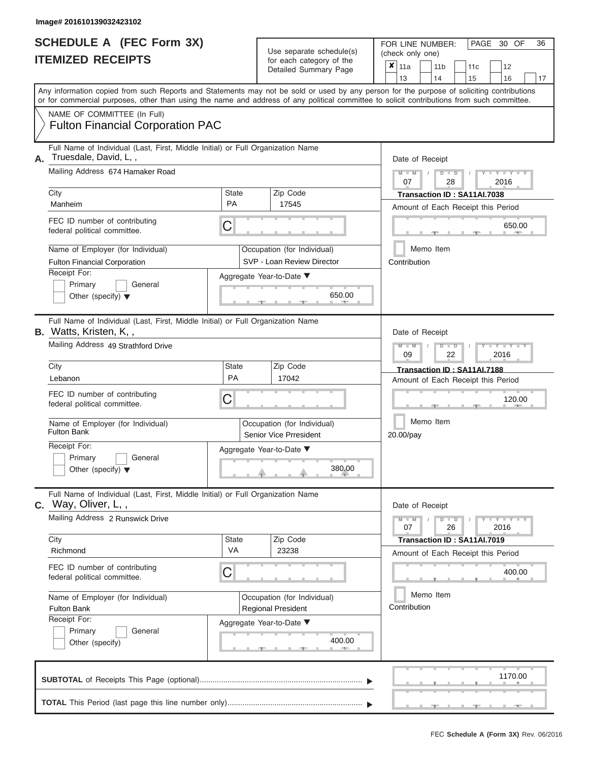#### **Image# 201610139032423102**

|                          | <b>SCHEDULE A (FEC Form 3X)</b> |  |
|--------------------------|---------------------------------|--|
| <b>ITEMIZED RECEIPTS</b> |                                 |  |

FOR LINE NUMBER:<br>(check only one) Use separate schedule(s)<br>for each category of the

|    |                                                                                                                                            |                |  | badii balogory of life<br>Detailed Summary Page       | ×                                      | 11a             |  | 11 <sub>b</sub>      | 11c                                |      | 12                  |  |    |  |  |  |  |
|----|--------------------------------------------------------------------------------------------------------------------------------------------|----------------|--|-------------------------------------------------------|----------------------------------------|-----------------|--|----------------------|------------------------------------|------|---------------------|--|----|--|--|--|--|
|    | Any information copied from such Reports and Statements may not be sold or used by any person for the purpose of soliciting contributions  |                |  |                                                       |                                        | 13              |  | 14                   | 15                                 |      | 16                  |  | 17 |  |  |  |  |
|    | or for commercial purposes, other than using the name and address of any political committee to solicit contributions from such committee. |                |  |                                                       |                                        |                 |  |                      |                                    |      |                     |  |    |  |  |  |  |
|    | NAME OF COMMITTEE (In Full)<br><b>Fulton Financial Corporation PAC</b>                                                                     |                |  |                                                       |                                        |                 |  |                      |                                    |      |                     |  |    |  |  |  |  |
| Α. | Full Name of Individual (Last, First, Middle Initial) or Full Organization Name<br>Truesdale, David, L,,                                   |                |  |                                                       |                                        | Date of Receipt |  |                      |                                    |      |                     |  |    |  |  |  |  |
|    | Mailing Address 674 Hamaker Road                                                                                                           |                |  |                                                       |                                        | $M - M$<br>07   |  | $D$ $D$<br>28        |                                    |      | $Y - Y - I$<br>2016 |  |    |  |  |  |  |
|    | City                                                                                                                                       | State<br>PA    |  | Zip Code                                              |                                        |                 |  |                      | Transaction ID: SA11AI.7038        |      |                     |  |    |  |  |  |  |
|    | Manheim                                                                                                                                    |                |  | 17545                                                 |                                        |                 |  |                      | Amount of Each Receipt this Period |      |                     |  |    |  |  |  |  |
|    | FEC ID number of contributing<br>federal political committee.                                                                              | C              |  |                                                       |                                        |                 |  |                      |                                    |      | 650.00              |  |    |  |  |  |  |
|    | Name of Employer (for Individual)                                                                                                          |                |  | Occupation (for Individual)                           | Memo Item                              |                 |  |                      |                                    |      |                     |  |    |  |  |  |  |
|    | <b>Fulton Financial Corporation</b>                                                                                                        |                |  | SVP - Loan Review Director                            | Contribution                           |                 |  |                      |                                    |      |                     |  |    |  |  |  |  |
|    | Receipt For:<br>General                                                                                                                    |                |  | Aggregate Year-to-Date ▼                              |                                        |                 |  |                      |                                    |      |                     |  |    |  |  |  |  |
|    | Primary<br>Other (specify) $\blacktriangledown$                                                                                            | 650.00<br>$-1$ |  |                                                       |                                        |                 |  |                      |                                    |      |                     |  |    |  |  |  |  |
|    | Full Name of Individual (Last, First, Middle Initial) or Full Organization Name<br><b>B.</b> Watts, Kristen, K,,                           |                |  |                                                       |                                        | Date of Receipt |  |                      |                                    |      |                     |  |    |  |  |  |  |
|    | Mailing Address 49 Strathford Drive                                                                                                        |                |  |                                                       | $M - M$<br>$D$ $D$<br>2016<br>09<br>22 |                 |  |                      |                                    |      |                     |  |    |  |  |  |  |
|    | City                                                                                                                                       | State          |  | Zip Code                                              |                                        |                 |  |                      | Transaction ID: SA11AI.7188        |      |                     |  |    |  |  |  |  |
|    | Lebanon                                                                                                                                    | PA             |  | 17042                                                 |                                        |                 |  |                      | Amount of Each Receipt this Period |      |                     |  |    |  |  |  |  |
|    | FEC ID number of contributing<br>federal political committee.                                                                              | С              |  |                                                       | 120.00                                 |                 |  |                      |                                    |      |                     |  |    |  |  |  |  |
|    | Name of Employer (for Individual)<br><b>Fulton Bank</b>                                                                                    |                |  | Occupation (for Individual)<br>Senior Vice Prresident | Memo Item<br>20.00/pay                 |                 |  |                      |                                    |      |                     |  |    |  |  |  |  |
|    | Receipt For:<br>Primary<br>General<br>Other (specify) $\blacktriangledown$                                                                 |                |  | Aggregate Year-to-Date ▼<br>380.00                    |                                        |                 |  |                      |                                    |      |                     |  |    |  |  |  |  |
|    | Full Name of Individual (Last, First, Middle Initial) or Full Organization Name<br>$C.$ Way, Oliver, L,,                                   |                |  |                                                       |                                        | Date of Receipt |  |                      |                                    |      |                     |  |    |  |  |  |  |
|    | Mailing Address 2 Runswick Drive                                                                                                           |                |  |                                                       |                                        | 07              |  | $\blacksquare$<br>26 |                                    | 2016 | Y TYT               |  |    |  |  |  |  |
|    | City<br>Richmond                                                                                                                           | State<br>VA    |  | Zip Code<br>23238                                     |                                        |                 |  |                      | Transaction ID: SA11AI.7019        |      |                     |  |    |  |  |  |  |
|    |                                                                                                                                            |                |  |                                                       |                                        |                 |  |                      | Amount of Each Receipt this Period |      |                     |  |    |  |  |  |  |
|    | FEC ID number of contributing<br>federal political committee.                                                                              | C              |  |                                                       |                                        |                 |  |                      |                                    |      | 400.00              |  |    |  |  |  |  |
|    | Name of Employer (for Individual)                                                                                                          |                |  | Occupation (for Individual)                           |                                        |                 |  | Memo Item            |                                    |      |                     |  |    |  |  |  |  |
|    | <b>Fulton Bank</b>                                                                                                                         |                |  | <b>Regional President</b>                             |                                        | Contribution    |  |                      |                                    |      |                     |  |    |  |  |  |  |
|    | Receipt For:<br>Primary<br>General<br>Other (specify)                                                                                      |                |  | Aggregate Year-to-Date ▼<br>400.00                    |                                        |                 |  |                      |                                    |      |                     |  |    |  |  |  |  |
|    |                                                                                                                                            |                |  | -9-                                                   |                                        |                 |  |                      |                                    |      |                     |  |    |  |  |  |  |
|    |                                                                                                                                            |                |  |                                                       |                                        |                 |  |                      |                                    |      | 1170.00             |  |    |  |  |  |  |
|    |                                                                                                                                            |                |  |                                                       |                                        |                 |  |                      |                                    |      |                     |  |    |  |  |  |  |

PAGE 30 OF 36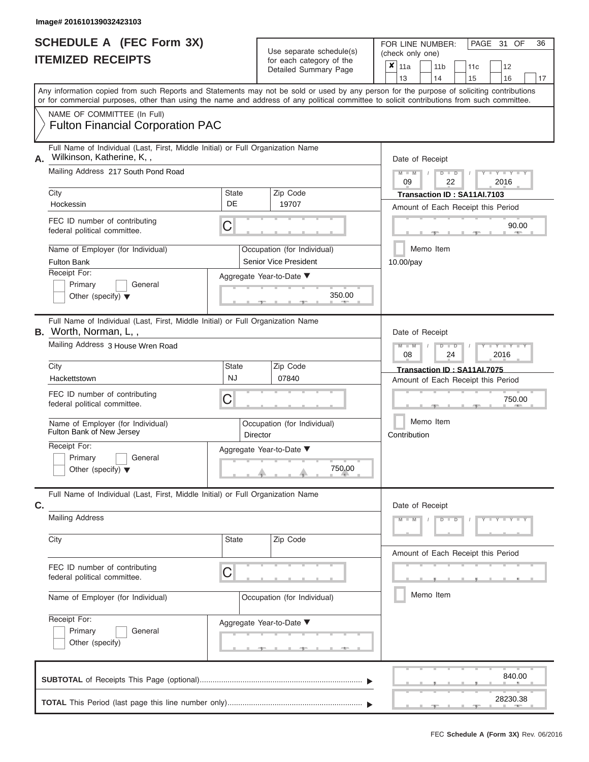|                          | <b>SCHEDULE A (FEC Form 3X)</b> |  |
|--------------------------|---------------------------------|--|
| <b>ITEMIZED RECEIPTS</b> |                                 |  |

FOR LINE NUMBER: Use separate schedule(s) (check only one)<br>for each category of the  $\begin{array}{|c|c|c|c|c|}\n\hline\n\text{Initial Summary goes} & & \text{with } & \text{with } & \text{with } & \text{with } & \text{with } & \text{with } & \text{with } & \text{with } & \text{with } & \text{with } & \text{with } & \text{with } & \text{with } & \text{with } & \text{with } & \text{with } & \text{with } & \text{with } & \text{with } & \text{with } & \text$ 

|    |                                                                                                                                                                                                                                                                                         |                           |  | Detailed Summary Page                                | x                         | 11a<br>13                                                         |       | 11 <sub>b</sub><br>14 |                      | 11c<br>15                                                         |               | 12<br>16           | 17 |  |  |  |
|----|-----------------------------------------------------------------------------------------------------------------------------------------------------------------------------------------------------------------------------------------------------------------------------------------|---------------------------|--|------------------------------------------------------|---------------------------|-------------------------------------------------------------------|-------|-----------------------|----------------------|-------------------------------------------------------------------|---------------|--------------------|----|--|--|--|
|    | Any information copied from such Reports and Statements may not be sold or used by any person for the purpose of soliciting contributions<br>or for commercial purposes, other than using the name and address of any political committee to solicit contributions from such committee. |                           |  |                                                      |                           |                                                                   |       |                       |                      |                                                                   |               |                    |    |  |  |  |
|    | NAME OF COMMITTEE (In Full)<br><b>Fulton Financial Corporation PAC</b>                                                                                                                                                                                                                  |                           |  |                                                      |                           |                                                                   |       |                       |                      |                                                                   |               |                    |    |  |  |  |
| Α. | Full Name of Individual (Last, First, Middle Initial) or Full Organization Name<br>Wilkinson, Katherine, K,,                                                                                                                                                                            |                           |  |                                                      |                           | Date of Receipt                                                   |       |                       |                      |                                                                   |               |                    |    |  |  |  |
|    | Mailing Address 217 South Pond Road<br>City                                                                                                                                                                                                                                             | <b>State</b>              |  | Zip Code                                             |                           | 09                                                                |       | D                     | $\blacksquare$<br>22 |                                                                   | 2016          |                    |    |  |  |  |
|    | Hockessin                                                                                                                                                                                                                                                                               | DE                        |  | 19707                                                |                           | Transaction ID: SA11AI.7103<br>Amount of Each Receipt this Period |       |                       |                      |                                                                   |               |                    |    |  |  |  |
|    | FEC ID number of contributing<br>federal political committee.                                                                                                                                                                                                                           | С                         |  |                                                      |                           |                                                                   | 90.00 |                       |                      |                                                                   |               |                    |    |  |  |  |
|    | Name of Employer (for Individual)<br><b>Fulton Bank</b>                                                                                                                                                                                                                                 |                           |  | Occupation (for Individual)<br>Senior Vice President | Memo Item<br>10.00/pay    |                                                                   |       |                       |                      |                                                                   |               |                    |    |  |  |  |
|    | Receipt For:<br>Primary<br>General<br>Other (specify) $\blacktriangledown$                                                                                                                                                                                                              |                           |  | Aggregate Year-to-Date ▼<br>350.00                   |                           |                                                                   |       |                       |                      |                                                                   |               |                    |    |  |  |  |
|    | Full Name of Individual (Last, First, Middle Initial) or Full Organization Name<br><b>B.</b> Worth, Norman, L,,                                                                                                                                                                         |                           |  | Date of Receipt                                      |                           |                                                                   |       |                       |                      |                                                                   |               |                    |    |  |  |  |
|    | Mailing Address 3 House Wren Road                                                                                                                                                                                                                                                       |                           |  |                                                      |                           | 08                                                                |       |                       | $\blacksquare$<br>24 |                                                                   | Y L<br>2016   |                    |    |  |  |  |
|    | City<br>Hackettstown                                                                                                                                                                                                                                                                    | <b>State</b><br><b>NJ</b> |  | Zip Code<br>07840                                    |                           |                                                                   |       |                       |                      | Transaction ID: SA11AI.7075<br>Amount of Each Receipt this Period |               |                    |    |  |  |  |
|    | FEC ID number of contributing<br>federal political committee.                                                                                                                                                                                                                           | С                         |  |                                                      | 750.00                    |                                                                   |       |                       |                      |                                                                   |               |                    |    |  |  |  |
|    | Name of Employer (for Individual)<br>Fulton Bank of New Jersey                                                                                                                                                                                                                          | Director                  |  | Occupation (for Individual)                          | Memo Item<br>Contribution |                                                                   |       |                       |                      |                                                                   |               |                    |    |  |  |  |
|    | Receipt For:<br>Primary<br>General<br>Other (specify) $\blacktriangledown$                                                                                                                                                                                                              |                           |  | Aggregate Year-to-Date ▼<br>750.00                   |                           |                                                                   |       |                       |                      |                                                                   |               |                    |    |  |  |  |
| C. | Full Name of Individual (Last, First, Middle Initial) or Full Organization Name                                                                                                                                                                                                         |                           |  |                                                      |                           | Date of Receipt                                                   |       |                       |                      |                                                                   |               |                    |    |  |  |  |
|    | <b>Mailing Address</b>                                                                                                                                                                                                                                                                  |                           |  |                                                      |                           |                                                                   |       |                       |                      |                                                                   | $Y = Y + Y +$ |                    |    |  |  |  |
|    | City                                                                                                                                                                                                                                                                                    | <b>State</b>              |  | Zip Code                                             |                           |                                                                   |       |                       |                      | Amount of Each Receipt this Period                                |               |                    |    |  |  |  |
|    | FEC ID number of contributing<br>federal political committee.                                                                                                                                                                                                                           | C                         |  |                                                      |                           |                                                                   |       |                       |                      |                                                                   |               |                    |    |  |  |  |
|    | Name of Employer (for Individual)                                                                                                                                                                                                                                                       |                           |  | Occupation (for Individual)                          | Memo Item                 |                                                                   |       |                       |                      |                                                                   |               |                    |    |  |  |  |
|    | Receipt For:<br>Primary<br>General<br>Other (specify)                                                                                                                                                                                                                                   | Aggregate Year-to-Date ▼  |  |                                                      |                           |                                                                   |       |                       |                      |                                                                   |               |                    |    |  |  |  |
|    |                                                                                                                                                                                                                                                                                         |                           |  |                                                      |                           |                                                                   |       |                       |                      |                                                                   |               | 840.00<br>28230.38 |    |  |  |  |
|    |                                                                                                                                                                                                                                                                                         |                           |  |                                                      |                           |                                                                   |       |                       |                      |                                                                   |               |                    |    |  |  |  |

PAGE 31 OF 36

 $\overline{\phantom{0}}$ 

 $\overline{\phantom{0}}$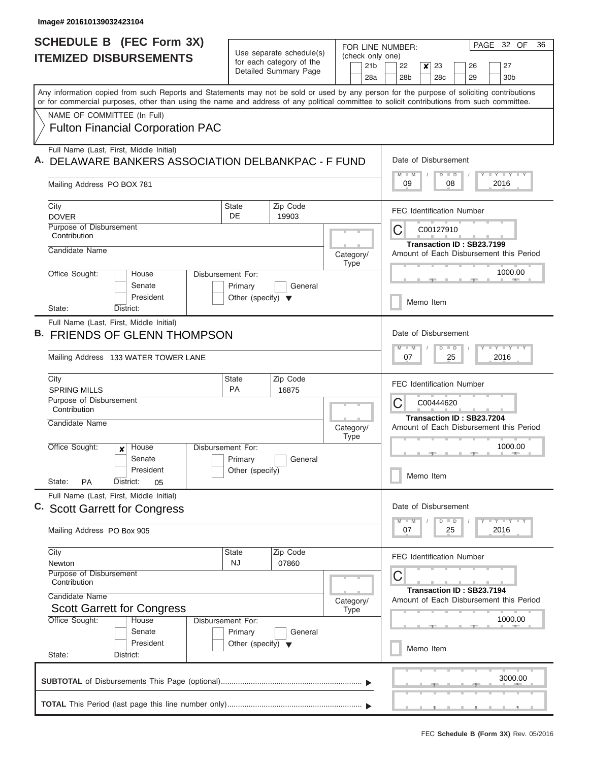$\overline{\phantom{a}}$ 

| (check only one)<br><b>ITEMIZED DISBURSEMENTS</b><br>for each category of the<br>21 <sub>b</sub><br>22<br>$\boldsymbol{x}$<br>23<br>27<br>26<br>Detailed Summary Page<br>28a<br>28b<br>28 <sub>c</sub><br>29<br>30 <sub>b</sub><br>Any information copied from such Reports and Statements may not be sold or used by any person for the purpose of soliciting contributions<br>or for commercial purposes, other than using the name and address of any political committee to solicit contributions from such committee.<br>NAME OF COMMITTEE (In Full)<br><b>Fulton Financial Corporation PAC</b><br>Full Name (Last, First, Middle Initial)<br>Date of Disbursement<br>DELAWARE BANKERS ASSOCIATION DELBANKPAC - F FUND<br>$M - M$<br>$T$ $T$ $T$ $T$ $T$ $T$ $T$ $T$ $T$<br>$D$ $D$<br>09<br>08<br>2016<br>Mailing Address PO BOX 781<br>Zip Code<br>State<br>City<br><b>FEC Identification Number</b><br>DE<br><b>DOVER</b><br>19903<br>Purpose of Disbursement<br>С<br>C00127910<br>Contribution<br>Transaction ID: SB23.7199<br>Candidate Name<br>Amount of Each Disbursement this Period<br>Category/<br><b>Type</b><br>1000.00<br>Office Sought:<br>House<br>Disbursement For:<br>Senate<br>Primary<br>General<br>President<br>Other (specify) $\blacktriangledown$<br>Memo Item<br>District:<br>State:<br>Full Name (Last, First, Middle Initial)<br>Date of Disbursement<br><b>FRIENDS OF GLENN THOMPSON</b><br>$M - M$<br>$T$ $Y$ $T$ $Y$ $T$<br>$D$ $D$<br>Mailing Address 133 WATER TOWER LANE<br>07<br>25<br>2016<br>Zip Code<br>City<br><b>State</b><br><b>FEC Identification Number</b><br><b>PA</b><br><b>SPRING MILLS</b><br>16875<br>Purpose of Disbursement<br>С<br>C00444620<br>Contribution<br>Transaction ID: SB23.7204<br>Candidate Name<br>Amount of Each Disbursement this Period<br>Category/<br><b>Type</b><br>Office Sought:<br>1000.00<br>Disbursement For:<br>House<br>$\boldsymbol{x}$<br>$-1$<br>Senate<br>Primary<br>General<br>President<br>Other (specify)<br>Memo Item<br>State:<br><b>PA</b><br>District:<br>05<br>Full Name (Last, First, Middle Initial)<br>Date of Disbursement<br>$M - M$<br>$D$ $D$<br>$+ Y + Y + Y$<br>Mailing Address PO Box 905<br>25<br>2016<br>07<br>Zip Code<br>City<br>State<br><b>FEC Identification Number</b><br><b>NJ</b><br>07860<br>Newton<br>Purpose of Disbursement<br>С<br>Contribution<br>Transaction ID: SB23.7194<br>Candidate Name<br>Amount of Each Disbursement this Period<br>Category/<br><b>Scott Garrett for Congress</b><br><b>Type</b><br>1000.00<br>Office Sought:<br>House<br>Disbursement For:<br>Senate<br>Primary<br>General<br>President<br>Other (specify) $\blacktriangledown$<br>Memo Item<br>State:<br>District: |  | <b>SCHEDULE B</b> (FEC Form 3X) |                          |  | FOR LINE NUMBER: | 32 OF<br>PAGE<br>36 |
|---------------------------------------------------------------------------------------------------------------------------------------------------------------------------------------------------------------------------------------------------------------------------------------------------------------------------------------------------------------------------------------------------------------------------------------------------------------------------------------------------------------------------------------------------------------------------------------------------------------------------------------------------------------------------------------------------------------------------------------------------------------------------------------------------------------------------------------------------------------------------------------------------------------------------------------------------------------------------------------------------------------------------------------------------------------------------------------------------------------------------------------------------------------------------------------------------------------------------------------------------------------------------------------------------------------------------------------------------------------------------------------------------------------------------------------------------------------------------------------------------------------------------------------------------------------------------------------------------------------------------------------------------------------------------------------------------------------------------------------------------------------------------------------------------------------------------------------------------------------------------------------------------------------------------------------------------------------------------------------------------------------------------------------------------------------------------------------------------------------------------------------------------------------------------------------------------------------------------------------------------------------------------------------------------------------------------------------------------------------------------------------------------------------------------------------------------------------------------------------------------------------------------------------------------------------------------------------------------------------------------------------------------------------------------------------------------------------------|--|---------------------------------|--------------------------|--|------------------|---------------------|
| C. Scott Garrett for Congress                                                                                                                                                                                                                                                                                                                                                                                                                                                                                                                                                                                                                                                                                                                                                                                                                                                                                                                                                                                                                                                                                                                                                                                                                                                                                                                                                                                                                                                                                                                                                                                                                                                                                                                                                                                                                                                                                                                                                                                                                                                                                                                                                                                                                                                                                                                                                                                                                                                                                                                                                                                                                                                                                       |  |                                 | Use separate schedule(s) |  |                  |                     |
|                                                                                                                                                                                                                                                                                                                                                                                                                                                                                                                                                                                                                                                                                                                                                                                                                                                                                                                                                                                                                                                                                                                                                                                                                                                                                                                                                                                                                                                                                                                                                                                                                                                                                                                                                                                                                                                                                                                                                                                                                                                                                                                                                                                                                                                                                                                                                                                                                                                                                                                                                                                                                                                                                                                     |  |                                 |                          |  |                  |                     |
|                                                                                                                                                                                                                                                                                                                                                                                                                                                                                                                                                                                                                                                                                                                                                                                                                                                                                                                                                                                                                                                                                                                                                                                                                                                                                                                                                                                                                                                                                                                                                                                                                                                                                                                                                                                                                                                                                                                                                                                                                                                                                                                                                                                                                                                                                                                                                                                                                                                                                                                                                                                                                                                                                                                     |  |                                 |                          |  |                  |                     |
|                                                                                                                                                                                                                                                                                                                                                                                                                                                                                                                                                                                                                                                                                                                                                                                                                                                                                                                                                                                                                                                                                                                                                                                                                                                                                                                                                                                                                                                                                                                                                                                                                                                                                                                                                                                                                                                                                                                                                                                                                                                                                                                                                                                                                                                                                                                                                                                                                                                                                                                                                                                                                                                                                                                     |  |                                 |                          |  |                  |                     |
|                                                                                                                                                                                                                                                                                                                                                                                                                                                                                                                                                                                                                                                                                                                                                                                                                                                                                                                                                                                                                                                                                                                                                                                                                                                                                                                                                                                                                                                                                                                                                                                                                                                                                                                                                                                                                                                                                                                                                                                                                                                                                                                                                                                                                                                                                                                                                                                                                                                                                                                                                                                                                                                                                                                     |  |                                 |                          |  |                  |                     |
|                                                                                                                                                                                                                                                                                                                                                                                                                                                                                                                                                                                                                                                                                                                                                                                                                                                                                                                                                                                                                                                                                                                                                                                                                                                                                                                                                                                                                                                                                                                                                                                                                                                                                                                                                                                                                                                                                                                                                                                                                                                                                                                                                                                                                                                                                                                                                                                                                                                                                                                                                                                                                                                                                                                     |  |                                 |                          |  |                  |                     |
|                                                                                                                                                                                                                                                                                                                                                                                                                                                                                                                                                                                                                                                                                                                                                                                                                                                                                                                                                                                                                                                                                                                                                                                                                                                                                                                                                                                                                                                                                                                                                                                                                                                                                                                                                                                                                                                                                                                                                                                                                                                                                                                                                                                                                                                                                                                                                                                                                                                                                                                                                                                                                                                                                                                     |  |                                 |                          |  |                  |                     |
|                                                                                                                                                                                                                                                                                                                                                                                                                                                                                                                                                                                                                                                                                                                                                                                                                                                                                                                                                                                                                                                                                                                                                                                                                                                                                                                                                                                                                                                                                                                                                                                                                                                                                                                                                                                                                                                                                                                                                                                                                                                                                                                                                                                                                                                                                                                                                                                                                                                                                                                                                                                                                                                                                                                     |  |                                 |                          |  |                  |                     |
|                                                                                                                                                                                                                                                                                                                                                                                                                                                                                                                                                                                                                                                                                                                                                                                                                                                                                                                                                                                                                                                                                                                                                                                                                                                                                                                                                                                                                                                                                                                                                                                                                                                                                                                                                                                                                                                                                                                                                                                                                                                                                                                                                                                                                                                                                                                                                                                                                                                                                                                                                                                                                                                                                                                     |  |                                 |                          |  |                  |                     |
|                                                                                                                                                                                                                                                                                                                                                                                                                                                                                                                                                                                                                                                                                                                                                                                                                                                                                                                                                                                                                                                                                                                                                                                                                                                                                                                                                                                                                                                                                                                                                                                                                                                                                                                                                                                                                                                                                                                                                                                                                                                                                                                                                                                                                                                                                                                                                                                                                                                                                                                                                                                                                                                                                                                     |  |                                 |                          |  |                  |                     |
|                                                                                                                                                                                                                                                                                                                                                                                                                                                                                                                                                                                                                                                                                                                                                                                                                                                                                                                                                                                                                                                                                                                                                                                                                                                                                                                                                                                                                                                                                                                                                                                                                                                                                                                                                                                                                                                                                                                                                                                                                                                                                                                                                                                                                                                                                                                                                                                                                                                                                                                                                                                                                                                                                                                     |  |                                 |                          |  |                  |                     |
|                                                                                                                                                                                                                                                                                                                                                                                                                                                                                                                                                                                                                                                                                                                                                                                                                                                                                                                                                                                                                                                                                                                                                                                                                                                                                                                                                                                                                                                                                                                                                                                                                                                                                                                                                                                                                                                                                                                                                                                                                                                                                                                                                                                                                                                                                                                                                                                                                                                                                                                                                                                                                                                                                                                     |  |                                 |                          |  |                  |                     |
|                                                                                                                                                                                                                                                                                                                                                                                                                                                                                                                                                                                                                                                                                                                                                                                                                                                                                                                                                                                                                                                                                                                                                                                                                                                                                                                                                                                                                                                                                                                                                                                                                                                                                                                                                                                                                                                                                                                                                                                                                                                                                                                                                                                                                                                                                                                                                                                                                                                                                                                                                                                                                                                                                                                     |  |                                 |                          |  |                  |                     |
|                                                                                                                                                                                                                                                                                                                                                                                                                                                                                                                                                                                                                                                                                                                                                                                                                                                                                                                                                                                                                                                                                                                                                                                                                                                                                                                                                                                                                                                                                                                                                                                                                                                                                                                                                                                                                                                                                                                                                                                                                                                                                                                                                                                                                                                                                                                                                                                                                                                                                                                                                                                                                                                                                                                     |  |                                 |                          |  |                  |                     |
|                                                                                                                                                                                                                                                                                                                                                                                                                                                                                                                                                                                                                                                                                                                                                                                                                                                                                                                                                                                                                                                                                                                                                                                                                                                                                                                                                                                                                                                                                                                                                                                                                                                                                                                                                                                                                                                                                                                                                                                                                                                                                                                                                                                                                                                                                                                                                                                                                                                                                                                                                                                                                                                                                                                     |  |                                 |                          |  |                  |                     |
|                                                                                                                                                                                                                                                                                                                                                                                                                                                                                                                                                                                                                                                                                                                                                                                                                                                                                                                                                                                                                                                                                                                                                                                                                                                                                                                                                                                                                                                                                                                                                                                                                                                                                                                                                                                                                                                                                                                                                                                                                                                                                                                                                                                                                                                                                                                                                                                                                                                                                                                                                                                                                                                                                                                     |  |                                 |                          |  |                  |                     |
|                                                                                                                                                                                                                                                                                                                                                                                                                                                                                                                                                                                                                                                                                                                                                                                                                                                                                                                                                                                                                                                                                                                                                                                                                                                                                                                                                                                                                                                                                                                                                                                                                                                                                                                                                                                                                                                                                                                                                                                                                                                                                                                                                                                                                                                                                                                                                                                                                                                                                                                                                                                                                                                                                                                     |  |                                 |                          |  |                  |                     |
|                                                                                                                                                                                                                                                                                                                                                                                                                                                                                                                                                                                                                                                                                                                                                                                                                                                                                                                                                                                                                                                                                                                                                                                                                                                                                                                                                                                                                                                                                                                                                                                                                                                                                                                                                                                                                                                                                                                                                                                                                                                                                                                                                                                                                                                                                                                                                                                                                                                                                                                                                                                                                                                                                                                     |  |                                 |                          |  |                  |                     |
|                                                                                                                                                                                                                                                                                                                                                                                                                                                                                                                                                                                                                                                                                                                                                                                                                                                                                                                                                                                                                                                                                                                                                                                                                                                                                                                                                                                                                                                                                                                                                                                                                                                                                                                                                                                                                                                                                                                                                                                                                                                                                                                                                                                                                                                                                                                                                                                                                                                                                                                                                                                                                                                                                                                     |  |                                 |                          |  |                  |                     |
|                                                                                                                                                                                                                                                                                                                                                                                                                                                                                                                                                                                                                                                                                                                                                                                                                                                                                                                                                                                                                                                                                                                                                                                                                                                                                                                                                                                                                                                                                                                                                                                                                                                                                                                                                                                                                                                                                                                                                                                                                                                                                                                                                                                                                                                                                                                                                                                                                                                                                                                                                                                                                                                                                                                     |  |                                 |                          |  |                  |                     |
|                                                                                                                                                                                                                                                                                                                                                                                                                                                                                                                                                                                                                                                                                                                                                                                                                                                                                                                                                                                                                                                                                                                                                                                                                                                                                                                                                                                                                                                                                                                                                                                                                                                                                                                                                                                                                                                                                                                                                                                                                                                                                                                                                                                                                                                                                                                                                                                                                                                                                                                                                                                                                                                                                                                     |  |                                 |                          |  |                  |                     |
|                                                                                                                                                                                                                                                                                                                                                                                                                                                                                                                                                                                                                                                                                                                                                                                                                                                                                                                                                                                                                                                                                                                                                                                                                                                                                                                                                                                                                                                                                                                                                                                                                                                                                                                                                                                                                                                                                                                                                                                                                                                                                                                                                                                                                                                                                                                                                                                                                                                                                                                                                                                                                                                                                                                     |  |                                 |                          |  |                  |                     |
|                                                                                                                                                                                                                                                                                                                                                                                                                                                                                                                                                                                                                                                                                                                                                                                                                                                                                                                                                                                                                                                                                                                                                                                                                                                                                                                                                                                                                                                                                                                                                                                                                                                                                                                                                                                                                                                                                                                                                                                                                                                                                                                                                                                                                                                                                                                                                                                                                                                                                                                                                                                                                                                                                                                     |  |                                 |                          |  |                  |                     |
|                                                                                                                                                                                                                                                                                                                                                                                                                                                                                                                                                                                                                                                                                                                                                                                                                                                                                                                                                                                                                                                                                                                                                                                                                                                                                                                                                                                                                                                                                                                                                                                                                                                                                                                                                                                                                                                                                                                                                                                                                                                                                                                                                                                                                                                                                                                                                                                                                                                                                                                                                                                                                                                                                                                     |  |                                 |                          |  |                  |                     |
|                                                                                                                                                                                                                                                                                                                                                                                                                                                                                                                                                                                                                                                                                                                                                                                                                                                                                                                                                                                                                                                                                                                                                                                                                                                                                                                                                                                                                                                                                                                                                                                                                                                                                                                                                                                                                                                                                                                                                                                                                                                                                                                                                                                                                                                                                                                                                                                                                                                                                                                                                                                                                                                                                                                     |  |                                 |                          |  |                  |                     |
|                                                                                                                                                                                                                                                                                                                                                                                                                                                                                                                                                                                                                                                                                                                                                                                                                                                                                                                                                                                                                                                                                                                                                                                                                                                                                                                                                                                                                                                                                                                                                                                                                                                                                                                                                                                                                                                                                                                                                                                                                                                                                                                                                                                                                                                                                                                                                                                                                                                                                                                                                                                                                                                                                                                     |  |                                 |                          |  |                  |                     |
|                                                                                                                                                                                                                                                                                                                                                                                                                                                                                                                                                                                                                                                                                                                                                                                                                                                                                                                                                                                                                                                                                                                                                                                                                                                                                                                                                                                                                                                                                                                                                                                                                                                                                                                                                                                                                                                                                                                                                                                                                                                                                                                                                                                                                                                                                                                                                                                                                                                                                                                                                                                                                                                                                                                     |  |                                 |                          |  |                  |                     |
|                                                                                                                                                                                                                                                                                                                                                                                                                                                                                                                                                                                                                                                                                                                                                                                                                                                                                                                                                                                                                                                                                                                                                                                                                                                                                                                                                                                                                                                                                                                                                                                                                                                                                                                                                                                                                                                                                                                                                                                                                                                                                                                                                                                                                                                                                                                                                                                                                                                                                                                                                                                                                                                                                                                     |  |                                 |                          |  |                  |                     |
|                                                                                                                                                                                                                                                                                                                                                                                                                                                                                                                                                                                                                                                                                                                                                                                                                                                                                                                                                                                                                                                                                                                                                                                                                                                                                                                                                                                                                                                                                                                                                                                                                                                                                                                                                                                                                                                                                                                                                                                                                                                                                                                                                                                                                                                                                                                                                                                                                                                                                                                                                                                                                                                                                                                     |  |                                 |                          |  |                  |                     |
|                                                                                                                                                                                                                                                                                                                                                                                                                                                                                                                                                                                                                                                                                                                                                                                                                                                                                                                                                                                                                                                                                                                                                                                                                                                                                                                                                                                                                                                                                                                                                                                                                                                                                                                                                                                                                                                                                                                                                                                                                                                                                                                                                                                                                                                                                                                                                                                                                                                                                                                                                                                                                                                                                                                     |  |                                 |                          |  |                  |                     |
|                                                                                                                                                                                                                                                                                                                                                                                                                                                                                                                                                                                                                                                                                                                                                                                                                                                                                                                                                                                                                                                                                                                                                                                                                                                                                                                                                                                                                                                                                                                                                                                                                                                                                                                                                                                                                                                                                                                                                                                                                                                                                                                                                                                                                                                                                                                                                                                                                                                                                                                                                                                                                                                                                                                     |  |                                 |                          |  |                  |                     |
|                                                                                                                                                                                                                                                                                                                                                                                                                                                                                                                                                                                                                                                                                                                                                                                                                                                                                                                                                                                                                                                                                                                                                                                                                                                                                                                                                                                                                                                                                                                                                                                                                                                                                                                                                                                                                                                                                                                                                                                                                                                                                                                                                                                                                                                                                                                                                                                                                                                                                                                                                                                                                                                                                                                     |  |                                 |                          |  |                  |                     |
|                                                                                                                                                                                                                                                                                                                                                                                                                                                                                                                                                                                                                                                                                                                                                                                                                                                                                                                                                                                                                                                                                                                                                                                                                                                                                                                                                                                                                                                                                                                                                                                                                                                                                                                                                                                                                                                                                                                                                                                                                                                                                                                                                                                                                                                                                                                                                                                                                                                                                                                                                                                                                                                                                                                     |  |                                 |                          |  |                  |                     |
|                                                                                                                                                                                                                                                                                                                                                                                                                                                                                                                                                                                                                                                                                                                                                                                                                                                                                                                                                                                                                                                                                                                                                                                                                                                                                                                                                                                                                                                                                                                                                                                                                                                                                                                                                                                                                                                                                                                                                                                                                                                                                                                                                                                                                                                                                                                                                                                                                                                                                                                                                                                                                                                                                                                     |  |                                 |                          |  |                  |                     |
|                                                                                                                                                                                                                                                                                                                                                                                                                                                                                                                                                                                                                                                                                                                                                                                                                                                                                                                                                                                                                                                                                                                                                                                                                                                                                                                                                                                                                                                                                                                                                                                                                                                                                                                                                                                                                                                                                                                                                                                                                                                                                                                                                                                                                                                                                                                                                                                                                                                                                                                                                                                                                                                                                                                     |  |                                 |                          |  |                  |                     |
| 3000.00                                                                                                                                                                                                                                                                                                                                                                                                                                                                                                                                                                                                                                                                                                                                                                                                                                                                                                                                                                                                                                                                                                                                                                                                                                                                                                                                                                                                                                                                                                                                                                                                                                                                                                                                                                                                                                                                                                                                                                                                                                                                                                                                                                                                                                                                                                                                                                                                                                                                                                                                                                                                                                                                                                             |  |                                 |                          |  |                  |                     |
| -9.                                                                                                                                                                                                                                                                                                                                                                                                                                                                                                                                                                                                                                                                                                                                                                                                                                                                                                                                                                                                                                                                                                                                                                                                                                                                                                                                                                                                                                                                                                                                                                                                                                                                                                                                                                                                                                                                                                                                                                                                                                                                                                                                                                                                                                                                                                                                                                                                                                                                                                                                                                                                                                                                                                                 |  |                                 |                          |  |                  |                     |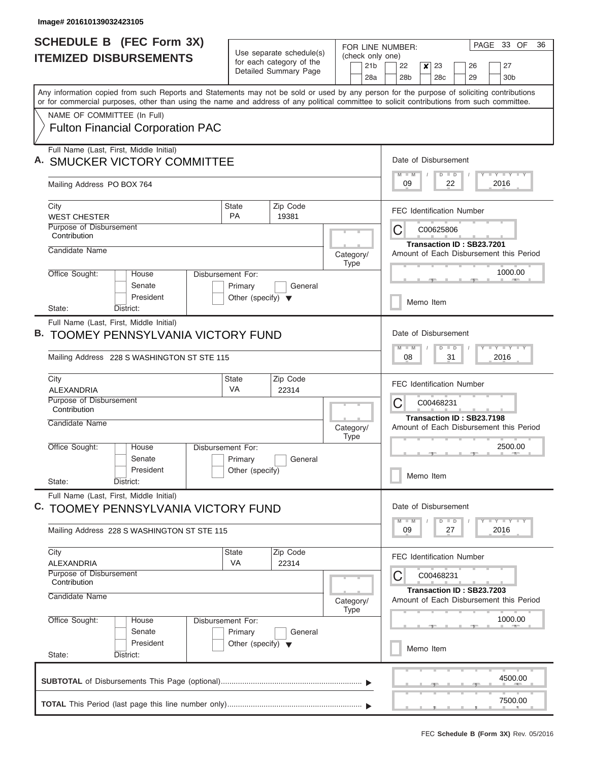| <b>SCHEDULE B (FEC Form 3X)</b>                                                                                                                                                                                                                                                         |                                                                                              |                                                                                            | FOR LINE NUMBER:         | PAGE 33 OF<br>36                                                                                        |
|-----------------------------------------------------------------------------------------------------------------------------------------------------------------------------------------------------------------------------------------------------------------------------------------|----------------------------------------------------------------------------------------------|--------------------------------------------------------------------------------------------|--------------------------|---------------------------------------------------------------------------------------------------------|
| <b>ITEMIZED DISBURSEMENTS</b>                                                                                                                                                                                                                                                           | Use separate schedule(s)<br>for each category of the                                         |                                                                                            | (check only one)         |                                                                                                         |
|                                                                                                                                                                                                                                                                                         |                                                                                              | Detailed Summary Page                                                                      | 21 <sub>b</sub><br>28a   | 22<br>$\boldsymbol{x}$<br>23<br>27<br>26<br>28 <sub>b</sub><br>28 <sub>c</sub><br>29<br>30 <sub>b</sub> |
| Any information copied from such Reports and Statements may not be sold or used by any person for the purpose of soliciting contributions<br>or for commercial purposes, other than using the name and address of any political committee to solicit contributions from such committee. |                                                                                              |                                                                                            |                          |                                                                                                         |
| NAME OF COMMITTEE (In Full)                                                                                                                                                                                                                                                             |                                                                                              |                                                                                            |                          |                                                                                                         |
| <b>Fulton Financial Corporation PAC</b>                                                                                                                                                                                                                                                 |                                                                                              |                                                                                            |                          |                                                                                                         |
| Full Name (Last, First, Middle Initial)<br>A. SMUCKER VICTORY COMMITTEE                                                                                                                                                                                                                 | Date of Disbursement<br>Y I Y I Y I Y<br>$D$ $D$<br>$M$ $M$                                  |                                                                                            |                          |                                                                                                         |
| Mailing Address PO BOX 764                                                                                                                                                                                                                                                              |                                                                                              | 09<br>22<br>2016                                                                           |                          |                                                                                                         |
| City<br><b>WEST CHESTER</b>                                                                                                                                                                                                                                                             | <b>State</b><br><b>PA</b>                                                                    | Zip Code<br>19381                                                                          |                          | <b>FEC Identification Number</b>                                                                        |
| Purpose of Disbursement<br>Contribution                                                                                                                                                                                                                                                 |                                                                                              |                                                                                            |                          | C<br>C00625806                                                                                          |
| Candidate Name                                                                                                                                                                                                                                                                          |                                                                                              |                                                                                            | Category/<br><b>Type</b> | Transaction ID: SB23.7201<br>Amount of Each Disbursement this Period                                    |
| Office Sought:<br>House<br>Senate<br>President                                                                                                                                                                                                                                          | Disbursement For:<br>Primary<br>Other (specify) $\blacktriangledown$                         | General                                                                                    |                          | 1000.00                                                                                                 |
| State:<br>District:                                                                                                                                                                                                                                                                     |                                                                                              |                                                                                            |                          | Memo Item                                                                                               |
| Full Name (Last, First, Middle Initial)<br><b>B. TOOMEY PENNSYLVANIA VICTORY FUND</b><br>Mailing Address 228 S WASHINGTON ST STE 115                                                                                                                                                    |                                                                                              | Date of Disbursement<br>$-1 - Y - 1 - Y - 1 - Y$<br>$M - M$<br>$D$ $D$<br>08<br>31<br>2016 |                          |                                                                                                         |
| City<br><b>ALEXANDRIA</b>                                                                                                                                                                                                                                                               | <b>State</b><br><b>VA</b>                                                                    | Zip Code<br>22314                                                                          |                          | <b>FEC Identification Number</b>                                                                        |
| Purpose of Disbursement<br>Contribution                                                                                                                                                                                                                                                 |                                                                                              | С<br>C00468231<br>Transaction ID: SB23.7198                                                |                          |                                                                                                         |
| Candidate Name                                                                                                                                                                                                                                                                          |                                                                                              |                                                                                            | Category/<br><b>Type</b> | Amount of Each Disbursement this Period                                                                 |
| Office Sought:<br>House<br>Senate<br>President                                                                                                                                                                                                                                          | Disbursement For:<br>Primary<br>Other (specify)                                              | General                                                                                    |                          | 2500.00                                                                                                 |
| State:<br>District:                                                                                                                                                                                                                                                                     |                                                                                              |                                                                                            |                          | Memo Item                                                                                               |
| Full Name (Last, First, Middle Initial)<br>TOOMEY PENNSYLVANIA VICTORY FUND<br>C.                                                                                                                                                                                                       |                                                                                              |                                                                                            |                          | Date of Disbursement                                                                                    |
| Mailing Address 228 S WASHINGTON ST STE 115                                                                                                                                                                                                                                             |                                                                                              |                                                                                            |                          | $D$ $D$<br>$Y$ $Y$ $Y$ $Y$ $Y$<br>$M - M$<br>09<br>27<br>2016                                           |
| City<br><b>ALEXANDRIA</b>                                                                                                                                                                                                                                                               | <b>State</b><br>VA                                                                           | Zip Code<br>22314                                                                          |                          | <b>FEC Identification Number</b>                                                                        |
| Purpose of Disbursement<br>Contribution<br>Candidate Name<br>Category/<br><b>Type</b>                                                                                                                                                                                                   |                                                                                              |                                                                                            |                          | С<br>C00468231<br>Transaction ID: SB23.7203<br>Amount of Each Disbursement this Period                  |
| Office Sought:<br>House<br>Senate                                                                                                                                                                                                                                                       | Disbursement For:<br>Primary<br>General<br>President<br>Other (specify) $\blacktriangledown$ |                                                                                            |                          | 1000.00                                                                                                 |
| State:<br>District:                                                                                                                                                                                                                                                                     |                                                                                              |                                                                                            |                          | Memo Item                                                                                               |
|                                                                                                                                                                                                                                                                                         |                                                                                              |                                                                                            |                          | 4500.00                                                                                                 |
|                                                                                                                                                                                                                                                                                         |                                                                                              |                                                                                            |                          | 7500.00                                                                                                 |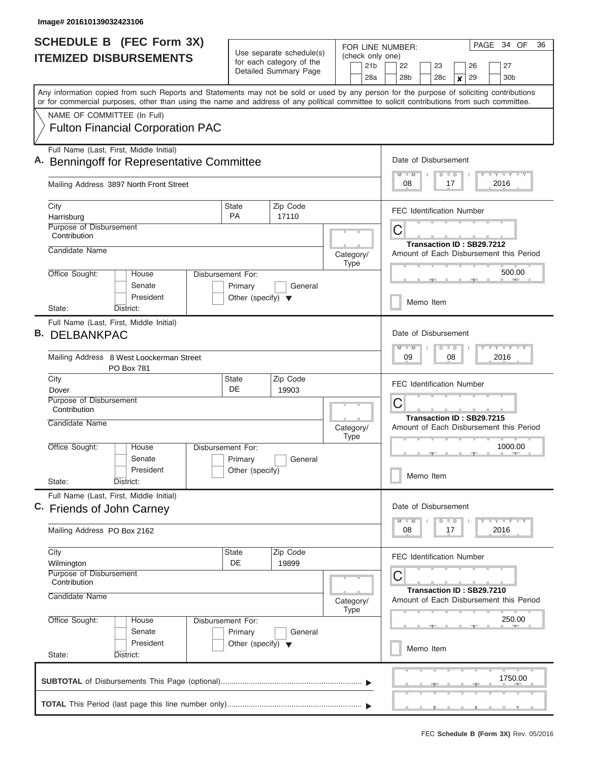I

| Use separate schedule(s)<br>(check only one)<br><b>ITEMIZED DISBURSEMENTS</b><br>for each category of the<br>21 <sub>b</sub><br>22<br>23<br>27<br>26<br>Detailed Summary Page<br>28 <sub>b</sub><br>29<br>30 <sub>b</sub><br>28a<br>28c<br>$\boldsymbol{x}$<br>Any information copied from such Reports and Statements may not be sold or used by any person for the purpose of soliciting contributions<br>or for commercial purposes, other than using the name and address of any political committee to solicit contributions from such committee.<br>NAME OF COMMITTEE (In Full)<br><b>Fulton Financial Corporation PAC</b><br>Full Name (Last, First, Middle Initial)<br>Date of Disbursement<br><b>Benningoff for Representative Committee</b><br>Y LY LY LY<br>$M$ $M$<br>$D$ $D$<br>Mailing Address 3897 North Front Street<br>08<br>17<br>2016<br>City<br>State<br>Zip Code<br><b>FEC Identification Number</b><br><b>PA</b><br>17110<br>Harrisburg<br>Purpose of Disbursement<br>С<br>Contribution<br>Transaction ID: SB29.7212<br>Candidate Name<br>Amount of Each Disbursement this Period<br>Category/<br><b>Type</b><br>500.00<br>Office Sought:<br>House<br>Disbursement For:<br>Senate<br>Primary<br>General<br>President<br>Other (specify) $\blacktriangledown$<br>Memo Item<br>District:<br>State:<br>Full Name (Last, First, Middle Initial)<br><b>B. DELBANKPAC</b><br>Date of Disbursement<br>Y FY FY FY<br>$M - M$<br>$D$ $D$<br>Mailing Address 8 West Loockerman Street<br>09<br>08<br>2016<br>PO Box 781<br>Zip Code<br>City<br>State<br><b>FEC Identification Number</b><br>DE<br>Dover<br>19903<br>Purpose of Disbursement<br>С<br>Contribution<br>Transaction ID: SB29.7215<br>Candidate Name<br>Category/<br>Amount of Each Disbursement this Period<br><b>Type</b><br>Office Sought:<br>1000.00<br>Disbursement For:<br>House<br>Senate<br>General<br>Primary<br>President<br>Other (specify)<br>Memo Item<br>State:<br>District:<br>Full Name (Last, First, Middle Initial)<br>Date of Disbursement<br>C. Friends of John Carney<br>$Y - Y - Y - Y - Y$<br>$D$ $D$<br>$M$ $M$<br>Mailing Address PO Box 2162<br>08<br>2016<br>17<br>City<br>Zip Code<br>State<br><b>FEC Identification Number</b><br>DE<br>19899<br>Wilmington<br>Purpose of Disbursement<br>С<br>Contribution<br>Transaction ID: SB29.7210<br>Candidate Name<br>Amount of Each Disbursement this Period<br>Category/<br><b>Type</b><br>Office Sought:<br>250.00<br>House<br>Disbursement For:<br>Senate<br>Primary<br>General<br>President<br>Other (specify) $\blacktriangledown$<br>Memo Item<br>State:<br>District:<br>1750.00 | <b>SCHEDULE B (FEC Form 3X)</b> |  |  | FOR LINE NUMBER: | PAGE 34 OF<br>36 |
|-------------------------------------------------------------------------------------------------------------------------------------------------------------------------------------------------------------------------------------------------------------------------------------------------------------------------------------------------------------------------------------------------------------------------------------------------------------------------------------------------------------------------------------------------------------------------------------------------------------------------------------------------------------------------------------------------------------------------------------------------------------------------------------------------------------------------------------------------------------------------------------------------------------------------------------------------------------------------------------------------------------------------------------------------------------------------------------------------------------------------------------------------------------------------------------------------------------------------------------------------------------------------------------------------------------------------------------------------------------------------------------------------------------------------------------------------------------------------------------------------------------------------------------------------------------------------------------------------------------------------------------------------------------------------------------------------------------------------------------------------------------------------------------------------------------------------------------------------------------------------------------------------------------------------------------------------------------------------------------------------------------------------------------------------------------------------------------------------------------------------------------------------------------------------------------------------------------------------------------------------------------------------------------------------------------------------------------------------------------------------------------------------------------------------------------------------------------------------------------------------------------------------------------------------------------------------------------------------------------------------------------|---------------------------------|--|--|------------------|------------------|
|                                                                                                                                                                                                                                                                                                                                                                                                                                                                                                                                                                                                                                                                                                                                                                                                                                                                                                                                                                                                                                                                                                                                                                                                                                                                                                                                                                                                                                                                                                                                                                                                                                                                                                                                                                                                                                                                                                                                                                                                                                                                                                                                                                                                                                                                                                                                                                                                                                                                                                                                                                                                                                     |                                 |  |  |                  |                  |
|                                                                                                                                                                                                                                                                                                                                                                                                                                                                                                                                                                                                                                                                                                                                                                                                                                                                                                                                                                                                                                                                                                                                                                                                                                                                                                                                                                                                                                                                                                                                                                                                                                                                                                                                                                                                                                                                                                                                                                                                                                                                                                                                                                                                                                                                                                                                                                                                                                                                                                                                                                                                                                     |                                 |  |  |                  |                  |
|                                                                                                                                                                                                                                                                                                                                                                                                                                                                                                                                                                                                                                                                                                                                                                                                                                                                                                                                                                                                                                                                                                                                                                                                                                                                                                                                                                                                                                                                                                                                                                                                                                                                                                                                                                                                                                                                                                                                                                                                                                                                                                                                                                                                                                                                                                                                                                                                                                                                                                                                                                                                                                     |                                 |  |  |                  |                  |
|                                                                                                                                                                                                                                                                                                                                                                                                                                                                                                                                                                                                                                                                                                                                                                                                                                                                                                                                                                                                                                                                                                                                                                                                                                                                                                                                                                                                                                                                                                                                                                                                                                                                                                                                                                                                                                                                                                                                                                                                                                                                                                                                                                                                                                                                                                                                                                                                                                                                                                                                                                                                                                     |                                 |  |  |                  |                  |
|                                                                                                                                                                                                                                                                                                                                                                                                                                                                                                                                                                                                                                                                                                                                                                                                                                                                                                                                                                                                                                                                                                                                                                                                                                                                                                                                                                                                                                                                                                                                                                                                                                                                                                                                                                                                                                                                                                                                                                                                                                                                                                                                                                                                                                                                                                                                                                                                                                                                                                                                                                                                                                     |                                 |  |  |                  |                  |
|                                                                                                                                                                                                                                                                                                                                                                                                                                                                                                                                                                                                                                                                                                                                                                                                                                                                                                                                                                                                                                                                                                                                                                                                                                                                                                                                                                                                                                                                                                                                                                                                                                                                                                                                                                                                                                                                                                                                                                                                                                                                                                                                                                                                                                                                                                                                                                                                                                                                                                                                                                                                                                     |                                 |  |  |                  |                  |
|                                                                                                                                                                                                                                                                                                                                                                                                                                                                                                                                                                                                                                                                                                                                                                                                                                                                                                                                                                                                                                                                                                                                                                                                                                                                                                                                                                                                                                                                                                                                                                                                                                                                                                                                                                                                                                                                                                                                                                                                                                                                                                                                                                                                                                                                                                                                                                                                                                                                                                                                                                                                                                     |                                 |  |  |                  |                  |
|                                                                                                                                                                                                                                                                                                                                                                                                                                                                                                                                                                                                                                                                                                                                                                                                                                                                                                                                                                                                                                                                                                                                                                                                                                                                                                                                                                                                                                                                                                                                                                                                                                                                                                                                                                                                                                                                                                                                                                                                                                                                                                                                                                                                                                                                                                                                                                                                                                                                                                                                                                                                                                     |                                 |  |  |                  |                  |
|                                                                                                                                                                                                                                                                                                                                                                                                                                                                                                                                                                                                                                                                                                                                                                                                                                                                                                                                                                                                                                                                                                                                                                                                                                                                                                                                                                                                                                                                                                                                                                                                                                                                                                                                                                                                                                                                                                                                                                                                                                                                                                                                                                                                                                                                                                                                                                                                                                                                                                                                                                                                                                     |                                 |  |  |                  |                  |
|                                                                                                                                                                                                                                                                                                                                                                                                                                                                                                                                                                                                                                                                                                                                                                                                                                                                                                                                                                                                                                                                                                                                                                                                                                                                                                                                                                                                                                                                                                                                                                                                                                                                                                                                                                                                                                                                                                                                                                                                                                                                                                                                                                                                                                                                                                                                                                                                                                                                                                                                                                                                                                     |                                 |  |  |                  |                  |
|                                                                                                                                                                                                                                                                                                                                                                                                                                                                                                                                                                                                                                                                                                                                                                                                                                                                                                                                                                                                                                                                                                                                                                                                                                                                                                                                                                                                                                                                                                                                                                                                                                                                                                                                                                                                                                                                                                                                                                                                                                                                                                                                                                                                                                                                                                                                                                                                                                                                                                                                                                                                                                     |                                 |  |  |                  |                  |
|                                                                                                                                                                                                                                                                                                                                                                                                                                                                                                                                                                                                                                                                                                                                                                                                                                                                                                                                                                                                                                                                                                                                                                                                                                                                                                                                                                                                                                                                                                                                                                                                                                                                                                                                                                                                                                                                                                                                                                                                                                                                                                                                                                                                                                                                                                                                                                                                                                                                                                                                                                                                                                     |                                 |  |  |                  |                  |
|                                                                                                                                                                                                                                                                                                                                                                                                                                                                                                                                                                                                                                                                                                                                                                                                                                                                                                                                                                                                                                                                                                                                                                                                                                                                                                                                                                                                                                                                                                                                                                                                                                                                                                                                                                                                                                                                                                                                                                                                                                                                                                                                                                                                                                                                                                                                                                                                                                                                                                                                                                                                                                     |                                 |  |  |                  |                  |
|                                                                                                                                                                                                                                                                                                                                                                                                                                                                                                                                                                                                                                                                                                                                                                                                                                                                                                                                                                                                                                                                                                                                                                                                                                                                                                                                                                                                                                                                                                                                                                                                                                                                                                                                                                                                                                                                                                                                                                                                                                                                                                                                                                                                                                                                                                                                                                                                                                                                                                                                                                                                                                     |                                 |  |  |                  |                  |
|                                                                                                                                                                                                                                                                                                                                                                                                                                                                                                                                                                                                                                                                                                                                                                                                                                                                                                                                                                                                                                                                                                                                                                                                                                                                                                                                                                                                                                                                                                                                                                                                                                                                                                                                                                                                                                                                                                                                                                                                                                                                                                                                                                                                                                                                                                                                                                                                                                                                                                                                                                                                                                     |                                 |  |  |                  |                  |
|                                                                                                                                                                                                                                                                                                                                                                                                                                                                                                                                                                                                                                                                                                                                                                                                                                                                                                                                                                                                                                                                                                                                                                                                                                                                                                                                                                                                                                                                                                                                                                                                                                                                                                                                                                                                                                                                                                                                                                                                                                                                                                                                                                                                                                                                                                                                                                                                                                                                                                                                                                                                                                     |                                 |  |  |                  |                  |
|                                                                                                                                                                                                                                                                                                                                                                                                                                                                                                                                                                                                                                                                                                                                                                                                                                                                                                                                                                                                                                                                                                                                                                                                                                                                                                                                                                                                                                                                                                                                                                                                                                                                                                                                                                                                                                                                                                                                                                                                                                                                                                                                                                                                                                                                                                                                                                                                                                                                                                                                                                                                                                     |                                 |  |  |                  |                  |
|                                                                                                                                                                                                                                                                                                                                                                                                                                                                                                                                                                                                                                                                                                                                                                                                                                                                                                                                                                                                                                                                                                                                                                                                                                                                                                                                                                                                                                                                                                                                                                                                                                                                                                                                                                                                                                                                                                                                                                                                                                                                                                                                                                                                                                                                                                                                                                                                                                                                                                                                                                                                                                     |                                 |  |  |                  |                  |
|                                                                                                                                                                                                                                                                                                                                                                                                                                                                                                                                                                                                                                                                                                                                                                                                                                                                                                                                                                                                                                                                                                                                                                                                                                                                                                                                                                                                                                                                                                                                                                                                                                                                                                                                                                                                                                                                                                                                                                                                                                                                                                                                                                                                                                                                                                                                                                                                                                                                                                                                                                                                                                     |                                 |  |  |                  |                  |
|                                                                                                                                                                                                                                                                                                                                                                                                                                                                                                                                                                                                                                                                                                                                                                                                                                                                                                                                                                                                                                                                                                                                                                                                                                                                                                                                                                                                                                                                                                                                                                                                                                                                                                                                                                                                                                                                                                                                                                                                                                                                                                                                                                                                                                                                                                                                                                                                                                                                                                                                                                                                                                     |                                 |  |  |                  |                  |
|                                                                                                                                                                                                                                                                                                                                                                                                                                                                                                                                                                                                                                                                                                                                                                                                                                                                                                                                                                                                                                                                                                                                                                                                                                                                                                                                                                                                                                                                                                                                                                                                                                                                                                                                                                                                                                                                                                                                                                                                                                                                                                                                                                                                                                                                                                                                                                                                                                                                                                                                                                                                                                     |                                 |  |  |                  |                  |
|                                                                                                                                                                                                                                                                                                                                                                                                                                                                                                                                                                                                                                                                                                                                                                                                                                                                                                                                                                                                                                                                                                                                                                                                                                                                                                                                                                                                                                                                                                                                                                                                                                                                                                                                                                                                                                                                                                                                                                                                                                                                                                                                                                                                                                                                                                                                                                                                                                                                                                                                                                                                                                     |                                 |  |  |                  |                  |
|                                                                                                                                                                                                                                                                                                                                                                                                                                                                                                                                                                                                                                                                                                                                                                                                                                                                                                                                                                                                                                                                                                                                                                                                                                                                                                                                                                                                                                                                                                                                                                                                                                                                                                                                                                                                                                                                                                                                                                                                                                                                                                                                                                                                                                                                                                                                                                                                                                                                                                                                                                                                                                     |                                 |  |  |                  |                  |
|                                                                                                                                                                                                                                                                                                                                                                                                                                                                                                                                                                                                                                                                                                                                                                                                                                                                                                                                                                                                                                                                                                                                                                                                                                                                                                                                                                                                                                                                                                                                                                                                                                                                                                                                                                                                                                                                                                                                                                                                                                                                                                                                                                                                                                                                                                                                                                                                                                                                                                                                                                                                                                     |                                 |  |  |                  |                  |
|                                                                                                                                                                                                                                                                                                                                                                                                                                                                                                                                                                                                                                                                                                                                                                                                                                                                                                                                                                                                                                                                                                                                                                                                                                                                                                                                                                                                                                                                                                                                                                                                                                                                                                                                                                                                                                                                                                                                                                                                                                                                                                                                                                                                                                                                                                                                                                                                                                                                                                                                                                                                                                     |                                 |  |  |                  |                  |
|                                                                                                                                                                                                                                                                                                                                                                                                                                                                                                                                                                                                                                                                                                                                                                                                                                                                                                                                                                                                                                                                                                                                                                                                                                                                                                                                                                                                                                                                                                                                                                                                                                                                                                                                                                                                                                                                                                                                                                                                                                                                                                                                                                                                                                                                                                                                                                                                                                                                                                                                                                                                                                     |                                 |  |  |                  |                  |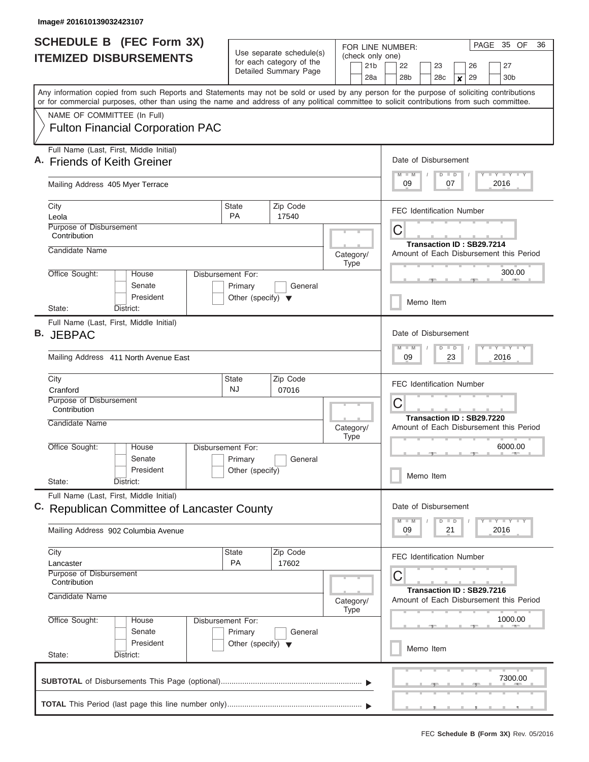I

| <b>SCHEDULE B</b> (FEC Form 3X) |                                                                                                                                                                                                                                                                                         | Use separate schedule(s)                                             |                                | FOR LINE NUMBER:                                                          | PAGE 35 OF<br>36                                                                         |  |
|---------------------------------|-----------------------------------------------------------------------------------------------------------------------------------------------------------------------------------------------------------------------------------------------------------------------------------------|----------------------------------------------------------------------|--------------------------------|---------------------------------------------------------------------------|------------------------------------------------------------------------------------------|--|
|                                 | <b>ITEMIZED DISBURSEMENTS</b>                                                                                                                                                                                                                                                           | for each category of the<br>Detailed Summary Page                    |                                | (check only one)<br>21 <sub>b</sub><br>28a                                | 22<br>23<br>26<br>27<br>28 <sub>b</sub><br>28 <sub>c</sub><br>29<br>30 <sub>b</sub><br>× |  |
|                                 | Any information copied from such Reports and Statements may not be sold or used by any person for the purpose of soliciting contributions<br>or for commercial purposes, other than using the name and address of any political committee to solicit contributions from such committee. |                                                                      |                                |                                                                           |                                                                                          |  |
|                                 | NAME OF COMMITTEE (In Full)<br><b>Fulton Financial Corporation PAC</b>                                                                                                                                                                                                                  |                                                                      |                                |                                                                           |                                                                                          |  |
|                                 | Full Name (Last, First, Middle Initial)<br><b>Friends of Keith Greiner</b>                                                                                                                                                                                                              |                                                                      |                                |                                                                           | Date of Disbursement<br><b>LY LY LY</b><br>$M$ $M$<br>$D$ $D$                            |  |
|                                 | Mailing Address 405 Myer Terrace                                                                                                                                                                                                                                                        |                                                                      | 09<br>07<br>2016               |                                                                           |                                                                                          |  |
|                                 | City<br>Leola                                                                                                                                                                                                                                                                           | <b>State</b><br><b>PA</b>                                            | Zip Code<br>17540              |                                                                           | <b>FEC Identification Number</b>                                                         |  |
|                                 | Purpose of Disbursement<br>Contribution                                                                                                                                                                                                                                                 |                                                                      | С<br>Transaction ID: SB29.7214 |                                                                           |                                                                                          |  |
|                                 | Candidate Name                                                                                                                                                                                                                                                                          |                                                                      |                                | Category/<br><b>Type</b>                                                  | Amount of Each Disbursement this Period                                                  |  |
|                                 | Office Sought:<br>House<br>Senate<br>President                                                                                                                                                                                                                                          | Disbursement For:<br>Primary<br>Other (specify) $\blacktriangledown$ | General                        |                                                                           | 300.00<br>Memo Item                                                                      |  |
|                                 | District:<br>State:<br>Full Name (Last, First, Middle Initial)                                                                                                                                                                                                                          |                                                                      |                                |                                                                           |                                                                                          |  |
| В.                              | <b>JEBPAC</b>                                                                                                                                                                                                                                                                           |                                                                      |                                |                                                                           | Date of Disbursement<br>$M - M$<br>$\overline{D}$<br>$\blacksquare$                      |  |
|                                 | Mailing Address 411 North Avenue East                                                                                                                                                                                                                                                   |                                                                      | 09<br>23<br>2016               |                                                                           |                                                                                          |  |
|                                 | City<br>Cranford                                                                                                                                                                                                                                                                        | State<br>NJ.                                                         | Zip Code<br>07016              |                                                                           | <b>FEC Identification Number</b>                                                         |  |
|                                 | Purpose of Disbursement<br>Contribution<br>Candidate Name                                                                                                                                                                                                                               |                                                                      | Category/                      | С<br>Transaction ID: SB29.7220<br>Amount of Each Disbursement this Period |                                                                                          |  |
|                                 | Office Sought:<br>Disbursement For:<br>House                                                                                                                                                                                                                                            |                                                                      | <b>Type</b>                    | 6000.00                                                                   |                                                                                          |  |
|                                 | Senate<br>President<br>State:<br>District:                                                                                                                                                                                                                                              | Primary<br>Other (specify)                                           | General                        |                                                                           | Memo Item                                                                                |  |
|                                 | Full Name (Last, First, Middle Initial)<br>C. Republican Committee of Lancaster County                                                                                                                                                                                                  |                                                                      |                                |                                                                           | Date of Disbursement                                                                     |  |
|                                 | Mailing Address 902 Columbia Avenue                                                                                                                                                                                                                                                     | $T - Y$ $T - Y$<br>$D$ $D$<br>$M - M$<br>09<br>21<br>2016            |                                |                                                                           |                                                                                          |  |
|                                 | City<br>Lancaster                                                                                                                                                                                                                                                                       | <b>State</b><br><b>PA</b>                                            | Zip Code<br>17602              |                                                                           | <b>FEC Identification Number</b>                                                         |  |
|                                 | Purpose of Disbursement<br>Contribution<br>Candidate Name                                                                                                                                                                                                                               |                                                                      | Category/<br><b>Type</b>       | С<br>Transaction ID: SB29.7216<br>Amount of Each Disbursement this Period |                                                                                          |  |
|                                 | Office Sought:<br>Disbursement For:<br>House<br>Senate<br>Primary<br>General<br>President<br>Other (specify) $\blacktriangledown$                                                                                                                                                       |                                                                      |                                |                                                                           | 1000.00                                                                                  |  |
|                                 | State:<br>District:                                                                                                                                                                                                                                                                     |                                                                      |                                |                                                                           | Memo Item                                                                                |  |
|                                 |                                                                                                                                                                                                                                                                                         |                                                                      |                                |                                                                           | 7300.00                                                                                  |  |
|                                 |                                                                                                                                                                                                                                                                                         |                                                                      |                                |                                                                           |                                                                                          |  |